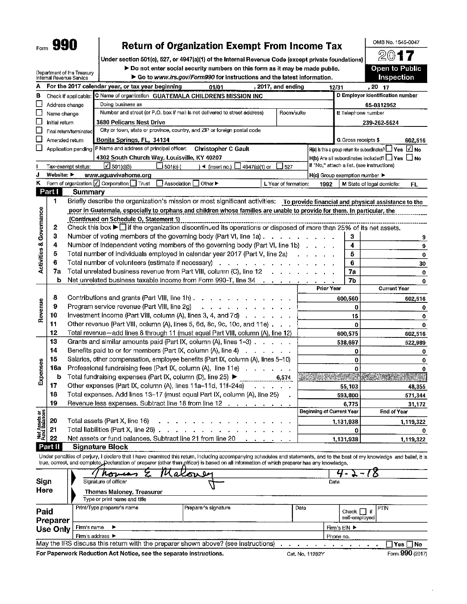# **Return of Organization Exempt From Income Tax**

OMB No. 1545-0047

Open to Public

 $20$ 

Under section 501(c), 527, or 4947(a)(1) of the Internal Revenue Code (except private foundations)

> Do not enter social security numbers on this form as it may be made public.

|                                |                                | Department of the Treasury<br>Internal Revenue Service | $\blacktriangleright$ Do not enter social security numbers on this form as it may be made public.<br>Go to www.irs.gov/Form990 for instructions and the latest information. |                           |                                                                                                                                                                                                                                                  | Open to Public<br>Inspection                                                    |
|--------------------------------|--------------------------------|--------------------------------------------------------|-----------------------------------------------------------------------------------------------------------------------------------------------------------------------------|---------------------------|--------------------------------------------------------------------------------------------------------------------------------------------------------------------------------------------------------------------------------------------------|---------------------------------------------------------------------------------|
| Α                              |                                |                                                        | 12/31                                                                                                                                                                       | , 20 17                   |                                                                                                                                                                                                                                                  |                                                                                 |
| в                              |                                | Check if applicable:                                   | For the 2017 calendar year, or tax year beginning<br>, 2017, and ending<br>01/01<br>C Name of organization GUATEMALA CHILDRENS MISSION INC                                  |                           | D Employer identification number                                                                                                                                                                                                                 |                                                                                 |
|                                | Address change                 |                                                        |                                                                                                                                                                             |                           | 65-0312952                                                                                                                                                                                                                                       |                                                                                 |
| □                              | Name change                    |                                                        | Doing business as<br>Number and street (or P.O. box if mall is not delivered to street address)<br>Room/suite                                                               |                           |                                                                                                                                                                                                                                                  | E Telephone number                                                              |
| □                              | Initial return                 |                                                        | <b>3680 Pelicans Nest Drive</b>                                                                                                                                             |                           |                                                                                                                                                                                                                                                  | 239-262-5624                                                                    |
| ⊔                              |                                | Final return/terminated                                | City or town, state or province, country, and ZIP or foreign postal code                                                                                                    |                           |                                                                                                                                                                                                                                                  |                                                                                 |
|                                | Amended return                 |                                                        | Bonita Springs, FL, 34134                                                                                                                                                   |                           | <b>G</b> Gross receipts \$                                                                                                                                                                                                                       |                                                                                 |
|                                |                                |                                                        | Application pending F Name and address of principal officer:<br><b>Christopher C Gault</b>                                                                                  |                           |                                                                                                                                                                                                                                                  | 602,516<br>$H(a)$ is this a group return for subordinates? $\Box$ Yes $\Box$ No |
|                                |                                |                                                        | 4302 South Church Way, Louisville, KY 40207                                                                                                                                 |                           |                                                                                                                                                                                                                                                  | $H(b)$ Are all subordinates included? $\Box$ Yes $\Box$ No                      |
|                                |                                | Tax-exempt status:                                     | L∕ 501(c)(3)<br>$\Box$ 501(c) (<br>$\rightarrow$ (insert no.) $\Box$<br>4947(a)(1) or<br>527                                                                                |                           |                                                                                                                                                                                                                                                  | If "No," attach a list. (see instructions)                                      |
| J                              | Website: $\blacktriangleright$ |                                                        | www.aguavivahome.org                                                                                                                                                        |                           | H(c) Group exemption number                                                                                                                                                                                                                      |                                                                                 |
| ĸ                              |                                |                                                        | Form of organization:   Corporation   Trust<br>Other $\blacktriangleright$<br>Association<br>L Year of formation:                                                           | 1992                      |                                                                                                                                                                                                                                                  | M State of legal domicile:                                                      |
|                                | <b>Part I</b>                  | <b>Summary</b>                                         |                                                                                                                                                                             |                           |                                                                                                                                                                                                                                                  | FL                                                                              |
|                                | 1.                             |                                                        | Briefly describe the organization's mission or most significant activities: To provide financial and physical assistance to the                                             |                           |                                                                                                                                                                                                                                                  |                                                                                 |
|                                |                                |                                                        | poor in Guatemala, especially to orphans and children whose families are unable to provide for them. In particular, the                                                     |                           |                                                                                                                                                                                                                                                  |                                                                                 |
|                                |                                |                                                        | (Continued on Schedule O, Statement 1)                                                                                                                                      |                           |                                                                                                                                                                                                                                                  |                                                                                 |
| Activities & Governance        | 2                              |                                                        | Check this box $\blacktriangleright$ if the organization discontinued its operations or disposed of more than 25% of its net assets.                                        |                           |                                                                                                                                                                                                                                                  |                                                                                 |
|                                | 3                              |                                                        | Number of voting members of the governing body (Part VI, line 1a),                                                                                                          |                           | 3                                                                                                                                                                                                                                                |                                                                                 |
|                                | 4                              |                                                        | Number of independent voting members of the governing body (Part VI, line 1b)                                                                                               |                           | 4                                                                                                                                                                                                                                                | 9                                                                               |
|                                | 5                              |                                                        | Total number of individuals employed in calendar year 2017 (Part V, line 2a)                                                                                                |                           | 5                                                                                                                                                                                                                                                | 9                                                                               |
|                                | 6                              |                                                        | Total number of volunteers (estimate if necessary)<br>and the company of the company of the                                                                                 |                           | 6                                                                                                                                                                                                                                                | 0                                                                               |
|                                | 7а                             |                                                        | Total unrelated business revenue from Part VIII, column (C), line 12<br>and a state of the state                                                                            |                           | 7a                                                                                                                                                                                                                                               | 30                                                                              |
|                                | b                              |                                                        | Net unrelated business taxable income from Form 990-T, line 34                                                                                                              |                           | 7b                                                                                                                                                                                                                                               | 0                                                                               |
|                                |                                |                                                        | $\mathbf{a} = \mathbf{a} + \mathbf{a} + \mathbf{a} + \mathbf{a}$                                                                                                            | <b>Prior Year</b>         | 0<br><b>Current Year</b>                                                                                                                                                                                                                         |                                                                                 |
|                                | 8                              |                                                        | Contributions and grants (Part VIII, line 1h)                                                                                                                               |                           |                                                                                                                                                                                                                                                  |                                                                                 |
| Revenue                        | 9                              |                                                        | Program service revenue (Part VIII, line 2g)                                                                                                                                |                           | 600,560                                                                                                                                                                                                                                          | 602.516                                                                         |
|                                | 10                             |                                                        | مالك والمالي والمناول والمناول والمناو<br>Investment income (Part VIII, column (A), lines 3, 4, and 7d)                                                                     |                           | 0                                                                                                                                                                                                                                                | 0                                                                               |
|                                | 11                             |                                                        |                                                                                                                                                                             |                           | 15                                                                                                                                                                                                                                               | 0                                                                               |
|                                |                                |                                                        | Other revenue (Part VIII, column (A), lines 5, 6d, 8c, 9c, 10c, and 11e)                                                                                                    |                           | $\bf{0}$                                                                                                                                                                                                                                         | 0                                                                               |
|                                | 12<br>13                       |                                                        | Total revenue-add lines 8 through 11 (must equal Part VIII, column (A), line 12)                                                                                            |                           | 600,575                                                                                                                                                                                                                                          | 602,516                                                                         |
|                                | 14                             |                                                        | Grants and similar amounts paid (Part IX, column (A), lines 1-3)                                                                                                            |                           | 538,697                                                                                                                                                                                                                                          | 522.989                                                                         |
|                                | 15                             |                                                        | Benefits paid to or for members (Part IX, column (A), line 4)<br>the contract of the contract of                                                                            |                           | 0                                                                                                                                                                                                                                                | 0                                                                               |
| Expenses                       |                                |                                                        | Salaries, other compensation, employee benefits (Part IX, column (A), lines 5-10)                                                                                           |                           | 0                                                                                                                                                                                                                                                | 0                                                                               |
|                                | 16a                            |                                                        | Professional fundraising fees (Part IX, column (A), line 11e)<br>Total fundraising expenses (Part IX, column (D), line 25) ▶                                                |                           | $\Omega$<br><u> 1999 Martin Strand Strand Strand Strand Strand Strand Strand Strand Strand Strand Strand Strand Strand Strand Strand Strand Strand Strand Strand Strand Strand Strand Strand Strand Strand Strand Strand Strand Strand Stran</u> | 0<br><b>The Ma</b>                                                              |
|                                | b<br>17                        |                                                        | 6,574                                                                                                                                                                       |                           |                                                                                                                                                                                                                                                  |                                                                                 |
|                                | 18                             |                                                        | Other expenses (Part IX, column (A), lines 11a-11d, 11f-24e)<br>Total expenses. Add lines 13-17 (must equal Part IX, column (A), line 25)                                   |                           | 55,103                                                                                                                                                                                                                                           | 48,355                                                                          |
|                                | 19                             |                                                        |                                                                                                                                                                             |                           | 593,800                                                                                                                                                                                                                                          | 571,344                                                                         |
|                                |                                |                                                        | Revenue less expenses. Subtract line 18 from line 12                                                                                                                        | Beginning of Current Year | 6,775                                                                                                                                                                                                                                            | 31.172<br><b>End of Year</b>                                                    |
|                                |                                |                                                        | Total assets (Part X, line 16)                                                                                                                                              |                           |                                                                                                                                                                                                                                                  |                                                                                 |
|                                | 20<br>21                       |                                                        | Total liabilities (Part X, line 26).                                                                                                                                        |                           | 1,131,938                                                                                                                                                                                                                                        | 1,119,322                                                                       |
| Net Assets or<br>Fund Balances | 22                             |                                                        | Net assets or fund balances. Subtract line 21 from line 20                                                                                                                  |                           | 0                                                                                                                                                                                                                                                | 0                                                                               |
|                                | Part II                        |                                                        | <b>Signature Block</b>                                                                                                                                                      |                           | 1,131,938                                                                                                                                                                                                                                        | 1,119,322                                                                       |
|                                |                                |                                                        | Under penalties of perjury, I declare that I have examined this return, including accompanying schedules and statements, and to the best of my knowledge and belief, it is  |                           |                                                                                                                                                                                                                                                  |                                                                                 |
|                                |                                |                                                        | true, correct, and complete. Declaration of preparer (other than officer) is based on all information of which preparer has any knowledge.                                  |                           |                                                                                                                                                                                                                                                  |                                                                                 |
|                                |                                |                                                        |                                                                                                                                                                             |                           |                                                                                                                                                                                                                                                  |                                                                                 |
| Sign                           |                                |                                                        | Signature of officer                                                                                                                                                        |                           | Date                                                                                                                                                                                                                                             |                                                                                 |
| Here                           |                                |                                                        |                                                                                                                                                                             |                           |                                                                                                                                                                                                                                                  |                                                                                 |
|                                |                                |                                                        | <b>Thomas Maloney, Treasurer</b><br>Type or print name and title                                                                                                            |                           |                                                                                                                                                                                                                                                  |                                                                                 |
|                                |                                |                                                        | Print/Type preparer's name<br>Preparer's signature                                                                                                                          | Date                      |                                                                                                                                                                                                                                                  | <b>PTIN</b>                                                                     |
| Paid                           |                                |                                                        |                                                                                                                                                                             |                           | Check     if                                                                                                                                                                                                                                     |                                                                                 |
|                                | Preparer                       |                                                        |                                                                                                                                                                             |                           | self-employed                                                                                                                                                                                                                                    |                                                                                 |
|                                | Use Only                       | Firm's name                                            |                                                                                                                                                                             |                           | Firm s EiN ▶                                                                                                                                                                                                                                     |                                                                                 |
|                                |                                |                                                        | Firm's address ><br>May the IRS discuss this return with the preparer shown above? (see instructions).                                                                      |                           | Phone no.                                                                                                                                                                                                                                        |                                                                                 |
|                                |                                |                                                        |                                                                                                                                                                             |                           |                                                                                                                                                                                                                                                  | Yes ∏ No                                                                        |

For Paperwork Reduction Act Notice, see the separate instructions.

Form 990 (2017)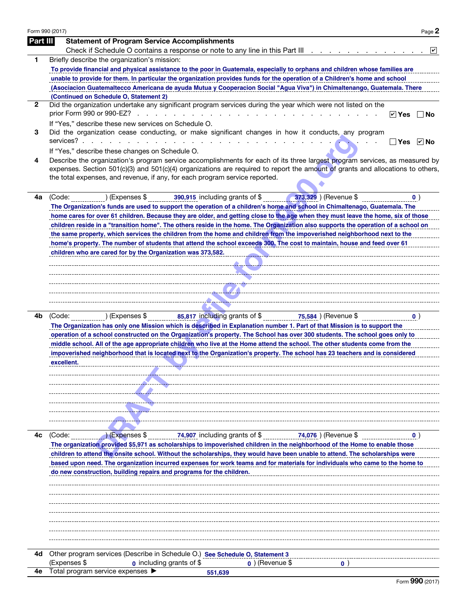| Form 990 (2017) | Page 2                                                                                                                                                                                               |
|-----------------|------------------------------------------------------------------------------------------------------------------------------------------------------------------------------------------------------|
| Part III        | <b>Statement of Program Service Accomplishments</b>                                                                                                                                                  |
|                 | Check if Schedule O contains a response or note to any line in this Part III<br>$ \mathbf{v} $                                                                                                       |
| 1               | Briefly describe the organization's mission:                                                                                                                                                         |
|                 | To provide financial and physical assistance to the poor in Guatemala, especially to orphans and children whose families are                                                                         |
|                 | unable to provide for them. In particular the organization provides funds for the operation of a Children's home and school                                                                          |
|                 | (Asociacion Guatemaltecco Americana de ayuda Mutua y Cooperacion Social "Agua Viva") in Chimaltenango, Guatemala. There                                                                              |
| $\mathbf{2}$    | (Continued on Schedule O, Statement 2)<br>Did the organization undertake any significant program services during the year which were not listed on the                                               |
|                 | prior Form 990 or 990-EZ?<br>design and contract the contract of the contract of the contract of the contract of the contract of the contract of<br>$ v $ Yes<br>∣No                                 |
|                 | If "Yes," describe these new services on Schedule O.                                                                                                                                                 |
| 3               | Did the organization cease conducting, or make significant changes in how it conducts, any program                                                                                                   |
|                 | services?.<br>the contract of the contract of the contract of the contract of the contract of the contract of the contract of<br>$\triangleright$ No<br>Yes                                          |
|                 | If "Yes," describe these changes on Schedule O.                                                                                                                                                      |
| 4               | Describe the organization's program service accomplishments for each of its three largest program services, as measured by                                                                           |
|                 | expenses. Section 501(c)(3) and 501(c)(4) organizations are required to report the amount of grants and allocations to others,                                                                       |
|                 | the total expenses, and revenue, if any, for each program service reported.                                                                                                                          |
|                 |                                                                                                                                                                                                      |
| 4а              | (Code:<br>) (Expenses \$<br>390,915 including grants of \$<br>373,329 ) (Revenue \$<br>$\bullet$ )                                                                                                   |
|                 | The Organization's funds are used to support the operation of a children's home and school in Chimaltenago, Guatemala. The                                                                           |
|                 | home cares for over 61 children. Because they are older, and getting close to the age when they must leave the home, six of those                                                                    |
|                 | children reside in a "transition home". The others reside in the home. The Organization also supports the operation of a school on                                                                   |
|                 | the same property, which services the children from the home and children from the impoverished neighborhood next to the                                                                             |
|                 | home's property. The number of students that attend the school exceeds 300. The cost to maintain, house and feed over 61                                                                             |
|                 | children who are cared for by the Organization was 373,582.                                                                                                                                          |
|                 |                                                                                                                                                                                                      |
|                 |                                                                                                                                                                                                      |
|                 |                                                                                                                                                                                                      |
|                 |                                                                                                                                                                                                      |
|                 |                                                                                                                                                                                                      |
| 4b              | 85,817 including grants of \$<br>(Code:<br>) (Expenses \$<br>75,584 ) (Revenue $\overline{\$}$<br>$\bullet$ )                                                                                        |
|                 | The Organization has only one Mission which is described in Explanation number 1. Part of that Mission is to support the                                                                             |
|                 | operation of a school constructed on the Organization's property. The School has over 300 students. The school goes only to                                                                          |
|                 | middle school. All of the age appropriate children who live at the Home attend the school. The other students come from the                                                                          |
|                 | impoverished neighborhood that is located next to the Organization's property. The school has 23 teachers and is considered                                                                          |
|                 | excellent.                                                                                                                                                                                           |
|                 |                                                                                                                                                                                                      |
|                 |                                                                                                                                                                                                      |
|                 |                                                                                                                                                                                                      |
|                 |                                                                                                                                                                                                      |
|                 |                                                                                                                                                                                                      |
|                 |                                                                                                                                                                                                      |
| 4c              | 74,907 including grants of \$<br>74,076 ) (Revenue \$<br>(Code:<br>) (Expenses \$<br>$\mathbf{0}$                                                                                                    |
|                 | The organization provided \$5,971 as scholarships to impoverished children in the neighborhood of the Home to enable those                                                                           |
|                 | children to attend the onsite school. Without the scholarships, they would have been unable to attend. The scholarships were                                                                         |
|                 | based upon need. The organization incurred expenses for work teams and for materials for individuals who came to the home to<br>do new construction, building repairs and programs for the children. |
|                 |                                                                                                                                                                                                      |
|                 |                                                                                                                                                                                                      |
|                 |                                                                                                                                                                                                      |
|                 |                                                                                                                                                                                                      |
|                 |                                                                                                                                                                                                      |
|                 |                                                                                                                                                                                                      |
|                 |                                                                                                                                                                                                      |
|                 |                                                                                                                                                                                                      |
| 4d              | Other program services (Describe in Schedule O.) See Schedule O, Statement 3                                                                                                                         |
| 4е              | (Expenses \$<br><b>0</b> including grants of \$<br>$\boldsymbol{0}$ ) (Revenue \$<br>$\mathbf{0}$<br>Total program service expenses                                                                  |
|                 | 551,639<br>$F_{\text{arm}}$ QQ $\Omega$ (2017)                                                                                                                                                       |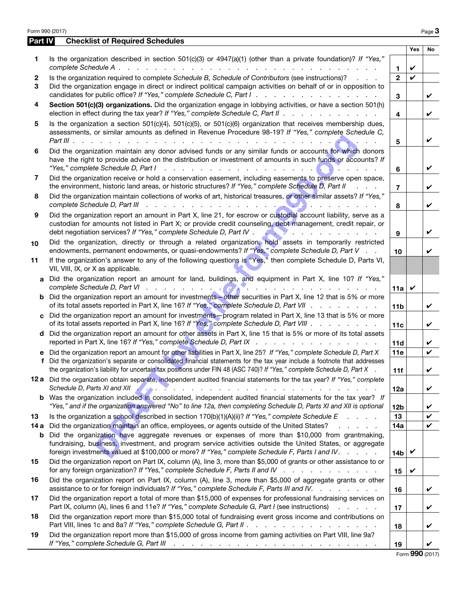| Part IV           | Form 990 (2017)<br><b>Checklist of Required Schedules</b>                                                                                                                                                                                                                                                                                                                                                                        |                         |     | Page 3 |
|-------------------|----------------------------------------------------------------------------------------------------------------------------------------------------------------------------------------------------------------------------------------------------------------------------------------------------------------------------------------------------------------------------------------------------------------------------------|-------------------------|-----|--------|
|                   |                                                                                                                                                                                                                                                                                                                                                                                                                                  |                         | Yes | No     |
| 1.                | Is the organization described in section 501(c)(3) or 4947(a)(1) (other than a private foundation)? If "Yes,"                                                                                                                                                                                                                                                                                                                    | $\mathbf{1}$            | V   |        |
| $\mathbf{2}$<br>3 | Is the organization required to complete Schedule B, Schedule of Contributors (see instructions)?<br>Did the organization engage in direct or indirect political campaign activities on behalf of or in opposition to                                                                                                                                                                                                            | $\mathbf{2}$            | ✓   |        |
| 4                 | candidates for public office? If "Yes," complete Schedule C, Part I.<br>Section 501(c)(3) organizations. Did the organization engage in lobbying activities, or have a section 501(h)                                                                                                                                                                                                                                            | 3                       |     | ✓      |
| 5                 | election in effect during the tax year? If "Yes," complete Schedule C, Part II $\ldots$<br>Is the organization a section $501(c)(4)$ , $501(c)(5)$ , or $501(c)(6)$ organization that receives membership dues,                                                                                                                                                                                                                  | $\overline{\mathbf{4}}$ |     | V      |
|                   | assessments, or similar amounts as defined in Revenue Procedure 98-19? If "Yes," complete Schedule C,                                                                                                                                                                                                                                                                                                                            | 5                       |     | V      |
| 6                 | Did the organization maintain any donor advised funds or any similar funds or accounts for which donors<br>have the right to provide advice on the distribution or investment of amounts in such funds or accounts? If<br>$\mathbf{r}$ $\mathbf{r}$ $\mathbf{r}$                                                                                                                                                                 | 6                       |     | V      |
| 7                 | Did the organization receive or hold a conservation easement, including easements to preserve open space,<br>the environment, historic land areas, or historic structures? If "Yes," complete Schedule D, Part II<br><b>Contract Contract</b>                                                                                                                                                                                    | $\overline{7}$          |     | V      |
| 8                 | Did the organization maintain collections of works of art, historical treasures, or other similar assets? If "Yes,"<br>and the state of the state of                                                                                                                                                                                                                                                                             | 8                       |     | V      |
| 9                 | Did the organization report an amount in Part X, line 21, for escrow or custodial account liability, serve as a<br>custodian for amounts not listed in Part X; or provide credit counseling, debt management, credit repair, or<br>debt negotiation services? If "Yes," complete Schedule D, Part IV .<br><u>Alexandrian de la contrada de la contrada de la contrada de la contrada de la contrada de la contrada de la con</u> | 9                       |     | V      |
| 10                | Did the organization, directly or through a related organization, hold assets in temporarily restricted<br>endowments, permanent endowments, or quasi-endowments? If "Yes," complete Schedule D, Part V                                                                                                                                                                                                                          | 10                      |     | V      |
| 11                | If the organization's answer to any of the following questions is "Yes," then complete Schedule D, Parts VI,<br>VII, VIII, IX, or X as applicable.                                                                                                                                                                                                                                                                               |                         |     |        |
| a                 | Did the organization report an amount for land, buildings, and equipment in Part X, line 10? If "Yes,"                                                                                                                                                                                                                                                                                                                           | 11a                     | V   |        |
| b                 | Did the organization report an amount for investments—other securities in Part X, line 12 that is 5% or more<br>of its total assets reported in Part X, line 16? If "Yes," complete Schedule D, Part VII                                                                                                                                                                                                                         | 11 <sub>b</sub>         |     | ✓      |
| C.                | Did the organization report an amount for investments-program related in Part X, line 13 that is 5% or more<br>of its total assets reported in Part X, line 16? If "Yes," complete Schedule D, Part VIII                                                                                                                                                                                                                         | 11c                     |     | ✓      |
|                   | d Did the organization report an amount for other assets in Part X, line 15 that is 5% or more of its total assets<br>reported in Part X, line 16? If "Yes," complete Schedule D, Part IX                                                                                                                                                                                                                                        | 11d                     |     | V      |
| f                 | e Did the organization report an amount for other liabilities in Part X, line 25? If "Yes," complete Schedule D, Part X<br>Did the organization's separate or consolidated financial statements for the tax year include a footnote that addresses<br>the organization's liability for uncertain tax positions under FIN 48 (ASC 740)? If "Yes," complete Schedule D, Part X                                                     | 11e<br>11f              |     | ✓      |
|                   | 12 a Did the organization obtain separate, independent audited financial statements for the tax year? If "Yes," complete                                                                                                                                                                                                                                                                                                         | 12a                     |     | ✓      |
| b                 | Was the organization included in consolidated, independent audited financial statements for the tax year? If<br>"Yes," and if the organization answered "No" to line 12a, then completing Schedule D, Parts XI and XII is optional                                                                                                                                                                                               | 12 <sub>b</sub>         |     | V      |
| 13<br>14 a        | Is the organization a school described in section $170(b)(1)(A)(ii)?$ If "Yes," complete Schedule E<br>Did the organization maintain an office, employees, or agents outside of the United States?<br>and the state of the state                                                                                                                                                                                                 | 13<br>14a               |     | V<br>V |
| b                 | Did the organization have aggregate revenues or expenses of more than \$10,000 from grantmaking,<br>fundraising, business, investment, and program service activities outside the United States, or aggregate<br>foreign investments valued at \$100,000 or more? If "Yes," complete Schedule F, Parts I and IV.                                                                                                                 | 14 <sub>b</sub>         | V   |        |
| 15                | Did the organization report on Part IX, column (A), line 3, more than \$5,000 of grants or other assistance to or<br>for any foreign organization? If "Yes," complete Schedule F, Parts II and IV                                                                                                                                                                                                                                | 15                      | V   |        |
| 16                | Did the organization report on Part IX, column (A), line 3, more than \$5,000 of aggregate grants or other<br>assistance to or for foreign individuals? If "Yes," complete Schedule F, Parts III and IV.                                                                                                                                                                                                                         | 16                      |     | V      |
| 17                | Did the organization report a total of more than \$15,000 of expenses for professional fundraising services on<br>Part IX, column (A), lines 6 and 11e? If "Yes," complete Schedule G, Part I (see instructions)                                                                                                                                                                                                                 | 17                      |     | V      |
|                   | Did the organization report more than \$15,000 total of fundraising event gross income and contributions on                                                                                                                                                                                                                                                                                                                      |                         |     |        |
| 18                |                                                                                                                                                                                                                                                                                                                                                                                                                                  | 18                      |     | V      |

Form 990 (2017)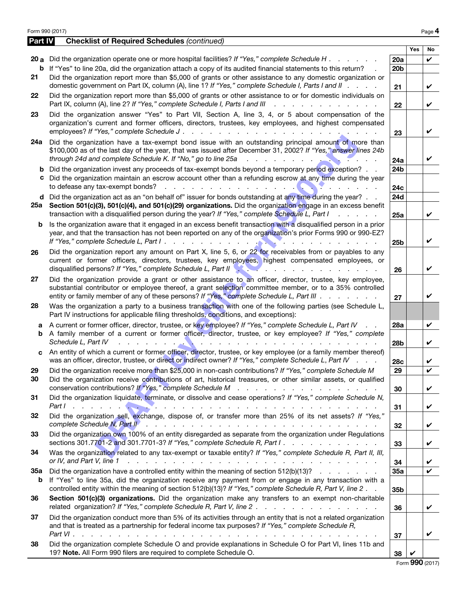|          | Form 990 (2017)                                                                                                                                                                                                                                                                                                                                                                                                                                   |                        |                 | Page 4 |
|----------|---------------------------------------------------------------------------------------------------------------------------------------------------------------------------------------------------------------------------------------------------------------------------------------------------------------------------------------------------------------------------------------------------------------------------------------------------|------------------------|-----------------|--------|
| Part IV  | <b>Checklist of Required Schedules (continued)</b>                                                                                                                                                                                                                                                                                                                                                                                                |                        |                 |        |
|          |                                                                                                                                                                                                                                                                                                                                                                                                                                                   |                        | <b>Yes</b>      | No     |
| b        | 20 a Did the organization operate one or more hospital facilities? If "Yes," complete Schedule H.<br>If "Yes" to line 20a, did the organization attach a copy of its audited financial statements to this return?                                                                                                                                                                                                                                 | 20a<br><b>20b</b>      |                 | ✓      |
| 21       | Did the organization report more than \$5,000 of grants or other assistance to any domestic organization or<br>domestic government on Part IX, column (A), line 1? If "Yes," complete Schedule I, Parts I and II                                                                                                                                                                                                                                  |                        |                 | ✓      |
| 22       | Did the organization report more than \$5,000 of grants or other assistance to or for domestic individuals on<br>Part IX, column (A), line 2? If "Yes," complete Schedule I, Parts I and III<br>and the state of the state of the                                                                                                                                                                                                                 | 21                     |                 | ✓      |
| 23       | Did the organization answer "Yes" to Part VII, Section A, line 3, 4, or 5 about compensation of the                                                                                                                                                                                                                                                                                                                                               | 22                     |                 |        |
|          | organization's current and former officers, directors, trustees, key employees, and highest compensated<br>employees? If "Yes," complete Schedule J.<br>$\frac{1}{2}$ , $\frac{1}{2}$ , $\frac{1}{2}$ , $\frac{1}{2}$ , $\frac{1}{2}$ , $\frac{1}{2}$ , $\frac{1}{2}$ , $\frac{1}{2}$ , $\frac{1}{2}$ , $\frac{1}{2}$ , $\frac{1}{2}$ , $\frac{1}{2}$ , $\frac{1}{2}$                                                                             | 23                     |                 | ✓      |
| 24a      | Did the organization have a tax-exempt bond issue with an outstanding principal amount of more than<br>\$100,000 as of the last day of the year, that was issued after December 31, 2002? If "Yes," answer lines 24b<br>through 24d and complete Schedule K. If "No," go to line 25a<br>$\mathbf{r}$ , $\mathbf{r}$ , $\mathbf{r}$ , $\mathbf{r}$ , $\mathbf{r}$ , $\mathbf{r}$<br>$\sim$                                                         | 24a                    |                 | ✓      |
| b<br>c   | Did the organization invest any proceeds of tax-exempt bonds beyond a temporary period exception?<br>Did the organization maintain an escrow account other than a refunding escrow at any time during the year<br>. 0<br>to defease any tax-exempt bonds?<br>$\sim$ $\sim$                                                                                                                                                                        | 24b<br>24c             |                 |        |
|          | <b>d</b> Did the organization act as an "on behalf of" issuer for bonds outstanding at any time during the year? $\ldots$                                                                                                                                                                                                                                                                                                                         | 24d                    |                 |        |
|          | 25a Section 501(c)(3), 501(c)(4), and 501(c)(29) organizations. Did the organization engage in an excess benefit<br>transaction with a disqualified person during the year? If "Yes," complete Schedule L, Part I                                                                                                                                                                                                                                 | 25a                    |                 | ✓      |
| b        | Is the organization aware that it engaged in an excess benefit transaction with a disqualified person in a prior<br>year, and that the transaction has not been reported on any of the organization's prior Forms 990 or 990-EZ?<br>.<br>$\sim$ $\sim$                                                                                                                                                                                            | 25 <sub>b</sub>        |                 | ✔      |
| 26       | Did the organization report any amount on Part X, line 5, 6, or 22 for receivables from or payables to any<br>current or former officers, directors, trustees, key employees, highest compensated employees, or<br>disqualified persons? If "Yes," complete Schedule L, Part II Network Contains a contact of the state of the state of the state of the state of the state of the state of the state of the state of the state of the state of t | 26                     |                 | ✔      |
| 27       | Did the organization provide a grant or other assistance to an officer, director, trustee, key employee,<br>substantial contributor or employee thereof, a grant selection committee member, or to a 35% controlled<br>entity or family member of any of these persons? If "Yes," complete Schedule L, Part III                                                                                                                                   | 27                     |                 | ✓      |
| 28       | Was the organization a party to a business transaction with one of the following parties (see Schedule L,<br>Part IV instructions for applicable filing thresholds, conditions, and exceptions):                                                                                                                                                                                                                                                  |                        |                 |        |
| a        | A current or former officer, director, trustee, or key employee? If "Yes," complete Schedule L, Part IV                                                                                                                                                                                                                                                                                                                                           | <b>28a</b>             |                 | V      |
| b        | A family member of a current or former officer, director, trustee, or key employee? If "Yes," complete<br>Schedule L, Part IV<br>. <b>.</b><br>the contract of the contract of the contract of the contract of the contract of the contract of the contract of                                                                                                                                                                                    | <b>28b</b>             |                 | ✓      |
| C.       | An entity of which a current or former officer, director, trustee, or key employee (or a family member thereof)<br>was an officer, director, trustee, or direct or indirect owner? If "Yes," complete Schedule L, Part IV                                                                                                                                                                                                                         | 28c                    |                 | V      |
| 29<br>30 | Did the organization receive more than \$25,000 in non-cash contributions? If "Yes," complete Schedule M<br>Did the organization receive contributions of art, historical treasures, or other similar assets, or qualified                                                                                                                                                                                                                        | 29                     |                 |        |
| 31       | Did the organization liquidate, terminate, or dissolve and cease operations? If "Yes," complete Schedule N,                                                                                                                                                                                                                                                                                                                                       | 30                     |                 | V      |
|          | .<br>Did the organization sell, exchange, dispose of, or transfer more than 25% of its net assets? If "Yes,"                                                                                                                                                                                                                                                                                                                                      | 31                     |                 | V      |
| 32       | complete Schedule N, Part II<br>in the contract of the contract of the contract of the contract of the contract of the contract of the contract of the contract of the contract of the contract of the contract of the contract of the contract of the contrac                                                                                                                                                                                    | 32                     |                 | V      |
| 33       | Did the organization own 100% of an entity disregarded as separate from the organization under Regulations<br>sections 301.7701-2 and 301.7701-3? If "Yes," complete Schedule R, Part I.                                                                                                                                                                                                                                                          | 33                     |                 | V      |
| 34       | Was the organization related to any tax-exempt or taxable entity? If "Yes," complete Schedule R, Part II, III,<br>or IV, and Part V, line 1<br>a constitution of the constitution of the constitution of the constitution of the constitution of the constitution of the constitution of the constitution of the constitution of the constitution of the constitution of the                                                                      | 34                     |                 | V      |
| 35a<br>b | Did the organization have a controlled entity within the meaning of section 512(b)(13)?<br>If "Yes" to line 35a, did the organization receive any payment from or engage in any transaction with a<br>controlled entity within the meaning of section 512(b)(13)? If "Yes," complete Schedule R, Part V, line 2.                                                                                                                                  | 35a<br>35 <sub>b</sub> |                 | V      |
| 36       | Section 501(c)(3) organizations. Did the organization make any transfers to an exempt non-charitable                                                                                                                                                                                                                                                                                                                                              | 36                     |                 | V      |
| 37       | Did the organization conduct more than 5% of its activities through an entity that is not a related organization                                                                                                                                                                                                                                                                                                                                  |                        |                 |        |
|          | and that is treated as a partnership for federal income tax purposes? If "Yes," complete Schedule R,<br>Part VI.<br>$\sim$<br>$\mathbf{r}$ , $\mathbf{r}$ , $\mathbf{r}$ , $\mathbf{r}$ , $\mathbf{r}$ , $\mathbf{r}$ , $\mathbf{r}$ , $\mathbf{r}$                                                                                                                                                                                               | 37                     |                 | V      |
| 38       | Did the organization complete Schedule O and provide explanations in Schedule O for Part VI, lines 11b and<br>19? Note. All Form 990 filers are required to complete Schedule O.                                                                                                                                                                                                                                                                  | 38                     | V               |        |
|          |                                                                                                                                                                                                                                                                                                                                                                                                                                                   |                        | Form 990 (2017) |        |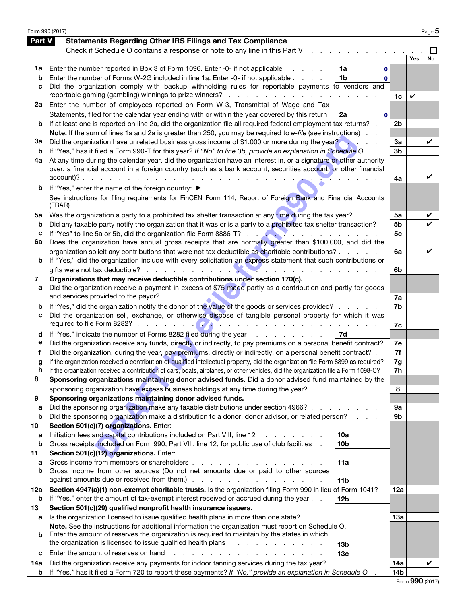| Form 990 (2017) |                                                                                                                                                                                                                                            |                |     | Page 5 |
|-----------------|--------------------------------------------------------------------------------------------------------------------------------------------------------------------------------------------------------------------------------------------|----------------|-----|--------|
| Part V          | <b>Statements Regarding Other IRS Filings and Tax Compliance</b>                                                                                                                                                                           |                |     |        |
|                 | Check if Schedule O contains a response or note to any line in this Part V<br>the control of the control of                                                                                                                                |                |     |        |
|                 |                                                                                                                                                                                                                                            |                | Yes | No     |
| 1a              | Enter the number reported in Box 3 of Form 1096. Enter -0- if not applicable<br>1a<br>0                                                                                                                                                    |                |     |        |
| b               | Enter the number of Forms W-2G included in line 1a. Enter -0- if not applicable<br>1 <sub>b</sub><br>$\mathbf{0}$                                                                                                                          |                |     |        |
| c               | Did the organization comply with backup withholding rules for reportable payments to vendors and                                                                                                                                           |                |     |        |
|                 | reportable gaming (gambling) winnings to prize winners?                                                                                                                                                                                    | 1c             | V   |        |
| 2a              | Enter the number of employees reported on Form W-3, Transmittal of Wage and Tax                                                                                                                                                            |                |     |        |
|                 | Statements, filed for the calendar year ending with or within the year covered by this return<br>2a<br>0                                                                                                                                   |                |     |        |
| b               | If at least one is reported on line 2a, did the organization file all required federal employment tax returns?                                                                                                                             | 2b             |     |        |
| За              | Note. If the sum of lines 1a and 2a is greater than 250, you may be required to e-file (see instructions).<br>Did the organization have unrelated business gross income of \$1,000 or more during the year?                                |                |     | V      |
| b               | If "Yes," has it filed a Form 990-T for this year? If "No" to line 3b, provide an explanation in Schedule O                                                                                                                                | За<br>3b       |     |        |
| 4а              | At any time during the calendar year, did the organization have an interest in, or a signature or other authority                                                                                                                          |                |     |        |
|                 | over, a financial account in a foreign country (such as a bank account, securities account, or other financial                                                                                                                             |                |     |        |
|                 | $account)? \t\t\t\t\t \t\t\t\t \t\t\t \t\t\t$                                                                                                                                                                                              | 4a             |     | ✓      |
| b               | If "Yes," enter the name of the foreign country: ▶                                                                                                                                                                                         |                |     |        |
|                 | See instructions for filing requirements for FinCEN Form 114, Report of Foreign Bank and Financial Accounts                                                                                                                                |                |     |        |
|                 | (FBAR).                                                                                                                                                                                                                                    |                |     |        |
| 5a              | Was the organization a party to a prohibited tax shelter transaction at any time during the tax year?                                                                                                                                      | 5a             |     | V      |
| b               | Did any taxable party notify the organization that it was or is a party to a prohibited tax shelter transaction?                                                                                                                           | 5b             |     | ✓      |
| с               | and the company of the company of                                                                                                                                                                                                          | 5 <sub>c</sub> |     |        |
| 6а              | Does the organization have annual gross receipts that are normally greater than \$100,000, and did the                                                                                                                                     |                |     |        |
|                 | organization solicit any contributions that were not tax deductible as charitable contributions?                                                                                                                                           | 6a             |     | V      |
| b               | If "Yes," did the organization include with every solicitation an express statement that such contributions or<br>gifts were not tax deductible?                                                                                           |                |     |        |
| 7               | Organizations that may receive deductible contributions under section 170(c).                                                                                                                                                              | 6b             |     |        |
| а               | Did the organization receive a payment in excess of \$75 made partly as a contribution and partly for goods                                                                                                                                |                |     |        |
|                 | .                                                                                                                                                                                                                                          | 7a             |     |        |
| b               | If "Yes," did the organization notify the donor of the value of the goods or services provided?                                                                                                                                            | 7b             |     |        |
| с               | Did the organization sell, exchange, or otherwise dispose of tangible personal property for which it was                                                                                                                                   |                |     |        |
|                 | required to file Form 8282? $\ldots$ $\ldots$ $\ldots$ $\ldots$ $\ldots$ $\ldots$ $\ldots$ $\ldots$                                                                                                                                        | 7c             |     |        |
| d               | If "Yes," indicate the number of Forms 8282 filed during the year<br>  7d                                                                                                                                                                  |                |     |        |
| е               | Did the organization receive any funds, directly or indirectly, to pay premiums on a personal benefit contract?                                                                                                                            | 7e             |     |        |
| f               | Did the organization, during the year, pay premiums, directly or indirectly, on a personal benefit contract? .                                                                                                                             | 7f             |     |        |
| g               | If the organization received a contribution of qualified intellectual property, did the organization file Form 8899 as required?                                                                                                           | 7g             |     |        |
| h<br>8          | If the organization received a contribution of cars, boats, airplanes, or other vehicles, did the organization file a Form 1098-C?<br>Sponsoring organizations maintaining donor advised funds. Did a donor advised fund maintained by the | 7h             |     |        |
|                 | sponsoring organization have excess business holdings at any time during the year?                                                                                                                                                         | 8              |     |        |
| 9               | Sponsoring organizations maintaining donor advised funds.                                                                                                                                                                                  |                |     |        |
| a               | Did the sponsoring organization make any taxable distributions under section 4966?                                                                                                                                                         | 9а             |     |        |
| b               | Did the sponsoring organization make a distribution to a donor, donor advisor, or related person?                                                                                                                                          | 9b             |     |        |
| 10              | Section 501(c)(7) organizations. Enter:                                                                                                                                                                                                    |                |     |        |
| a               | Initiation fees and capital contributions included on Part VIII, line 12<br>10a                                                                                                                                                            |                |     |        |
| b               | Gross receipts, included on Form 990, Part VIII, line 12, for public use of club facilities<br>10 <sub>b</sub>                                                                                                                             |                |     |        |
| 11              | Section 501(c)(12) organizations. Enter:                                                                                                                                                                                                   |                |     |        |
| a               | Gross income from members or shareholders.<br>11a                                                                                                                                                                                          |                |     |        |
| b               | Gross income from other sources (Do not net amounts due or paid to other sources<br>against amounts due or received from them.)<br>the contract of the contract of the                                                                     |                |     |        |
|                 | 11 <sub>b</sub><br>Section 4947(a)(1) non-exempt charitable trusts. Is the organization filing Form 990 in lieu of Form 1041?                                                                                                              |                |     |        |
| 12a<br>b        | If "Yes," enter the amount of tax-exempt interest received or accrued during the year.<br>12 <sub>b</sub>                                                                                                                                  | 12a            |     |        |
| 13              | Section 501(c)(29) qualified nonprofit health insurance issuers.                                                                                                                                                                           |                |     |        |
| а               | Is the organization licensed to issue qualified health plans in more than one state?                                                                                                                                                       | 13а            |     |        |
|                 | Note. See the instructions for additional information the organization must report on Schedule O.                                                                                                                                          |                |     |        |
| b               | Enter the amount of reserves the organization is required to maintain by the states in which                                                                                                                                               |                |     |        |
|                 | the organization is licensed to issue qualified health plans<br>13 <sub>b</sub>                                                                                                                                                            |                |     |        |
| с               | Enter the amount of reserves on hand<br>13 <sub>c</sub>                                                                                                                                                                                    |                |     |        |
| 14a             | Did the organization receive any payments for indoor tanning services during the tax year?.                                                                                                                                                | 14a            |     | V      |
| b               | If "Yes," has it filed a Form 720 to report these payments? If "No," provide an explanation in Schedule O                                                                                                                                  | 14b            |     |        |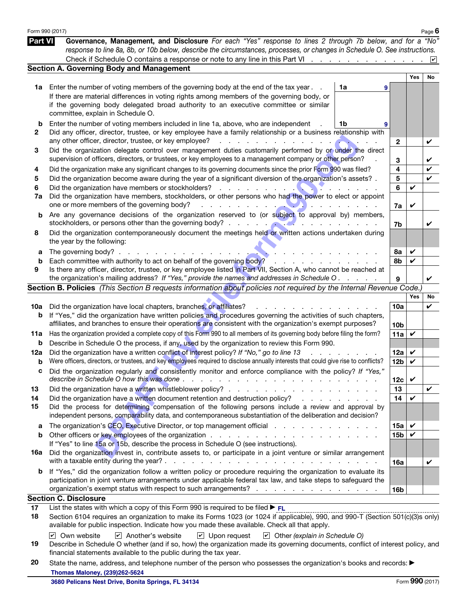|                | Form 990 (2017)                                                                                                                                                                                                                                                                                                                                                                                                                                  |                                     |                 |              | Page $6$           |
|----------------|--------------------------------------------------------------------------------------------------------------------------------------------------------------------------------------------------------------------------------------------------------------------------------------------------------------------------------------------------------------------------------------------------------------------------------------------------|-------------------------------------|-----------------|--------------|--------------------|
| <b>Part VI</b> | Governance, Management, and Disclosure For each "Yes" response to lines 2 through 7b below, and for a "No"                                                                                                                                                                                                                                                                                                                                       |                                     |                 |              |                    |
|                | response to line 8a, 8b, or 10b below, describe the circumstances, processes, or changes in Schedule O. See instructions.                                                                                                                                                                                                                                                                                                                        |                                     |                 |              |                    |
|                | Check if Schedule O contains a response or note to any line in this Part VI                                                                                                                                                                                                                                                                                                                                                                      |                                     |                 |              | $ \boldsymbol{v} $ |
|                | <b>Section A. Governing Body and Management</b>                                                                                                                                                                                                                                                                                                                                                                                                  |                                     |                 |              |                    |
|                |                                                                                                                                                                                                                                                                                                                                                                                                                                                  |                                     |                 | Yes          | No                 |
| 1a             | Enter the number of voting members of the governing body at the end of the tax year.                                                                                                                                                                                                                                                                                                                                                             | 1a<br>9                             |                 |              |                    |
|                | If there are material differences in voting rights among members of the governing body, or                                                                                                                                                                                                                                                                                                                                                       |                                     |                 |              |                    |
|                | if the governing body delegated broad authority to an executive committee or similar<br>committee, explain in Schedule O.                                                                                                                                                                                                                                                                                                                        |                                     |                 |              |                    |
|                |                                                                                                                                                                                                                                                                                                                                                                                                                                                  |                                     |                 |              |                    |
| b              | Enter the number of voting members included in line 1a, above, who are independent                                                                                                                                                                                                                                                                                                                                                               | 1b                                  |                 |              |                    |
| 2              | Did any officer, director, trustee, or key employee have a family relationship or a business relationship with                                                                                                                                                                                                                                                                                                                                   |                                     |                 |              |                    |
|                | any other officer, director, trustee, or key employee?<br><u>in the second contract of the second contract of the second contract of the second contract of the second contract of the second contract of the second contract of the second contract of the second contract of the second </u>                                                                                                                                                   |                                     | $\mathbf{2}$    |              | V                  |
| 3              | Did the organization delegate control over management duties customarily performed by or under the direct<br>supervision of officers, directors, or trustees, or key employees to a management company or other person?                                                                                                                                                                                                                          |                                     |                 |              |                    |
|                |                                                                                                                                                                                                                                                                                                                                                                                                                                                  |                                     | 3               |              | V                  |
| 4              | Did the organization make any significant changes to its governing documents since the prior Form 990 was filed?                                                                                                                                                                                                                                                                                                                                 |                                     | 4               |              | V                  |
| 5              | Did the organization become aware during the year of a significant diversion of the organization's assets?.                                                                                                                                                                                                                                                                                                                                      |                                     | 5               |              | V                  |
| 6<br>7a        | Did the organization have members, stockholders, or other persons who had the power to elect or appoint                                                                                                                                                                                                                                                                                                                                          |                                     | 6               | V            |                    |
|                | one or more members of the governing body?<br><u> Alexandria de la provincia de la provincia de la provincia de la provincia de la provincia de la provincia de</u>                                                                                                                                                                                                                                                                              |                                     |                 | ✔            |                    |
| b              | Are any governance decisions of the organization reserved to (or subject to approval by) members,                                                                                                                                                                                                                                                                                                                                                |                                     | 7a              |              |                    |
|                | stockholders, or persons other than the governing body?<br>$\mathcal{L}$ . The contract of $\mathcal{L}$ is the contract of $\mathcal{L}$                                                                                                                                                                                                                                                                                                        |                                     | 7b              |              | V                  |
| 8              | Did the organization contemporaneously document the meetings held or written actions undertaken during                                                                                                                                                                                                                                                                                                                                           |                                     |                 |              |                    |
|                | the year by the following:                                                                                                                                                                                                                                                                                                                                                                                                                       |                                     |                 |              |                    |
| а              | The governing body? $\ldots$ $\ldots$ $\ldots$ $\ldots$                                                                                                                                                                                                                                                                                                                                                                                          |                                     | 8а              | ✓            |                    |
| b              | Each committee with authority to act on behalf of the governing body?<br>and a state of the                                                                                                                                                                                                                                                                                                                                                      |                                     | 8b              | V            |                    |
| 9              | Is there any officer, director, trustee, or key employee listed in Part VII, Section A, who cannot be reached at                                                                                                                                                                                                                                                                                                                                 |                                     |                 |              |                    |
|                | the organization's mailing address? If "Yes," provide the names and addresses in Schedule O.                                                                                                                                                                                                                                                                                                                                                     |                                     | 9               |              | V                  |
|                | Section B. Policies (This Section B requests information about policies not required by the Internal Revenue Code.)                                                                                                                                                                                                                                                                                                                              |                                     |                 |              |                    |
|                |                                                                                                                                                                                                                                                                                                                                                                                                                                                  |                                     |                 | Yes          | No                 |
| 10a            | Did the organization have local chapters, branches, or affiliates?                                                                                                                                                                                                                                                                                                                                                                               |                                     | 10a             |              | ✓                  |
| b              | If "Yes," did the organization have written policies and procedures governing the activities of such chapters,                                                                                                                                                                                                                                                                                                                                   |                                     |                 |              |                    |
|                | affiliates, and branches to ensure their operations are consistent with the organization's exempt purposes?                                                                                                                                                                                                                                                                                                                                      |                                     | 10 <sub>b</sub> |              |                    |
| 11a            | Has the organization provided a complete copy of this Form 990 to all members of its governing body before filing the form?                                                                                                                                                                                                                                                                                                                      |                                     | 11a             | V            |                    |
| b              | Describe in Schedule O the process, if any, used by the organization to review this Form 990.                                                                                                                                                                                                                                                                                                                                                    |                                     |                 |              |                    |
| 12a            | Did the organization have a written conflict of interest policy? If "No," go to line 13                                                                                                                                                                                                                                                                                                                                                          |                                     | 12a             | V            |                    |
| b              | Were officers, directors, or trustees, and key employees required to disclose annually interests that could give rise to conflicts?                                                                                                                                                                                                                                                                                                              |                                     | 12 <sub>b</sub> | V            |                    |
|                | Did the organization regularly and consistently monitor and enforce compliance with the policy? If "Yes,                                                                                                                                                                                                                                                                                                                                         |                                     |                 |              |                    |
|                | describe in Schedule O how this was done.<br>design and a contract of the contract of the contract of the contract of the contract of the contract of the contract of the contract of the contract of the contract of the contract of the contract of the contract of the c                                                                                                                                                                      |                                     | 12c             | V            |                    |
| 13             |                                                                                                                                                                                                                                                                                                                                                                                                                                                  |                                     | 13              |              | V                  |
| 14<br>15       | Did the organization have a written document retention and destruction policy?                                                                                                                                                                                                                                                                                                                                                                   | the contract of the contract of the | 14              | V            |                    |
|                | Did the process for determining compensation of the following persons include a review and approval by<br>independent persons, comparability data, and contemporaneous substantiation of the deliberation and decision?                                                                                                                                                                                                                          |                                     |                 |              |                    |
|                |                                                                                                                                                                                                                                                                                                                                                                                                                                                  |                                     | 15a             | $\checkmark$ |                    |
| а<br>b         | The organization's CEO, Executive Director, or top management official                                                                                                                                                                                                                                                                                                                                                                           |                                     | 15 <sub>b</sub> | V            |                    |
|                | If "Yes" to line 15a or 15b, describe the process in Schedule O (see instructions).                                                                                                                                                                                                                                                                                                                                                              |                                     |                 |              |                    |
| 16a            | Did the organization invest in, contribute assets to, or participate in a joint venture or similar arrangement                                                                                                                                                                                                                                                                                                                                   |                                     |                 |              |                    |
|                | with a taxable entity during the year? $\therefore$ $\therefore$ $\therefore$ $\therefore$ $\therefore$ $\therefore$ $\therefore$ $\therefore$ $\therefore$ $\therefore$ $\therefore$ $\therefore$ $\therefore$ $\therefore$ $\therefore$ $\therefore$ $\therefore$ $\therefore$ $\therefore$ $\therefore$ $\therefore$ $\therefore$ $\therefore$ $\therefore$ $\therefore$ $\therefore$ $\therefore$ $\therefore$ $\therefore$ $\therefore$ $\$ |                                     | 16a             |              | V                  |
| b              | If "Yes," did the organization follow a written policy or procedure requiring the organization to evaluate its                                                                                                                                                                                                                                                                                                                                   |                                     |                 |              |                    |
|                | participation in joint venture arrangements under applicable federal tax law, and take steps to safeguard the                                                                                                                                                                                                                                                                                                                                    |                                     |                 |              |                    |
|                | organization's exempt status with respect to such arrangements?                                                                                                                                                                                                                                                                                                                                                                                  |                                     | 16 <sub>b</sub> |              |                    |
|                | <b>Section C. Disclosure</b>                                                                                                                                                                                                                                                                                                                                                                                                                     |                                     |                 |              |                    |
| 17             | List the states with which a copy of this Form 990 is required to be filed $\blacktriangleright$ FL                                                                                                                                                                                                                                                                                                                                              |                                     |                 |              |                    |
| 18             | Section 6104 requires an organization to make its Forms 1023 (or 1024 if applicable), 990, and 990-T (Section 501(c)(3)s only)                                                                                                                                                                                                                                                                                                                   |                                     |                 |              |                    |
|                | available for public inspection. Indicate how you made these available. Check all that apply.                                                                                                                                                                                                                                                                                                                                                    |                                     |                 |              |                    |
|                | $\triangleright$ Own website<br>$\triangleright$ Another's website<br>$\boxed{\mathbf{C}}$ Upon request<br>$\triangleright$ Other (explain in Schedule O)                                                                                                                                                                                                                                                                                        |                                     |                 |              |                    |
| 19             | Describe in Schedule O whether (and if so, how) the organization made its governing documents, conflict of interest policy, and                                                                                                                                                                                                                                                                                                                  |                                     |                 |              |                    |
|                | financial statements available to the public during the tax year.                                                                                                                                                                                                                                                                                                                                                                                |                                     |                 |              |                    |

|     | <b>Thomas Maloney, (239)262-5624</b>                                                                            |
|-----|-----------------------------------------------------------------------------------------------------------------|
| -20 | State the name, address, and telephone number of the person who possesses the organization's books and records: |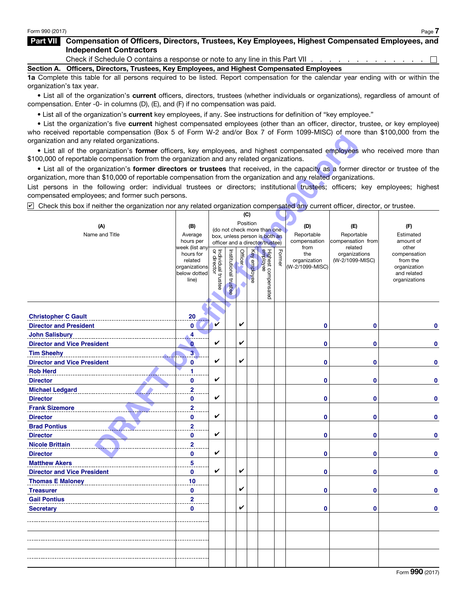### Part VII Compensation of Officers, Directors, Trustees, Key Employees, Highest Compensated Employees, and Independent Contractors

Check if Schedule O contains a response or note to any line in this Part VII . . . . . . . . . . . .  $\Box$ 

Section A. Officers, Directors, Trustees, Key Employees, and Highest Compensated Employees

1a Complete this table for all persons required to be listed. Report compensation for the calendar year ending with or within the organization's tax year.

• List all of the organization's current officers, directors, trustees (whether individuals or organizations), regardless of amount of compensation. Enter -0- in columns (D), (E), and (F) if no compensation was paid.

• List all of the organization's current key employees, if any. See instructions for definition of "key employee."

• List the organization's five current highest compensated employees (other than an officer, director, trustee, or key employee) who received reportable compensation (Box 5 of Form W-2 and/or Box 7 of Form 1099-MISC) of more than \$100,000 from the organization and any related organizations.

| organization and any related organizations.                                                                                                     |                              |                                   |                |                |                     |                                 |        |                                 |                              |                          |
|-------------------------------------------------------------------------------------------------------------------------------------------------|------------------------------|-----------------------------------|----------------|----------------|---------------------|---------------------------------|--------|---------------------------------|------------------------------|--------------------------|
| . List all of the organization's former officers, key employees, and highest compensated employees who received more than                       |                              |                                   |                |                |                     |                                 |        |                                 |                              |                          |
| \$100,000 of reportable compensation from the organization and any related organizations.                                                       |                              |                                   |                |                |                     |                                 |        |                                 |                              |                          |
| • List all of the organization's former directors or trustees that received, in the capacity as a former director or trustee of the             |                              |                                   |                |                |                     |                                 |        |                                 |                              |                          |
| organization, more than \$10,000 of reportable compensation from the organization and any related organizations.                                |                              |                                   |                |                |                     |                                 |        |                                 |                              |                          |
| List persons in the following order: individual trustees or directors; institutional trustees; officers; key employees; highest                 |                              |                                   |                |                |                     |                                 |        |                                 |                              |                          |
| compensated employees; and former such persons.                                                                                                 |                              |                                   |                |                |                     |                                 |        |                                 |                              |                          |
| $\triangleright$ Check this box if neither the organization nor any related organization compensated any current officer, director, or trustee. |                              |                                   |                |                |                     |                                 |        |                                 |                              |                          |
|                                                                                                                                                 |                              |                                   |                |                | (C)                 |                                 |        |                                 |                              |                          |
| (A)                                                                                                                                             | (B)                          |                                   |                |                | Position            | (do not check more than one     |        | (D)                             | (E)                          | (F)                      |
| Name and Title                                                                                                                                  | Average                      |                                   |                |                |                     | box, unless person is both an   |        | Reportable                      | Reportable                   | Estimated                |
|                                                                                                                                                 | hours per<br>week (list any  |                                   |                |                |                     | officer and a director/trustee) |        | compensation<br>from            | compensation from<br>related | amount of<br>other       |
|                                                                                                                                                 | hours for                    | Individual trustee<br>or director |                | <b>Officer</b> |                     | Highest compensated<br>employee | Former | the                             | organizations                | compensation             |
|                                                                                                                                                 | related<br>organizations     |                                   | Institutional  |                | <b>Key</b> employee |                                 |        | organization<br>(W-2/1099-MISC) | (W-2/1099-MISC)              | from the<br>organization |
|                                                                                                                                                 | below dotted                 |                                   |                |                |                     |                                 |        |                                 |                              | and related              |
|                                                                                                                                                 | line)                        |                                   |                |                |                     |                                 |        |                                 |                              | organizations            |
|                                                                                                                                                 |                              |                                   | <b>trustee</b> |                |                     |                                 |        |                                 |                              |                          |
|                                                                                                                                                 |                              |                                   |                |                |                     |                                 |        |                                 |                              |                          |
|                                                                                                                                                 |                              |                                   |                |                |                     |                                 |        |                                 |                              |                          |
| <b>Christopher C Gault</b>                                                                                                                      | 20                           |                                   |                |                |                     |                                 |        |                                 |                              |                          |
| <b>Director and President</b>                                                                                                                   | 0                            | V                                 |                | V              |                     |                                 |        | 0                               | 0                            | 0                        |
| <b>John Salisbury</b>                                                                                                                           | 4                            |                                   |                |                |                     |                                 |        |                                 |                              |                          |
| <b>Director and Vice President</b>                                                                                                              | $\bf{0}$                     | V                                 |                | V              |                     |                                 |        | 0                               | 0                            | 0                        |
| <b>Tim Sheehy</b>                                                                                                                               | 3                            |                                   |                |                |                     |                                 |        |                                 |                              |                          |
| <b>Director and Vice President</b>                                                                                                              | 0                            | V                                 |                | V              |                     |                                 |        | 0                               | 0                            | 0                        |
| <b>Rob Herd</b>                                                                                                                                 | 1                            |                                   |                |                |                     |                                 |        |                                 |                              |                          |
| <b>Director</b>                                                                                                                                 | 0                            | V                                 |                |                |                     |                                 |        | 0                               | 0                            | 0                        |
| <b>Michael Ledgard</b>                                                                                                                          | $\overline{2}$               | V                                 |                |                |                     |                                 |        |                                 |                              |                          |
| <b>Director</b>                                                                                                                                 | 0                            |                                   |                |                |                     |                                 |        | 0                               | 0                            | 0                        |
| <b>Frank Sizemore</b>                                                                                                                           | $\overline{\mathbf{2}}$      | V                                 |                |                |                     |                                 |        |                                 |                              |                          |
| <b>Director</b><br><b>Brad Pontius</b>                                                                                                          | 0                            |                                   |                |                |                     |                                 |        | 0                               | 0                            | 0                        |
|                                                                                                                                                 | $\overline{\mathbf{2}}$<br>0 | V                                 |                |                |                     |                                 |        | 0                               | 0                            | 0                        |
| <b>Director</b><br><b>Nicole Brittain</b>                                                                                                       | $\overline{\mathbf{2}}$      |                                   |                |                |                     |                                 |        |                                 |                              |                          |
| <b>Director</b>                                                                                                                                 | 0                            | V                                 |                |                |                     |                                 |        | 0                               | 0                            | 0                        |
| <b>Matthew Akers</b>                                                                                                                            | 5                            |                                   |                |                |                     |                                 |        |                                 |                              |                          |
| <b>Director and Vice President</b>                                                                                                              | 0                            | V                                 |                | V              |                     |                                 |        | 0                               | $\bf{0}$                     | 0                        |
| <b>Thomas E Maloney</b>                                                                                                                         | 10                           |                                   |                |                |                     |                                 |        |                                 |                              |                          |
| <b>Treasurer</b>                                                                                                                                | 0                            |                                   |                | V              |                     |                                 |        | $\mathbf{0}$                    | 0                            | $\mathbf{0}$             |
| <b>Gail Pontius</b>                                                                                                                             | $\overline{2}$               |                                   |                |                |                     |                                 |        |                                 |                              |                          |
| <b>Secretary</b>                                                                                                                                | 0                            |                                   |                | V              |                     |                                 |        | $\bf{0}$                        | $\mathbf 0$                  | $\mathbf 0$              |
|                                                                                                                                                 |                              |                                   |                |                |                     |                                 |        |                                 |                              |                          |
|                                                                                                                                                 |                              |                                   |                |                |                     |                                 |        |                                 |                              |                          |
|                                                                                                                                                 |                              |                                   |                |                |                     |                                 |        |                                 |                              |                          |
|                                                                                                                                                 |                              |                                   |                |                |                     |                                 |        |                                 |                              |                          |
|                                                                                                                                                 |                              |                                   |                |                |                     |                                 |        |                                 |                              |                          |
|                                                                                                                                                 |                              |                                   |                |                |                     |                                 |        |                                 |                              |                          |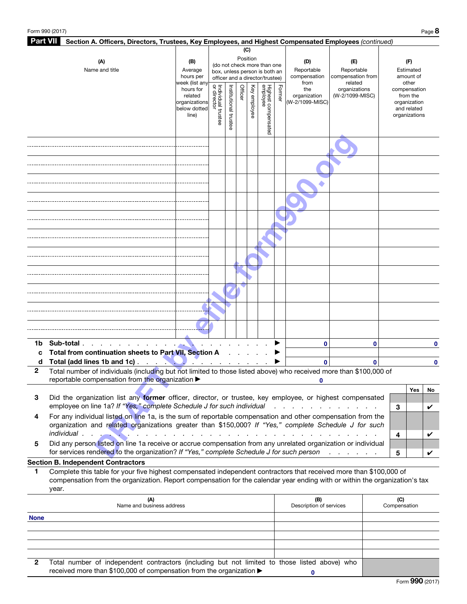| <b>Part VII</b><br>Section A. Officers, Directors, Trustees, Key Employees, and Highest Compensated Employees (continued) |                                                                                                                            |                               |                                   |                       |         |          |                                 |        |                         |                              |              |              |                             |    |
|---------------------------------------------------------------------------------------------------------------------------|----------------------------------------------------------------------------------------------------------------------------|-------------------------------|-----------------------------------|-----------------------|---------|----------|---------------------------------|--------|-------------------------|------------------------------|--------------|--------------|-----------------------------|----|
|                                                                                                                           |                                                                                                                            |                               |                                   |                       |         | (C)      |                                 |        |                         |                              |              |              |                             |    |
|                                                                                                                           | Position<br>(A)<br>(B)<br>(do not check more than one                                                                      |                               |                                   |                       |         | (D)      | (E)                             |        |                         | (F)                          |              |              |                             |    |
|                                                                                                                           | Name and title                                                                                                             | Average                       |                                   |                       |         |          | box, unless person is both an   |        | Reportable              | Reportable                   |              |              | Estimated                   |    |
|                                                                                                                           |                                                                                                                            | hours per                     |                                   |                       |         |          | officer and a director/trustee) |        | compensation            | compensation from            |              |              | amount of                   |    |
|                                                                                                                           |                                                                                                                            | week (list any<br>hours for   |                                   |                       |         | Key      |                                 |        | from<br>the             | related<br>organizations     |              |              | other<br>compensation       |    |
|                                                                                                                           |                                                                                                                            | related                       | Individual trustee<br>or director | Institutional trustee | Officer |          |                                 | Former | organization            | (W-2/1099-MISC)              |              |              | from the                    |    |
|                                                                                                                           |                                                                                                                            | organizations<br>below dotted |                                   |                       |         |          |                                 |        | (W-2/1099-MISC)         |                              |              |              | organization<br>and related |    |
|                                                                                                                           |                                                                                                                            | line)                         |                                   |                       |         | employee |                                 |        |                         |                              |              |              | organizations               |    |
|                                                                                                                           |                                                                                                                            |                               |                                   |                       |         |          |                                 |        |                         |                              |              |              |                             |    |
|                                                                                                                           |                                                                                                                            |                               |                                   |                       |         |          | Highest compensated<br>employee |        |                         |                              |              |              |                             |    |
|                                                                                                                           |                                                                                                                            |                               |                                   |                       |         |          |                                 |        |                         |                              |              |              |                             |    |
|                                                                                                                           |                                                                                                                            |                               |                                   |                       |         |          |                                 |        |                         |                              |              |              |                             |    |
|                                                                                                                           |                                                                                                                            |                               |                                   |                       |         |          |                                 |        |                         |                              |              |              |                             |    |
|                                                                                                                           |                                                                                                                            |                               |                                   |                       |         |          |                                 |        |                         |                              |              |              |                             |    |
|                                                                                                                           |                                                                                                                            |                               |                                   |                       |         |          |                                 |        |                         |                              |              |              |                             |    |
|                                                                                                                           |                                                                                                                            |                               |                                   |                       |         |          |                                 |        |                         |                              |              |              |                             |    |
|                                                                                                                           |                                                                                                                            |                               |                                   |                       |         |          |                                 |        |                         |                              |              |              |                             |    |
|                                                                                                                           |                                                                                                                            |                               |                                   |                       |         |          |                                 |        |                         |                              |              |              |                             |    |
|                                                                                                                           |                                                                                                                            |                               |                                   |                       |         |          |                                 |        |                         |                              |              |              |                             |    |
|                                                                                                                           |                                                                                                                            |                               |                                   |                       |         |          |                                 |        |                         |                              |              |              |                             |    |
|                                                                                                                           |                                                                                                                            |                               |                                   |                       |         |          |                                 |        |                         |                              |              |              |                             |    |
|                                                                                                                           |                                                                                                                            |                               |                                   |                       |         |          |                                 |        |                         |                              |              |              |                             |    |
|                                                                                                                           |                                                                                                                            |                               |                                   |                       |         |          |                                 |        |                         |                              |              |              |                             |    |
|                                                                                                                           |                                                                                                                            |                               |                                   |                       |         |          |                                 |        |                         |                              |              |              |                             |    |
|                                                                                                                           |                                                                                                                            |                               |                                   |                       |         |          |                                 |        |                         |                              |              |              |                             |    |
|                                                                                                                           |                                                                                                                            |                               |                                   |                       |         |          |                                 |        |                         |                              |              |              |                             |    |
|                                                                                                                           |                                                                                                                            |                               |                                   |                       |         |          |                                 |        |                         |                              |              |              |                             |    |
|                                                                                                                           |                                                                                                                            |                               |                                   |                       |         |          |                                 |        |                         |                              |              |              |                             |    |
|                                                                                                                           |                                                                                                                            |                               |                                   |                       |         |          |                                 |        |                         |                              |              |              |                             |    |
|                                                                                                                           |                                                                                                                            |                               |                                   |                       |         |          |                                 |        |                         |                              |              |              |                             |    |
|                                                                                                                           |                                                                                                                            |                               |                                   |                       |         |          |                                 |        |                         |                              |              |              |                             |    |
|                                                                                                                           |                                                                                                                            |                               |                                   |                       |         |          |                                 |        |                         |                              |              |              |                             |    |
|                                                                                                                           |                                                                                                                            |                               |                                   |                       |         |          |                                 |        |                         |                              |              |              |                             |    |
|                                                                                                                           |                                                                                                                            |                               |                                   |                       |         |          |                                 |        |                         |                              |              |              |                             |    |
| 1b                                                                                                                        | Sub-total                                                                                                                  |                               |                                   |                       |         |          |                                 |        | 0                       |                              | $\bf{0}$     |              |                             | 0  |
| C                                                                                                                         | Total from continuation sheets to Part VII, Section A                                                                      |                               |                                   |                       |         |          |                                 |        |                         |                              |              |              |                             |    |
| d                                                                                                                         | Total (add lines 1b and 1c)                                                                                                | $\alpha$ and $\alpha$         |                                   |                       |         |          |                                 |        | $\bf{0}$                |                              | $\mathbf{0}$ |              |                             | 0  |
| 2                                                                                                                         | Total number of individuals (including but not limited to those listed above) who received more than \$100,000 of          |                               |                                   |                       |         |          |                                 |        |                         |                              |              |              |                             |    |
|                                                                                                                           | reportable compensation from the organization >                                                                            |                               |                                   |                       |         |          |                                 |        |                         |                              |              |              |                             |    |
|                                                                                                                           |                                                                                                                            |                               |                                   |                       |         |          |                                 |        |                         |                              |              |              | Yes                         | No |
| 3                                                                                                                         | Did the organization list any former officer, director, or trustee, key employee, or highest compensated                   |                               |                                   |                       |         |          |                                 |        |                         |                              |              |              |                             |    |
|                                                                                                                           | employee on line 1a? If "Yes," complete Schedule J for such individual                                                     |                               |                                   |                       |         |          |                                 |        |                         |                              |              | 3            |                             | V  |
| 4                                                                                                                         | For any individual listed on line 1a, is the sum of reportable compensation and other compensation from the                |                               |                                   |                       |         |          |                                 |        |                         |                              |              |              |                             |    |
|                                                                                                                           | organization and related organizations greater than \$150,000? If "Yes," complete Schedule J for such                      |                               |                                   |                       |         |          |                                 |        |                         |                              |              |              |                             |    |
|                                                                                                                           | individual.                                                                                                                |                               |                                   |                       |         |          |                                 |        |                         |                              |              | 4            |                             | V  |
| 5                                                                                                                         | Did any person listed on line 1a receive or accrue compensation from any unrelated organization or individual              |                               |                                   |                       |         |          |                                 |        |                         |                              |              |              |                             |    |
|                                                                                                                           | for services rendered to the organization? If "Yes," complete Schedule J for such person                                   |                               |                                   |                       |         |          |                                 |        |                         | and the contract of the con- |              |              |                             |    |
|                                                                                                                           |                                                                                                                            |                               |                                   |                       |         |          |                                 |        |                         |                              |              | 5            |                             | V  |
|                                                                                                                           | <b>Section B. Independent Contractors</b>                                                                                  |                               |                                   |                       |         |          |                                 |        |                         |                              |              |              |                             |    |
| 1                                                                                                                         | Complete this table for your five highest compensated independent contractors that received more than \$100,000 of         |                               |                                   |                       |         |          |                                 |        |                         |                              |              |              |                             |    |
|                                                                                                                           | compensation from the organization. Report compensation for the calendar year ending with or within the organization's tax |                               |                                   |                       |         |          |                                 |        |                         |                              |              |              |                             |    |
|                                                                                                                           | year.                                                                                                                      |                               |                                   |                       |         |          |                                 |        |                         |                              |              |              |                             |    |
|                                                                                                                           | (A)                                                                                                                        |                               |                                   |                       |         |          |                                 |        | (B)                     |                              |              | (C)          |                             |    |
|                                                                                                                           | Name and business address                                                                                                  |                               |                                   |                       |         |          |                                 |        | Description of services |                              |              | Compensation |                             |    |
| <b>None</b>                                                                                                               |                                                                                                                            |                               |                                   |                       |         |          |                                 |        |                         |                              |              |              |                             |    |
|                                                                                                                           |                                                                                                                            |                               |                                   |                       |         |          |                                 |        |                         |                              |              |              |                             |    |

| 2 Total number of independent contractors (including but not limited to those listed above) who |  |
|-------------------------------------------------------------------------------------------------|--|
| received more than \$100,000 of compensation from the organization ▶                            |  |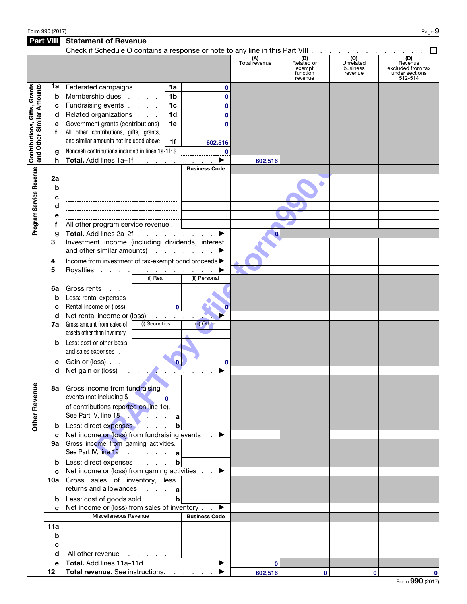Form 990 (2017) Page  $9$ 

### Part VIII Statement of Revenue Check if Schedule O contains a response or note to any line in this Part VIII . .  $\Box$ (D) **(A)**<br>Total revenue (B) Related or (C) Unrelated business Revenue excluded from tax exempt function revenue under sections revenue 512-514 Contributions, Gifts, Grants **Contributions, Gifts, Grants**<br>and Other Similar Amounts 1a Federated campaigns  $\therefore$  1a **0** and Other Similar Amounts **b** Membership dues . . . . 1b **0** c Fundraising events  $\ldots$  .  $\vert$  1c **0 d** Related organizations  $\therefore$   $\therefore$  1**d 0** e Government grants (contributions) | 1e **0** f All other contributions, gifts, grants, **DRAFT BY INTERFERIGATE CONSULTER CONSULTER CONSULTER CONSULTER CONSULTER CONSULTER CONSULTER CONSULTER CONSULTER CONSULTER CONSULTER CONSULTER CONSULTER CONSULTER CONSULTER CONSULTER CONSULTER CONSULTER CONSULTER CONSULTE** and similar amounts not included above  $\parallel$  1f **602,516** g Noncash contributions included in lines 1a-1f: \$ **0 h** Total. Add lines  $1a-1f$  . . . . . . . . .  $\blacktriangleright$ **602,516** Program Service Revenue Business Code Program Service Revenue 2a b c d e f All other program service revenue . g Total. Add lines  $2a-2f$  . . . . . <u>. . . .</u> ▶ **0** 3 Investment income (including dividends, interest, and other similar amounts)  $\cdots$  . . . . .  $\blacktriangleright$ 4 Income from investment of tax-exempt bond proceeds  $\blacktriangleright$ 5 Royalties . . . . . . . . . . . . D (i) Real (ii) Personal 6a Gross rents . . **b** Less: rental expenses c Rental income or (loss) **0 0** d Net rental income or (loss) (i) Securities (ii) Other **7a** Gross amount from sales of assets other than inventory **b** Less: cost or other basis and sales expenses . c Gain or (loss) . . **0 0**  $d$  Net gain or (loss) . . . .  $\blacktriangleright$ **Other Revenue** Other Revenue 8a Gross income from fundraising events (not including \$ **0** of contributions reported on line 1c). See Part IV, line 18 . . . . . . . . a **b** Less: direct expenses . . . . . **b** c Net income or (loss) from fundraising events  $\blacksquare$ 9a Gross income from gaming activities. See Part IV, line 19 . . . . . a **b** Less: direct expenses . . . . **b** c Net income or (loss) from gaming activities  $\blacksquare$ . 10a Gross sales of inventory, less returns and allowances . . . **a b** Less: cost of goods sold . . . **b** c Net income or (loss) from sales of inventory  $\ldots$ Miscellaneous Revenue **Business Code** 11a b c d All other revenue . . . . . e Total. Add lines 11a–11d  $\ldots$  . . . . . ▶ **0** 12 Total revenue. See instructions. . . . . . .  $\blacktriangleright$ **0 602,516 00**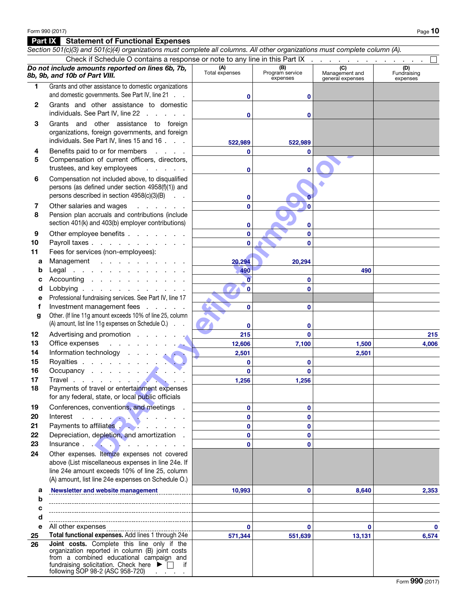### Part IX Statement of Functional Expenses

*Section 501(c)(3) and 501(c)(4) organizations must complete all columns. All other organizations must complete column (A).* Check if Schedule O contains a response or note to any line in this Part IX *Do not include amounts reported on lines 6b, 7b,*  **(A)**<br>Total expenses **(B)**<br>Program service **(C)**<br>Management and (D)<br>Fundraising *8b, 9b, and 10b of Part VIII.* expenses general expenses expenses 1 Grants and other assistance to domestic organizations and domestic governments. See Part IV, line 21 . . **0 0** 2 Grants and other assistance to domestic individuals. See Part IV, line 22 . . . . . **0 0** 3 Grants and other assistance to foreign organizations, foreign governments, and foreign Part IV, lines 15 and 16.<br>
or for members<br>
or former differences, directors,<br>
ey employees :<br>
or director discussibilities<br>
(at inducted above, to disqualified<br>
and under section 4958(0)(1)) and<br>
and wages<br>
and one school individuals. See Part IV, lines 15 and 16 . . . **522,989 522,989** 4 Benefits paid to or for members . . . . **0 0** 5 Compensation of current officers, directors, trustees, and key employees . . . . . **0 0** 6 Compensation not included above, to disqualified persons (as defined under section 4958(f)(1)) and persons described in section 4958(c)(3)(B) . . **0 0** 7 Other salaries and wages . . . . . . **0 0** 8 Pension plan accruals and contributions (include section 401(k) and 403(b) employer contributions) **0 0** 9 Other employee benefits . . . . . . . **0 0 0** 10 Payroll taxes . . . . . . . . . . . **0** 11 Fees for services (non-employees): a Management . . . . . . . . . . **20,294 20,294 b** Legal . . . . . . . . . . . . . **490 490** c Accounting  $\ldots$  . . . . . . . . . **0 0 0 0** d Lobbying . . . . . . . . . . e Professional fundraising services. See Part IV, line 17 f Investment management fees . . . . . **0 0** g Other. (If line 11g amount exceeds 10% of line 25, column (A) amount, list line 11g expenses on Schedule O.) . . **0 0** 12 Advertising and promotion. **215 0 215** 13 Office expenses . . . **12,606 7,100 1,500 4,006** 14 Information technology . **2,501 2,501**15 Royalties . . . . . . **0 0** 16 Occupancy . . . . **0 0** 17 Travel . . . . . . . . **1,256 1,256** 18 Payments of travel or entertainment expenses for any federal, state, or local public officials 19 Conferences, conventions, and meetings . **0 0** 20 Interest . . . . . . . . . . . . **0 0** 21 Payments to affiliates **2008** . . . . . **0 0** 22 Depreciation, depletion, and amortization. **0 0** 23 Insurance . . . . . . . . . . . . **0 0** 24 Other expenses. Itemize expenses not covered above (List miscellaneous expenses in line 24e. If line 24e amount exceeds 10% of line 25, column (A) amount, list line 24e expenses on Schedule O.) **Newsletter and website management 10,993 0 8,640 2,353** a b c d e All other expenses **0 0 0 0** 25 Total functional expenses. Add lines 1 through 24e **571,344 551,639 13,131 6,574** 26 Joint costs. Complete this line only if the organization reported in column (B) joint costs from a combined educational campaign and fundraising solicitation. Check here  $\blacktriangleright$   $\Box$  if following SOP 98-2 (ASC 958-720)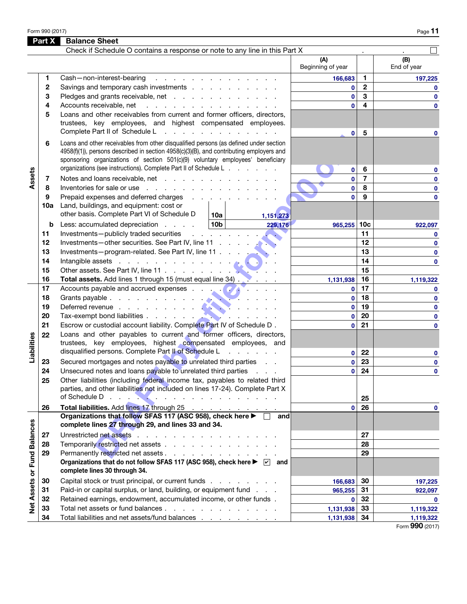Form 990 (2017)  $\qquad \qquad$  Page  $\bf{11}$ 

|                             | Part X   | <b>Balance Sheet</b>                                                                                                                                                                                                                                                                                                                   |                          |                 |                    |
|-----------------------------|----------|----------------------------------------------------------------------------------------------------------------------------------------------------------------------------------------------------------------------------------------------------------------------------------------------------------------------------------------|--------------------------|-----------------|--------------------|
|                             |          | Check if Schedule O contains a response or note to any line in this Part X                                                                                                                                                                                                                                                             |                          |                 |                    |
|                             |          |                                                                                                                                                                                                                                                                                                                                        | (A)<br>Beginning of year |                 | (B)<br>End of year |
|                             | 1        | Cash-non-interest-bearing<br>and the company of the company of the company of                                                                                                                                                                                                                                                          | 166,683                  | 1.              | 197,225            |
|                             | 2        | Savings and temporary cash investments                                                                                                                                                                                                                                                                                                 | 0                        | $\mathbf{2}$    | $\mathbf{0}$       |
|                             | 3        | Pledges and grants receivable, net                                                                                                                                                                                                                                                                                                     | $\mathbf{0}$             | 3               | $\mathbf 0$        |
|                             | 4        | Accounts receivable, net<br>and the contract of the contract of the contract                                                                                                                                                                                                                                                           | $\mathbf{0}$             | 4               | $\bf{0}$           |
|                             | 5        | Loans and other receivables from current and former officers, directors,<br>trustees, key employees, and highest compensated employees.<br>Complete Part II of Schedule L<br>the contract of the contract of the contract of                                                                                                           |                          | 5               |                    |
|                             | 6        | Loans and other receivables from other disqualified persons (as defined under section<br>4958(f)(1)), persons described in section 4958(c)(3)(B), and contributing employers and<br>sponsoring organizations of section 501(c)(9) voluntary employees' beneficiary<br>organizations (see instructions). Complete Part II of Schedule L | 0                        |                 | 0                  |
|                             |          |                                                                                                                                                                                                                                                                                                                                        | $\bf{0}$                 | 6               | $\mathbf 0$        |
| Assets                      | 7        | Notes and loans receivable, net                                                                                                                                                                                                                                                                                                        | $\mathbf{0}$             | $\overline{7}$  | $\mathbf 0$        |
|                             | 8        | Inventories for sale or use                                                                                                                                                                                                                                                                                                            | $\mathbf{0}$             | 8               | $\mathbf 0$        |
|                             | 9<br>10a | Prepaid expenses and deferred charges<br>Land, buildings, and equipment: cost or<br>other basis. Complete Part VI of Schedule D<br>10a l<br>1,151,273                                                                                                                                                                                  | $\mathbf{0}$             | 9               | $\mathbf 0$        |
|                             | b        | 10b <br>Less: accumulated depreciation<br>229,176                                                                                                                                                                                                                                                                                      | 965,255                  | 10 <sub>c</sub> | 922,097            |
|                             | 11       | Investments-publicly traded securities<br>and a state of the state of                                                                                                                                                                                                                                                                  |                          | 11              | $\mathbf 0$        |
|                             | 12       |                                                                                                                                                                                                                                                                                                                                        |                          | 12              | $\mathbf 0$        |
|                             | 13       | Investments-program-related. See Part IV, line 11                                                                                                                                                                                                                                                                                      |                          | 13              | $\mathbf 0$        |
|                             | 14       | Intangible assets in the contract of the contract of the contract of the contract of the contract of the contract of the contract of the contract of the contract of the contract of the contract of the contract of the contr                                                                                                         |                          | 14              | $\mathbf 0$        |
|                             | 15       |                                                                                                                                                                                                                                                                                                                                        |                          | 15              |                    |
|                             | 16       | Total assets. Add lines 1 through 15 (must equal line 34)                                                                                                                                                                                                                                                                              | 1,131,938                | 16              | 1,119,322          |
|                             | 17       |                                                                                                                                                                                                                                                                                                                                        | $\mathbf{0}$             | 17              | $\mathbf 0$        |
|                             | 18       |                                                                                                                                                                                                                                                                                                                                        | $\mathbf{0}$             | 18              | $\mathbf 0$        |
|                             | 19       |                                                                                                                                                                                                                                                                                                                                        | $\mathbf{0}$             | 19              | 0                  |
|                             | 20       |                                                                                                                                                                                                                                                                                                                                        | $\mathbf{0}$             | 20              | 0                  |
|                             | 21       | Escrow or custodial account liability. Complete Part IV of Schedule D.                                                                                                                                                                                                                                                                 | 0                        | 21              | 0                  |
| Liabilities                 | 22       | Loans and other payables to current and former officers, directors,<br>trustees, key employees, highest compensated employees, and                                                                                                                                                                                                     |                          |                 |                    |
|                             |          | disqualified persons. Complete Part II of Schedule L<br>contractor and a state                                                                                                                                                                                                                                                         | $\mathbf{0}$             | 22              | 0                  |
|                             | 23       | Secured mortgages and notes payable to unrelated third parties                                                                                                                                                                                                                                                                         | $\mathbf{0}$             | 23              | $\mathbf 0$        |
|                             | 24       | Unsecured notes and loans payable to unrelated third parties                                                                                                                                                                                                                                                                           | 0                        | 24              | $\bf{0}$           |
|                             | 25       | Other liabilities (including federal income tax, payables to related third<br>parties, and other liabilities not included on lines 17-24). Complete Part X                                                                                                                                                                             |                          |                 |                    |
|                             |          |                                                                                                                                                                                                                                                                                                                                        |                          | 25              |                    |
|                             | 26       | Total liabilities. Add lines 17 through 25<br>Organizations that follow SFAS 117 (ASC 958), check here ▶ □                                                                                                                                                                                                                             | 0                        | 26              | $\mathbf 0$        |
|                             |          | and<br>complete lines 27 through 29, and lines 33 and 34.                                                                                                                                                                                                                                                                              |                          |                 |                    |
|                             | 27       | Unrestricted net assets                                                                                                                                                                                                                                                                                                                |                          | 27              |                    |
|                             | 28       | Temporarily restricted net assets                                                                                                                                                                                                                                                                                                      |                          | 28              |                    |
|                             | 29       | Permanently restricted net assets                                                                                                                                                                                                                                                                                                      |                          | 29              |                    |
| Net Assets or Fund Balances |          | Organizations that do not follow SFAS 117 (ASC 958), check here ▶ ⊘ and<br>complete lines 30 through 34.                                                                                                                                                                                                                               |                          |                 |                    |
|                             | 30       | Capital stock or trust principal, or current funds                                                                                                                                                                                                                                                                                     | 166,683                  | 30              | 197,225            |
|                             | 31       | Paid-in or capital surplus, or land, building, or equipment fund                                                                                                                                                                                                                                                                       | $965,255$ 31             |                 | 922,097            |
|                             | 32       | Retained earnings, endowment, accumulated income, or other funds.                                                                                                                                                                                                                                                                      | $\mathbf{0}$             | 32              | $\mathbf 0$        |
|                             | 33       | Total net assets or fund balances                                                                                                                                                                                                                                                                                                      | 1,131,938                | 33              | 1,119,322          |
|                             | 34       | Total liabilities and net assets/fund balances                                                                                                                                                                                                                                                                                         | 1,131,938                | 34              | 1,119,322          |

Form 990 (2017)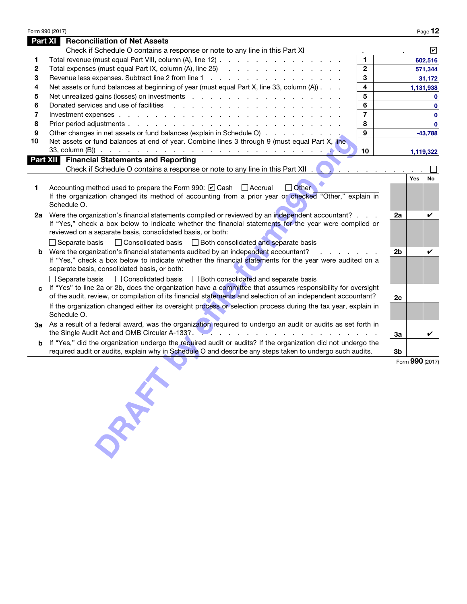|              | Form 990 (2017)                                                                                                                                                                                                                                                                |                |    |            | Page 12            |  |
|--------------|--------------------------------------------------------------------------------------------------------------------------------------------------------------------------------------------------------------------------------------------------------------------------------|----------------|----|------------|--------------------|--|
|              | <b>Reconciliation of Net Assets</b><br>Part XI                                                                                                                                                                                                                                 |                |    |            |                    |  |
|              | Check if Schedule O contains a response or note to any line in this Part XI                                                                                                                                                                                                    |                |    |            | $ \boldsymbol{v} $ |  |
| 1            | Total revenue (must equal Part VIII, column (A), line 12)                                                                                                                                                                                                                      | 1              |    |            | 602,516            |  |
| $\mathbf{2}$ | Total expenses (must equal Part IX, column (A), line 25) (and a contact of a contact of a contact of a contact of a contact of a contact of a contact of a contact of a contact of a contact of a contact of a contact of a co                                                 | $\mathbf{2}$   |    |            | 571,344            |  |
| 3            | Revenue less expenses. Subtract line 2 from line 1                                                                                                                                                                                                                             | 3              |    |            | 31,172             |  |
| 4            | Net assets or fund balances at beginning of year (must equal Part X, line 33, column (A))                                                                                                                                                                                      | 4              |    |            | 1,131,938          |  |
| 5            | 5                                                                                                                                                                                                                                                                              |                |    |            |                    |  |
| 6            | Donated services and use of facilities<br><u>. In the second contract of the second contract of the second contract of the second contract of the second contract of the second contract of the second contract of the second contract of the second contract of the secon</u> | 6              |    |            | $\mathbf 0$        |  |
| 7            |                                                                                                                                                                                                                                                                                | $\overline{7}$ |    |            | $\mathbf 0$        |  |
| 8            |                                                                                                                                                                                                                                                                                | 8              |    |            | $\mathbf{0}$       |  |
| 9            | Other changes in net assets or fund balances (explain in Schedule O)                                                                                                                                                                                                           | 9              |    |            | $-43,788$          |  |
| 10           | Net assets or fund balances at end of year. Combine lines 3 through 9 (must equal Part X, line<br>33, column (B)) $\cdots$ $\cdots$ $\cdots$ $\cdots$ $\cdots$ $\cdots$ $\cdots$ $\cdots$ $\cdots$ $\cdots$                                                                    | 10             |    |            | 1,119,322          |  |
|              | <b>Financial Statements and Reporting</b><br><b>Part XII</b>                                                                                                                                                                                                                   |                |    |            |                    |  |
|              | Check if Schedule O contains a response or note to any line in this Part XII (A) New York Check if Schedule O contains a response or note to any line in this Part XII                                                                                                         |                |    |            |                    |  |
|              |                                                                                                                                                                                                                                                                                |                |    | <b>Yes</b> | <b>No</b>          |  |
| 1            | Other<br>Accounting method used to prepare the Form 990: 0 Cash C Accrual<br>If the organization changed its method of accounting from a prior year or checked "Other," explain in<br>Schedule O.                                                                              |                |    |            |                    |  |
| 2a           | Were the organization's financial statements compiled or reviewed by an independent accountant?                                                                                                                                                                                |                | 2a |            | V                  |  |
|              | If "Yes," check a box below to indicate whether the financial statements for the year were compiled or<br>reviewed on a separate basis, consolidated basis, or both:                                                                                                           |                |    |            |                    |  |
|              | □ Consolidated basis □ Both consolidated and separate basis<br>$\Box$ Separate basis                                                                                                                                                                                           |                |    |            |                    |  |
|              | <b>b</b> Were the organization's financial statements audited by an independent accountant?<br>.                                                                                                                                                                               |                | 2b |            | V                  |  |
|              | If "Yes," check a box below to indicate whether the financial statements for the year were audited on a<br>separate basis, consolidated basis, or both:                                                                                                                        |                |    |            |                    |  |
|              | □ Consolidated basis □ Both consolidated and separate basis<br>$\Box$ Separate basis                                                                                                                                                                                           |                |    |            |                    |  |
| C            | If "Yes" to line 2a or 2b, does the organization have a committee that assumes responsibility for oversight<br>of the audit, review, or compilation of its financial statements and selection of an independent accountant?                                                    |                | 2c |            |                    |  |
|              | If the organization changed either its oversight process or selection process during the tax year, explain in<br>Schedule O.                                                                                                                                                   |                |    |            |                    |  |
| За           | As a result of a federal award, was the organization required to undergo an audit or audits as set forth in<br>the Single Audit Act and OMB Circular A-133?                                                                                                                    |                | За |            | V                  |  |
| b            | If "Yes," did the organization undergo the required audit or audits? If the organization did not undergo the                                                                                                                                                                   |                |    |            |                    |  |
|              | required audit or audits, explain why in Schedule O and describe any steps taken to undergo such audits.                                                                                                                                                                       |                | 3b |            |                    |  |
|              |                                                                                                                                                                                                                                                                                |                |    |            | Form 990 (2017)    |  |
|              | ORNALD                                                                                                                                                                                                                                                                         |                |    |            |                    |  |

|  |  | Form $990$ (2017) |
|--|--|-------------------|
|--|--|-------------------|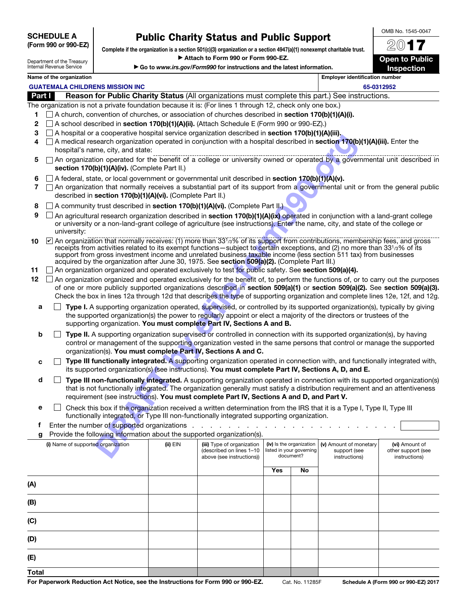| <b>SCHEDULE A</b>    |
|----------------------|
| (Form 990 or 990-EZ) |

# Public Charity Status and Public Support

Complete if the organization is a section 501(c)(3) organization or a section 4947(a)(1) nonexempt charitable trust. Attach to Form 990 or Form 990-EZ.

| Department of the Treasury |
|----------------------------|
| Internal Revenue Service   |

(C)

(D)

(E) Total

| Go to www.irs.gov/Form990 for instructions and the latest information. |  |  |
|------------------------------------------------------------------------|--|--|



OMB No. 1545-0047

|  | Name of the organization |
|--|--------------------------|
|--|--------------------------|

|        | Name of the organization                                                                                                                                                                                             |          |                               |     |                          | <b>Employer identification number</b> |                |
|--------|----------------------------------------------------------------------------------------------------------------------------------------------------------------------------------------------------------------------|----------|-------------------------------|-----|--------------------------|---------------------------------------|----------------|
|        | <b>GUATEMALA CHILDRENS MISSION INC</b>                                                                                                                                                                               |          |                               |     |                          |                                       | 65-0312952     |
| Part I | Reason for Public Charity Status (All organizations must complete this part.) See instructions.                                                                                                                      |          |                               |     |                          |                                       |                |
|        | The organization is not a private foundation because it is: (For lines 1 through 12, check only one box.)                                                                                                            |          |                               |     |                          |                                       |                |
| 1      | $\Box$ A church, convention of churches, or association of churches described in <b>section 170(b)(1)(A)(i).</b>                                                                                                     |          |                               |     |                          |                                       |                |
| 2      | $\Box$ A school described in <b>section 170(b)(1)(A)(ii).</b> (Attach Schedule E (Form 990 or 990-EZ).)                                                                                                              |          |                               |     |                          |                                       |                |
| 3      | $\Box$ A hospital or a cooperative hospital service organization described in <b>section 170(b)(1)(A)(iii).</b>                                                                                                      |          |                               |     |                          |                                       |                |
| 4      | $\Box$ A medical research organization operated in conjunction with a hospital described in section 170(b)(1)(A)(iii). Enter the                                                                                     |          |                               |     |                          |                                       |                |
|        | hospital's name, city, and state:                                                                                                                                                                                    |          |                               |     |                          |                                       |                |
| 5      | □ An organization operated for the benefit of a college or university owned or operated by a governmental unit described in<br>section 170(b)(1)(A)(iv). (Complete Part II.)                                         |          |                               |     |                          |                                       |                |
| 6      | $\Box$ A federal, state, or local government or governmental unit described in section 170(b)(1)(A)(v).                                                                                                              |          |                               |     |                          |                                       |                |
| 7      | □ An organization that normally receives a substantial part of its support from a governmental unit or from the general public                                                                                       |          |                               |     |                          |                                       |                |
|        | described in section 170(b)(1)(A)(vi). (Complete Part II.)                                                                                                                                                           |          |                               |     |                          |                                       |                |
| 8      | A community trust described in section 170(b)(1)(A)(vi). (Complete Part II.)                                                                                                                                         |          |                               |     |                          |                                       |                |
| 9      | An agricultural research organization described in section 170(b)(1)(A)(ix) operated in conjunction with a land-grant college                                                                                        |          |                               |     |                          |                                       |                |
|        | or university or a non-land-grant college of agriculture (see instructions). Enter the name, city, and state of the college or<br>university:                                                                        |          |                               |     |                          |                                       |                |
| 10     | An organization that normally receives: (1) more than 33 <sup>1</sup> /3% of its support from contributions, membership fees, and gross                                                                              |          |                               |     |                          |                                       |                |
|        | receipts from activities related to its exempt functions—subject to certain exceptions, and (2) no more than 331/3% of its                                                                                           |          |                               |     |                          |                                       |                |
|        | support from gross investment income and unrelated business taxable income (less section 511 tax) from businesses                                                                                                    |          |                               |     |                          |                                       |                |
| 11     | acquired by the organization after June 30, 1975. See section 509(a)(2). (Complete Part III.)<br>□ An organization organized and operated exclusively to test for public safety. See section 509(a)(4).              |          |                               |     |                          |                                       |                |
| 12     | $\Box$ An organization organized and operated exclusively for the benefit of, to perform the functions of, or to carry out the purposes                                                                              |          |                               |     |                          |                                       |                |
|        | of one or more publicly supported organizations described in section 509(a)(1) or section 509(a)(2). See section 509(a)(3).                                                                                          |          |                               |     |                          |                                       |                |
|        | Check the box in lines 12a through 12d that describes the type of supporting organization and complete lines 12e, 12f, and 12g.                                                                                      |          |                               |     |                          |                                       |                |
| a      | Type I. A supporting organization operated, supervised, or controlled by its supported organization(s), typically by giving                                                                                          |          |                               |     |                          |                                       |                |
|        | the supported organization(s) the power to regularly appoint or elect a majority of the directors or trustees of the                                                                                                 |          |                               |     |                          |                                       |                |
|        | supporting organization. You must complete Part IV, Sections A and B.                                                                                                                                                |          |                               |     |                          |                                       |                |
| b      | Type II. A supporting organization supervised or controlled in connection with its supported organization(s), by having                                                                                              |          |                               |     |                          |                                       |                |
|        | control or management of the supporting organization vested in the same persons that control or manage the supported                                                                                                 |          |                               |     |                          |                                       |                |
|        | organization(s). You must complete Part IV, Sections A and C.                                                                                                                                                        |          |                               |     |                          |                                       |                |
| C      | Type III functionally integrated. A supporting organization operated in connection with, and functionally integrated with,                                                                                           |          |                               |     |                          |                                       |                |
|        | its supported organization(s) (see instructions). You must complete Part IV, Sections A, D, and E.                                                                                                                   |          |                               |     |                          |                                       |                |
| d      | Type III non-functionally integrated. A supporting organization operated in connection with its supported organization(s)                                                                                            |          |                               |     |                          |                                       |                |
|        | that is not functionally integrated. The organization generally must satisfy a distribution requirement and an attentiveness                                                                                         |          |                               |     |                          |                                       |                |
|        | requirement (see instructions). You must complete Part IV, Sections A and D, and Part V.                                                                                                                             |          |                               |     |                          |                                       |                |
| е      | Check this box if the organization received a written determination from the IRS that it is a Type I, Type II, Type III<br>functionally integrated, or Type III non-functionally integrated supporting organization. |          |                               |     |                          |                                       |                |
| f      | Enter the number of supported organizations .                                                                                                                                                                        |          | and a strain and a strain and |     |                          |                                       |                |
| g      | Provide the following information about the supported organization(s).                                                                                                                                               |          |                               |     |                          |                                       |                |
|        | (i) Name of supported organization                                                                                                                                                                                   | (ii) EIN | (iii) Type of organization    |     | (iv) Is the organization | (v) Amount of monetary                | (vi) Amount of |
|        | (described on lines 1-10<br>listed in your governing<br>support (see<br>other support (see<br>document?                                                                                                              |          |                               |     |                          |                                       |                |
|        |                                                                                                                                                                                                                      |          | above (see instructions))     |     |                          | instructions)                         | instructions)  |
|        |                                                                                                                                                                                                                      |          |                               | Yes | No                       |                                       |                |
| (A)    |                                                                                                                                                                                                                      |          |                               |     |                          |                                       |                |
|        |                                                                                                                                                                                                                      |          |                               |     |                          |                                       |                |
| (B)    |                                                                                                                                                                                                                      |          |                               |     |                          |                                       |                |
|        |                                                                                                                                                                                                                      |          |                               |     |                          |                                       |                |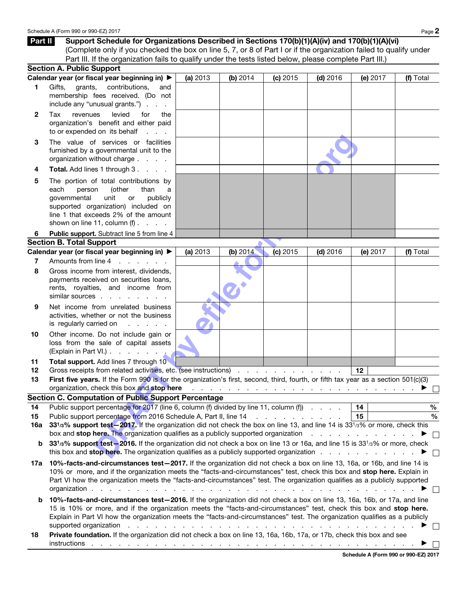|                | Part II<br>Support Schedule for Organizations Described in Sections 170(b)(1)(A)(iv) and 170(b)(1)(A)(vi)                                                                                                                                                                                                                                                                                                                                                                                                                                                                                                   |          |          |          |            |          |                                |
|----------------|-------------------------------------------------------------------------------------------------------------------------------------------------------------------------------------------------------------------------------------------------------------------------------------------------------------------------------------------------------------------------------------------------------------------------------------------------------------------------------------------------------------------------------------------------------------------------------------------------------------|----------|----------|----------|------------|----------|--------------------------------|
|                | (Complete only if you checked the box on line 5, 7, or 8 of Part I or if the organization failed to qualify under                                                                                                                                                                                                                                                                                                                                                                                                                                                                                           |          |          |          |            |          |                                |
|                | Part III. If the organization fails to qualify under the tests listed below, please complete Part III.)<br><b>Section A. Public Support</b>                                                                                                                                                                                                                                                                                                                                                                                                                                                                 |          |          |          |            |          |                                |
|                | Calendar year (or fiscal year beginning in) ▶                                                                                                                                                                                                                                                                                                                                                                                                                                                                                                                                                               | (a) 2013 | (b) 2014 | (c) 2015 | $(d)$ 2016 | (e) 2017 | (f) Total                      |
| 1              | grants,<br>contributions,<br>Gifts,<br>and                                                                                                                                                                                                                                                                                                                                                                                                                                                                                                                                                                  |          |          |          |            |          |                                |
|                | membership fees received. (Do not<br>include any "unusual grants.")                                                                                                                                                                                                                                                                                                                                                                                                                                                                                                                                         |          |          |          |            |          |                                |
| $\mathbf{2}$   | levied<br>revenues<br>for<br>Tax<br>the<br>organization's benefit and either paid<br>to or expended on its behalf<br><b>Service</b>                                                                                                                                                                                                                                                                                                                                                                                                                                                                         |          |          |          |            |          |                                |
| 3              | The value of services or facilities<br>furnished by a governmental unit to the<br>organization without charge                                                                                                                                                                                                                                                                                                                                                                                                                                                                                               |          |          |          |            |          |                                |
| 4              | Total. Add lines 1 through 3.                                                                                                                                                                                                                                                                                                                                                                                                                                                                                                                                                                               |          |          |          |            |          |                                |
| 5              | The portion of total contributions by<br>each<br>(other<br>person<br>than<br>a<br>unit<br>governmental<br>publicly<br>or<br>supported organization) included on<br>line 1 that exceeds 2% of the amount<br>shown on line 11, column $(f)$ .                                                                                                                                                                                                                                                                                                                                                                 |          |          |          |            |          |                                |
| 6              | Public support. Subtract line 5 from line 4                                                                                                                                                                                                                                                                                                                                                                                                                                                                                                                                                                 |          |          |          |            |          |                                |
|                | <b>Section B. Total Support</b>                                                                                                                                                                                                                                                                                                                                                                                                                                                                                                                                                                             |          |          |          |            |          |                                |
| 7              | Calendar year (or fiscal year beginning in) ▶<br>Amounts from line 4<br>and a state of the                                                                                                                                                                                                                                                                                                                                                                                                                                                                                                                  | (a) 2013 | (b) 2014 | (c) 2015 | $(d)$ 2016 | (e) 2017 | (f) Total                      |
| 8              | Gross income from interest, dividends,<br>payments received on securities loans,<br>rents, royalties, and income from<br>similar sources                                                                                                                                                                                                                                                                                                                                                                                                                                                                    |          |          |          |            |          |                                |
| 9              | Net income from unrelated business<br>activities, whether or not the business<br>is regularly carried on                                                                                                                                                                                                                                                                                                                                                                                                                                                                                                    |          |          |          |            |          |                                |
| 10             | Other income. Do not include gain or<br>loss from the sale of capital assets<br>(Explain in Part VI.)                                                                                                                                                                                                                                                                                                                                                                                                                                                                                                       |          |          |          |            |          |                                |
| 11<br>12<br>13 | Total support. Add lines 7 through 10<br>Gross receipts from related activities, etc. (see instructions)<br>First five years. If the Form 990 is for the organization's first, second, third, fourth, or fifth tax year as a section 501(c)(3)<br>organization, check this box and stop here                                                                                                                                                                                                                                                                                                                |          |          |          |            | 12       |                                |
|                | Section C. Computation of Public Support Percentage                                                                                                                                                                                                                                                                                                                                                                                                                                                                                                                                                         |          |          |          |            |          |                                |
| 14<br>15       | Public support percentage for 2017 (line 6, column (f) divided by line 11, column (f)<br>Public support percentage from 2016 Schedule A, Part II, line 14 [1] [1] Network of the state of the Schedule A, Part II, line 14 [1] $\sim$ 0.1 (1] $\sim$ 0.1 (1] $\sim$ 0.1 (1] $\sim$ 0.1 (1] $\sim$ 0.1 (1] $\sim$ 0.1 (1] $\sim$ 0.1 (                                                                                                                                                                                                                                                                       |          |          |          |            | 14<br>15 | $\%$<br>$\%$                   |
| 16a            | 331/3% support test-2017. If the organization did not check the box on line 13, and line 14 is 331/3% or more, check this                                                                                                                                                                                                                                                                                                                                                                                                                                                                                   |          |          |          |            |          |                                |
| b              | box and <b>stop here.</b> The organization qualifies as a publicly supported organization<br>33 <sup>1</sup> /3% support test-2016. If the organization did not check a box on line 13 or 16a, and line 15 is 33 <sup>1</sup> /3% or more, check<br>this box and stop here. The organization qualifies as a publicly supported organization                                                                                                                                                                                                                                                                 |          |          |          |            |          | $\blacktriangleright$ $\vdash$ |
| 17а            | 10%-facts-and-circumstances test-2017. If the organization did not check a box on line 13, 16a, or 16b, and line 14 is<br>10% or more, and if the organization meets the "facts-and-circumstances" test, check this box and stop here. Explain in<br>Part VI how the organization meets the "facts-and-circumstances" test. The organization qualifies as a publicly supported<br>organization.<br>and the company of the company of the company of the company of the company of the company of the company of the                                                                                         |          |          |          |            |          |                                |
| b              | 10%-facts-and-circumstances test-2016. If the organization did not check a box on line 13, 16a, 16b, or 17a, and line<br>15 is 10% or more, and if the organization meets the "facts-and-circumstances" test, check this box and stop here.<br>Explain in Part VI how the organization meets the "facts-and-circumstances" test. The organization qualifies as a publicly<br>supported organization enterstated by the contract of the contract of the contract of the contract of the contract of the contract of the contract of the contract of the contract of the contract of the contract of the cont |          |          |          |            |          |                                |
| 18             | Private foundation. If the organization did not check a box on line 13, 16a, 16b, 17a, or 17b, check this box and see                                                                                                                                                                                                                                                                                                                                                                                                                                                                                       |          |          |          |            |          |                                |

Schedule A (Form 990 or 990-EZ) 2017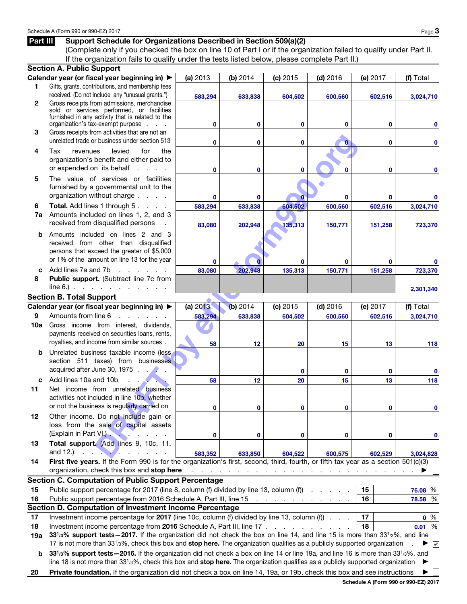## Part III Support Schedule for Organizations Described in Section 509(a)(2)

(Complete only if you checked the box on line 10 of Part I or if the organization failed to qualify under Part II. If the organization fails to qualify under the tests listed below, please complete Part II.)

|              | <b>Section A. Public Support</b>                                                                                                                            |              |              |                                |                                                                                 |             |                      |
|--------------|-------------------------------------------------------------------------------------------------------------------------------------------------------------|--------------|--------------|--------------------------------|---------------------------------------------------------------------------------|-------------|----------------------|
|              | Calendar year (or fiscal year beginning in) ▶                                                                                                               | (a) 2013     | (b) 2014     | (c) 2015                       | $(d)$ 2016                                                                      | (e) 2017    | (f) Total            |
| 1.           | Gifts, grants, contributions, and membership fees                                                                                                           |              |              |                                |                                                                                 |             |                      |
|              | received. (Do not include any "unusual grants.")                                                                                                            | 583,294      | 633,838      | 604,502                        | 600,560                                                                         | 602,516     | 3,024,710            |
| $\mathbf{2}$ | Gross receipts from admissions, merchandise                                                                                                                 |              |              |                                |                                                                                 |             |                      |
|              | sold or services performed, or facilities                                                                                                                   |              |              |                                |                                                                                 |             |                      |
|              | furnished in any activity that is related to the<br>organization's tax-exempt purpose                                                                       | $\mathbf{0}$ | $\mathbf{0}$ | 0                              | $\bf{0}$                                                                        | 0           | 0                    |
| 3            | Gross receipts from activities that are not an                                                                                                              |              |              |                                |                                                                                 |             |                      |
|              | unrelated trade or business under section 513                                                                                                               |              |              |                                |                                                                                 |             |                      |
|              |                                                                                                                                                             | $\mathbf{0}$ | $\mathbf{0}$ | 0                              | o                                                                               | 0           | 0                    |
| 4            | levied<br>Tax<br>for<br>the<br>revenues                                                                                                                     |              |              |                                |                                                                                 |             |                      |
|              | organization's benefit and either paid to                                                                                                                   |              |              |                                |                                                                                 |             |                      |
|              | or expended on its behalf<br>and a state of the                                                                                                             | $\mathbf{0}$ | $\mathbf{0}$ | $\mathbf{0}$                   |                                                                                 | 0           | 0                    |
| 5            | The value of services or facilities                                                                                                                         |              |              |                                |                                                                                 |             |                      |
|              | furnished by a governmental unit to the                                                                                                                     |              |              |                                |                                                                                 |             |                      |
|              | organization without charge                                                                                                                                 | $\bf{0}$     | 0            |                                | $\bf{0}$                                                                        | 0           |                      |
| 6            | Total. Add lines 1 through 5.                                                                                                                               | 583,294      | 633,838      | 604,502                        | 600,560                                                                         | 602,516     | 3,024,710            |
| 7a           | Amounts included on lines 1, 2, and 3                                                                                                                       |              |              |                                |                                                                                 |             |                      |
|              | received from disqualified persons                                                                                                                          | 83,080       | 202,948      | 135,313                        | 150,771                                                                         | 151,258     | 723,370              |
| b            | Amounts included on lines 2 and 3                                                                                                                           |              |              |                                |                                                                                 |             |                      |
|              | received from other than disqualified                                                                                                                       |              |              |                                |                                                                                 |             |                      |
|              | persons that exceed the greater of \$5,000                                                                                                                  |              |              |                                |                                                                                 |             |                      |
|              | or 1% of the amount on line 13 for the year                                                                                                                 | $\bf{0}$     |              |                                | $\mathbf{0}$                                                                    | 0           |                      |
| C            | Add lines 7a and 7b<br>and a state of the state                                                                                                             | 83,080       | 202,948      | 135,313                        | 150,771                                                                         | 151,258     | 723,370              |
| 8            | Public support. (Subtract line 7c from                                                                                                                      |              |              |                                |                                                                                 |             |                      |
|              | $line 6$ . $\ldots$ $\ldots$ $\ldots$ $\ldots$                                                                                                              |              |              |                                |                                                                                 |             | 2,301,340            |
|              | <b>Section B. Total Support</b>                                                                                                                             |              |              |                                |                                                                                 |             |                      |
|              |                                                                                                                                                             |              |              |                                |                                                                                 |             |                      |
|              | Calendar year (or fiscal year beginning in) ▶                                                                                                               | (a) 2013     | (b) 2014     | (c) 2015                       | $(d)$ 2016                                                                      | (e) 2017    | (f) Total            |
| 9            | Amounts from line 6<br>and a state of the state of the                                                                                                      | 583,294      | 633,838      | 604,502                        | 600,560                                                                         | 602,516     | 3,024,710            |
| 10a          | Gross income from interest, dividends,                                                                                                                      |              |              |                                |                                                                                 |             |                      |
|              | payments received on securities loans, rents,                                                                                                               |              |              |                                |                                                                                 |             |                      |
|              | royalties, and income from similar sources.                                                                                                                 | 58           | 12           | 20                             | 15                                                                              | 13          | 118                  |
| b            | Unrelated business taxable income (less,                                                                                                                    |              |              |                                |                                                                                 |             |                      |
|              | section 511 taxes) from businesses                                                                                                                          |              |              |                                |                                                                                 |             |                      |
|              | acquired after June 30, 1975                                                                                                                                |              |              | $\bf{0}$                       | $\bf{0}$                                                                        | $\mathbf 0$ | $\mathbf 0$          |
| c            | Add lines 10a and 10b                                                                                                                                       | 58           | 12           | 20                             | 15                                                                              | 13          | 118                  |
| 11           | Net income from unrelated business                                                                                                                          |              |              |                                |                                                                                 |             |                      |
|              | activities not included in line 10b, whether                                                                                                                |              |              |                                |                                                                                 |             |                      |
|              | or not the business is regularly carried on                                                                                                                 | 0            |              |                                |                                                                                 | 0           |                      |
| 12           | Other income. Do not include gain or                                                                                                                        |              |              |                                |                                                                                 |             |                      |
|              | loss from the sale of capital assets                                                                                                                        |              |              |                                |                                                                                 |             |                      |
|              | (Explain in Part VI.).<br><b>Contract Contract Contract Contract</b>                                                                                        | $\mathbf 0$  | 0            | 0                              | $\bf{0}$                                                                        |             |                      |
| 13           | Total support. (Add lines 9, 10c, 11,                                                                                                                       |              |              |                                |                                                                                 | 0           | 0                    |
|              | and $12$ .) $\qquad \qquad$ $\qquad \qquad$ $\qquad \qquad$                                                                                                 |              |              |                                |                                                                                 |             |                      |
|              | First five years. If the Form 990 is for the organization's first, second, third, fourth, or fifth tax year as a section 501(c)(3)                          | 583,352      | 633,850      | 604,522                        | 600,575                                                                         | 602,529     | 3,024,828            |
| 14           | organization, check this box and stop here                                                                                                                  |              |              |                                |                                                                                 |             |                      |
|              |                                                                                                                                                             |              |              |                                | the contract of the contract of the contract of the contract of the contract of |             |                      |
|              | <b>Section C. Computation of Public Support Percentage</b>                                                                                                  |              |              |                                |                                                                                 |             |                      |
| 15           | Public support percentage for 2017 (line 8, column (f) divided by line 13, column (f)                                                                       |              |              |                                |                                                                                 | 15          | 76.08 %              |
| 16           | Public support percentage from 2016 Schedule A, Part III, line 15                                                                                           |              |              | and a series of the company of |                                                                                 | 16          | 78.58 %              |
|              | Section D. Computation of Investment Income Percentage                                                                                                      |              |              |                                |                                                                                 |             |                      |
| 17           | Investment income percentage for 2017 (line 10c, column (f) divided by line 13, column (f)                                                                  |              |              |                                |                                                                                 | 17          | $0\%$                |
| 18           | Investment income percentage from 2016 Schedule A, Part III, line 17                                                                                        |              |              |                                |                                                                                 | 18          | 0.01%                |
| 19a          | 33 <sup>1</sup> /3% support tests - 2017. If the organization did not check the box on line 14, and line 15 is more than 33 <sup>1</sup> /3%, and line      |              |              |                                |                                                                                 |             |                      |
|              | 17 is not more than 33 <sup>1</sup> /3%, check this box and stop here. The organization qualifies as a publicly supported organization                      |              |              |                                |                                                                                 |             | $\blacktriangledown$ |
| b            | 33 <sup>1</sup> /3% support tests - 2016. If the organization did not check a box on line 14 or line 19a, and line 16 is more than 33 <sup>1</sup> /3%, and |              |              |                                |                                                                                 |             |                      |
|              | line 18 is not more than $3313%$ , check this box and stop here. The organization qualifies as a publicly supported organization                            |              |              |                                |                                                                                 |             | $\Box$               |
| 20           | Private foundation. If the organization did not check a box on line 14, 19a, or 19b, check this box and see instructions                                    |              |              |                                |                                                                                 |             |                      |
|              |                                                                                                                                                             |              |              |                                |                                                                                 |             |                      |

Schedule A (Form 990 or 990-EZ) 2017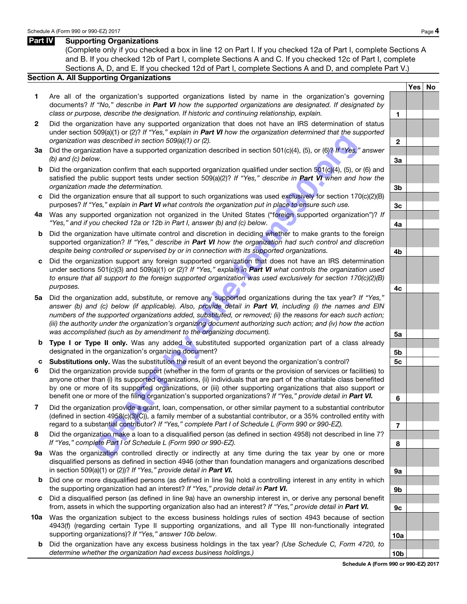## Part IV Supporting Organizations

(Complete only if you checked a box in line 12 on Part I. If you checked 12a of Part I, complete Sections A and B. If you checked 12b of Part I, complete Sections A and C. If you checked 12c of Part I, complete Sections A, D, and E. If you checked 12d of Part I, complete Sections A and D, and complete Part V.)

## Section A. All Supporting Organizations

- 1 Are all of the organization's supported organizations listed by name in the organization's governing documents? *If "No," describe in Part VI how the supported organizations are designated. If designated by class or purpose, describe the designation. If historic and continuing relationship, explain.* 1
- 2 Did the organization have any supported organization that does not have an IRS determination of status under section 509(a)(1) or (2)? *If "Yes," explain in Part VI how the organization determined that the supported organization was described in section 509(a)(1) or (2).* 2
- 3a Did the organization have a supported organization described in section 501(c)(4), (5), or (6)? *If "Yes," answer (b)* and *(c)* below. 3a
- b Did the organization confirm that each supported organization qualified under section 501(c)(4), (5), or (6) and satisfied the public support tests under section 509(a)(2)? *If "Yes," describe in Part VI when and how the organization made the determination.* 3b
- c Did the organization ensure that all support to such organizations was used exclusively for section 170(c)(2)(B) purposes? If "Yes," explain in **Part VI** what controls the organization put in place to ensure such use. **3c**
- 4a Was any supported organization not organized in the United States ("foreign supported organization")? *If "Yes," and if you checked 12a or 12b in Part I, answer (b) and (c) below.* $\bullet$  **4a**
- b Did the organization have ultimate control and discretion in deciding whether to make grants to the foreign supported organization? *If "Yes," describe in Part VI how the organization had such control and discretion* despite being controlled or supervised by or in connection with its supported organizations.
- c Did the organization support any foreign supported organization that does not have an IRS determination under sections 501(c)(3) and 509(a)(1) or (2)? *If "Yes," explain in Part VI what controls the organization used to ensure that all support to the foreign supported organization was used exclusively for section 170(c)(2)(B) purposes.* 4c
- as described in section 509(a)(1) or (2).<br>
W.<br>
and the such that such supported organization described in section 501(c)(4), (5), or (6)? *H*<sup>m</sup>Yes,<sup>37</sup><br>
W.<br>
Alta the confirm that each supported organization goalizing qual 5a Did the organization add, substitute, or remove any supported organizations during the tax year? *If "Yes," answer (b) and (c) below (if applicable). Also, provide detail in Part VI, including (i) the names and EIN numbers of the supported organizations added, substituted, or removed; (ii) the reasons for each such action; (iii) the authority under the organization's organizing document authorizing such action; and (iv) how the action* was accomplished (such as by amendment to the organizing document).
- **b Type I or Type II only.** Was any added or substituted supported organization part of a class already designated in the organization's organizing document? **5b** solution is the state of the state of the state of the state of the state of the state of the state of the state of the state of the state of the state of the stat
- c Substitutions only. Was the substitution the result of an event beyond the organization's control? 5c
- 6 Did the organization provide support (whether in the form of grants or the provision of services or facilities) to anyone other than (i) its supported organizations, (ii) individuals that are part of the charitable class benefited by one or more of its supported organizations, or (iii) other supporting organizations that also support or benefit one or more of the filing organization's supported organizations? *If "Yes," provide detail in Part VI.* **6**
- 7 Did the organization provide a grant, loan, compensation, or other similar payment to a substantial contributor (defined in section 4958(c)(3)(C)), a family member of a substantial contributor, or a 35% controlled entity with regard to a substantial contributor? *If "Yes," complete Part I of Schedule L (Form 990 or 990-EZ).* 7
- 8 Did the organization make a loan to a disqualified person (as defined in section 4958) not described in line 7? *If "Yes," complete Part I of Schedule L (Form 990 or 990-EZ).* 8
- 9a Was the organization controlled directly or indirectly at any time during the tax year by one or more disqualified persons as defined in section 4946 (other than foundation managers and organizations described in section 509(a)(1) or (2))? *If "Yes," provide detail in Part VI.*  $\qquad \qquad \qquad$  **9a**
- b Did one or more disqualified persons (as defined in line 9a) hold a controlling interest in any entity in which the supporting organization had an interest? *If "Yes," provide detail in Part VI.* 9b
- c Did a disqualified person (as defined in line 9a) have an ownership interest in, or derive any personal benefit from, assets in which the supporting organization also had an interest? *If "Yes," provide detail in Part VI.* 9c
- 10a Was the organization subject to the excess business holdings rules of section 4943 because of section 4943(f) (regarding certain Type II supporting organizations, and all Type III non-functionally integrated supporting organizations)? *If "Yes," answer 10b below.* 10a http://www.facebook.com/inductions/inductions/inductions/inductions/inductions/inductions/inductions/inductions/inductions/inductions/inductions/inductions/induc
	- b Did the organization have any excess business holdings in the tax year? *(Use Schedule C, Form 4720, to*  determine whether the organization had excess business holdings.) 10b

Yes | No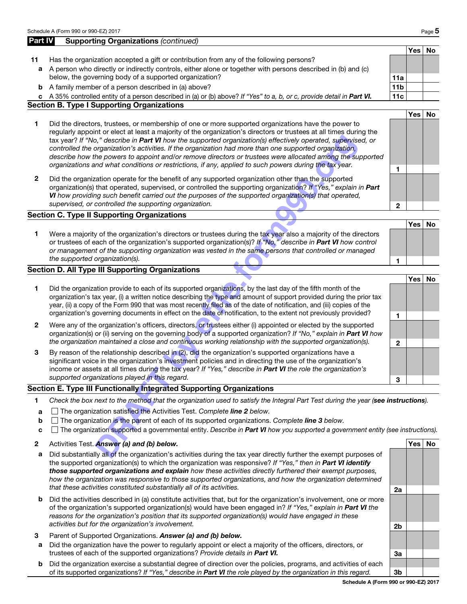|             | Schedule A (Form 990 or 990-EZ) 2017                                                                                                                                                                                                                                                                                                                                                                                                                                                                                                                                                                                                                                         |                 |            | Page 5    |
|-------------|------------------------------------------------------------------------------------------------------------------------------------------------------------------------------------------------------------------------------------------------------------------------------------------------------------------------------------------------------------------------------------------------------------------------------------------------------------------------------------------------------------------------------------------------------------------------------------------------------------------------------------------------------------------------------|-----------------|------------|-----------|
| Part IV     | <b>Supporting Organizations (continued)</b>                                                                                                                                                                                                                                                                                                                                                                                                                                                                                                                                                                                                                                  |                 |            |           |
|             |                                                                                                                                                                                                                                                                                                                                                                                                                                                                                                                                                                                                                                                                              |                 | Yes        | <b>No</b> |
| 11          | Has the organization accepted a gift or contribution from any of the following persons?                                                                                                                                                                                                                                                                                                                                                                                                                                                                                                                                                                                      |                 |            |           |
| a           | A person who directly or indirectly controls, either alone or together with persons described in (b) and (c)                                                                                                                                                                                                                                                                                                                                                                                                                                                                                                                                                                 |                 |            |           |
|             | below, the governing body of a supported organization?                                                                                                                                                                                                                                                                                                                                                                                                                                                                                                                                                                                                                       | 11a             |            |           |
|             | <b>b</b> A family member of a person described in (a) above?                                                                                                                                                                                                                                                                                                                                                                                                                                                                                                                                                                                                                 | 11 <sub>b</sub> |            |           |
|             | c A 35% controlled entity of a person described in (a) or (b) above? If "Yes" to a, b, or c, provide detail in Part VI.                                                                                                                                                                                                                                                                                                                                                                                                                                                                                                                                                      | 11c             |            |           |
|             | <b>Section B. Type I Supporting Organizations</b>                                                                                                                                                                                                                                                                                                                                                                                                                                                                                                                                                                                                                            |                 |            |           |
| 1           | Did the directors, trustees, or membership of one or more supported organizations have the power to<br>regularly appoint or elect at least a majority of the organization's directors or trustees at all times during the<br>tax year? If "No," describe in Part VI how the supported organization(s) effectively operated, supervised, or<br>controlled the organization's activities. If the organization had more than one supported organization,<br>describe how the powers to appoint and/or remove directors or trustees were allocated among the supported<br>organizations and what conditions or restrictions, if any, applied to such powers during the tax year. | 1               | Yes        | <b>No</b> |
| 2           | Did the organization operate for the benefit of any supported organization other than the supported<br>organization(s) that operated, supervised, or controlled the supporting organization? If "Yes," explain in Part<br>VI how providing such benefit carried out the purposes of the supported organization(s) that operated,<br>supervised, or controlled the supporting organization.                                                                                                                                                                                                                                                                                   | 2               |            |           |
|             | <b>Section C. Type II Supporting Organizations</b>                                                                                                                                                                                                                                                                                                                                                                                                                                                                                                                                                                                                                           |                 |            |           |
| 1           | Were a majority of the organization's directors or trustees during the tax year also a majority of the directors<br>or trustees of each of the organization's supported organization(s)? If "No," describe in Part VI how control<br>or management of the supporting organization was vested in the same persons that controlled or managed<br>the supported organization(s).                                                                                                                                                                                                                                                                                                | 1               | Yes        | <b>No</b> |
|             | Section D. All Type III Supporting Organizations                                                                                                                                                                                                                                                                                                                                                                                                                                                                                                                                                                                                                             |                 |            |           |
| 1           | Did the organization provide to each of its supported organizations, by the last day of the fifth month of the<br>organization's tax year, (i) a written notice describing the type and amount of support provided during the prior tax<br>year, (ii) a copy of the Form 990 that was most recently filed as of the date of notification, and (iii) copies of the<br>organization's governing documents in effect on the date of notification, to the extent not previously provided?                                                                                                                                                                                        | 1               | <b>Yes</b> | No        |
| 2           | Were any of the organization's officers, directors, or trustees either (i) appointed or elected by the supported<br>organization(s) or (ii) serving on the governing body of a supported organization? If "No," explain in Part VI how<br>the organization maintained a close and continuous working relationship with the supported organization(s).                                                                                                                                                                                                                                                                                                                        | $\mathbf{2}$    |            |           |
| 3           | By reason of the relationship described in (2), did the organization's supported organizations have a<br>significant voice in the organization's investment policies and in directing the use of the organization's<br>income or assets at all times during the tax year? If "Yes," describe in Part VI the role the organization's<br>supported organizations played in this regard.                                                                                                                                                                                                                                                                                        | 3               |            |           |
|             | Section E. Type III Functionally Integrated Supporting Organizations                                                                                                                                                                                                                                                                                                                                                                                                                                                                                                                                                                                                         |                 |            |           |
| 1           | Check the box next to the method that the organization used to satisfy the Integral Part Test during the year (see instructions).                                                                                                                                                                                                                                                                                                                                                                                                                                                                                                                                            |                 |            |           |
| a<br>b<br>с | □ The organization satisfied the Activities Test. Complete line 2 below.<br>The organization is the parent of each of its supported organizations. Complete line 3 below.<br>The organization supported a governmental entity. Describe in Part VI how you supported a government entity (see instructions).                                                                                                                                                                                                                                                                                                                                                                 |                 |            |           |
| 2           | Activities Test. Answer (a) and (b) below.                                                                                                                                                                                                                                                                                                                                                                                                                                                                                                                                                                                                                                   |                 | Yes No     |           |
| а           | Did substantially all of the organization's activities during the tax year directly further the exempt purposes of                                                                                                                                                                                                                                                                                                                                                                                                                                                                                                                                                           |                 |            |           |

## Section E. Type III Functionally Integrated Supporting Organizations

- 1 *Check the box next to the method that the organization used to satisfy the Integral Part Test during the year (see instructions).*
- a The organization satisfied the Activities Test. *Complete line 2 below.*
- b The organization is the parent of each of its supported organizations. *Complete line 3 below.*
- c The organization supported a governmental entity. *Describe in Part VI how you supported a government entity (see instructions).*
- 2 Activities Test. Answer (a) and (b) below. And the state of the state of the state of the state of the state of the state of the state of the state of the state of the state of the state of the state of the state of the
- a Did substantially all of the organization's activities during the tax year directly further the exempt purposes of the supported organization(s) to which the organization was responsive? *If "Yes," then in Part VI identify those supported organizations and explain how these activities directly furthered their exempt purposes, how the organization was responsive to those supported organizations, and how the organization determined that these activities constituted substantially all of its activities.* 2a **2008**
- **b** Did the activities described in (a) constitute activities that, but for the organization's involvement, one or more of the organization's supported organization(s) would have been engaged in? *If "Yes," explain in Part VI the reasons for the organization's position that its supported organization(s) would have engaged in these*  **activities but for the organization's involvement. 2b 2b 2b 2b 2b 2b**
- 3 Parent of Supported Organizations. *Answer (a) and (b) below.*
- a Did the organization have the power to regularly appoint or elect a majority of the officers, directors, or trustees of each of the supported organizations? *Provide details in Part VI.* 3a
- b Did the organization exercise a substantial degree of direction over the policies, programs, and activities of each of its supported organizations? *If "Yes," describe in Part VI the role played by the organization in this regard.* 3b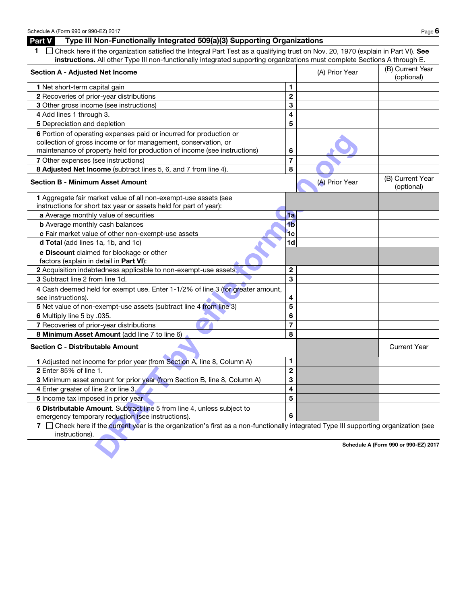## Part V Type III Non-Functionally Integrated 509(a)(3) Supporting Organizations

|--|--|

1  $\Box$  Check here if the organization satisfied the Integral Part Test as a qualifying trust on Nov. 20, 1970 (explain in Part VI). See instructions. All other Type III non-functionally integrated supporting organizations must complete Sections A through E.

| <b>Section A - Adjusted Net Income</b>                                                                                                                     |                         | (A) Prior Year | (B) Current Year<br>(optional)       |
|------------------------------------------------------------------------------------------------------------------------------------------------------------|-------------------------|----------------|--------------------------------------|
| <b>1</b> Net short-term capital gain                                                                                                                       | 1                       |                |                                      |
| 2 Recoveries of prior-year distributions                                                                                                                   | $\overline{2}$          |                |                                      |
| 3 Other gross income (see instructions)                                                                                                                    | 3                       |                |                                      |
| 4 Add lines 1 through 3.                                                                                                                                   | 4                       |                |                                      |
| 5 Depreciation and depletion                                                                                                                               | 5                       |                |                                      |
| 6 Portion of operating expenses paid or incurred for production or                                                                                         |                         |                |                                      |
| collection of gross income or for management, conservation, or                                                                                             |                         |                |                                      |
| maintenance of property held for production of income (see instructions)                                                                                   | 6                       |                |                                      |
| 7 Other expenses (see instructions)                                                                                                                        | $\overline{7}$          |                |                                      |
| 8 Adjusted Net Income (subtract lines 5, 6, and 7 from line 4).                                                                                            | 8                       |                |                                      |
| <b>Section B - Minimum Asset Amount</b>                                                                                                                    |                         | (A) Prior Year | (B) Current Year<br>(optional)       |
| 1 Aggregate fair market value of all non-exempt-use assets (see                                                                                            |                         |                |                                      |
| instructions for short tax year or assets held for part of year):                                                                                          |                         |                |                                      |
| a Average monthly value of securities                                                                                                                      | 1a                      |                |                                      |
| <b>b</b> Average monthly cash balances                                                                                                                     | 4 <sub>b</sub>          |                |                                      |
| c Fair market value of other non-exempt-use assets                                                                                                         | 1c                      |                |                                      |
| d Total (add lines 1a, 1b, and 1c)                                                                                                                         | 1 <sub>d</sub>          |                |                                      |
| e Discount claimed for blockage or other                                                                                                                   |                         |                |                                      |
| factors (explain in detail in Part VI):                                                                                                                    |                         |                |                                      |
| 2 Acquisition indebtedness applicable to non-exempt-use assets                                                                                             | $\overline{\mathbf{2}}$ |                |                                      |
| 3 Subtract line 2 from line 1d.                                                                                                                            | 3                       |                |                                      |
| 4 Cash deemed held for exempt use. Enter 1-1/2% of line 3 (for greater amount,                                                                             |                         |                |                                      |
| see instructions).                                                                                                                                         | 4                       |                |                                      |
| 5 Net value of non-exempt-use assets (subtract line 4 from line 3)                                                                                         | 5                       |                |                                      |
| 6 Multiply line 5 by .035.                                                                                                                                 | 6                       |                |                                      |
| 7 Recoveries of prior-year distributions                                                                                                                   | $\overline{7}$          |                |                                      |
| 8 Minimum Asset Amount (add line 7 to line 6)                                                                                                              | 8                       |                |                                      |
| <b>Section C - Distributable Amount</b>                                                                                                                    |                         |                | <b>Current Year</b>                  |
| 1 Adjusted net income for prior year (from Section A, line 8, Column A)                                                                                    | 1                       |                |                                      |
| <b>2</b> Enter 85% of line 1.                                                                                                                              | $\overline{2}$          |                |                                      |
| 3 Minimum asset amount for prior year (from Section B, line 8, Column A)                                                                                   | 3                       |                |                                      |
| 4 Enter greater of line 2 or line 3.                                                                                                                       | 4                       |                |                                      |
| 5 Income tax imposed in prior year                                                                                                                         | 5                       |                |                                      |
| 6 Distributable Amount. Subtract line 5 from line 4, unless subject to                                                                                     |                         |                |                                      |
| emergency temporary reduction (see instructions).                                                                                                          | 6                       |                |                                      |
| Check here if the current year is the organization's first as a non-functionally integrated Type III supporting organization (see<br>7 I<br>instructions). |                         |                |                                      |
|                                                                                                                                                            |                         |                | Schedule A (Form 990 or 990-EZ) 2017 |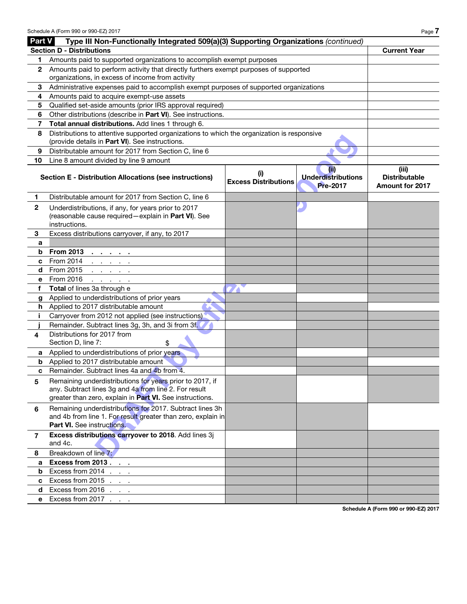| <b>Section D - Distributions</b><br><b>Current Year</b><br>Amounts paid to supported organizations to accomplish exempt purposes<br>1<br>Amounts paid to perform activity that directly furthers exempt purposes of supported<br>2<br>organizations, in excess of income from activity<br>Administrative expenses paid to accomplish exempt purposes of supported organizations<br>3<br>Amounts paid to acquire exempt-use assets<br>4<br>Qualified set-aside amounts (prior IRS approval required)<br>5<br>Other distributions (describe in Part VI). See instructions.<br>6<br>Total annual distributions. Add lines 1 through 6.<br>7<br>Distributions to attentive supported organizations to which the organization is responsive<br>8<br>(provide details in Part VI). See instructions.<br>Distributable amount for 2017 from Section C, line 6<br>9<br>Line 8 amount divided by line 9 amount<br>10<br>(ii)<br>(iii)<br>(i)<br><b>Underdistributions</b><br><b>Distributable</b><br><b>Section E - Distribution Allocations (see instructions)</b><br><b>Excess Distributions</b><br>Pre-2017<br><b>Amount for 2017</b><br>Distributable amount for 2017 from Section C, line 6<br>1.<br>$\boldsymbol{2}$<br>Underdistributions, if any, for years prior to 2017<br>(reasonable cause required - explain in Part VI). See<br>instructions.<br>Excess distributions carryover, if any, to 2017<br>3<br>a<br><b>From 2013</b><br>b<br>$\mathbf{a} = \mathbf{a} + \mathbf{a} + \mathbf{a} + \mathbf{a}$<br>From 2014<br>c<br>and a state of the<br>From 2015<br>d<br>and a state of the<br>From 2016<br>е<br>and a state of the<br>Total of lines 3a through e<br>f<br>Applied to underdistributions of prior years<br>g<br>h Applied to 2017 distributable amount<br>Carryover from 2012 not applied (see instructions)<br>j.<br>Remainder. Subtract lines 3g, 3h, and 3i from 3f.<br>Distributions for 2017 from<br>4<br>Section D, line 7:<br>\$<br>Applied to underdistributions of prior years<br>a<br>Applied to 2017 distributable amount<br>b<br>Remainder. Subtract lines 4a and 4b from 4.<br>c<br>Remaining underdistributions for years prior to 2017, if<br>5<br>any. Subtract lines 3g and 4a from line 2. For result<br>greater than zero, explain in Part VI. See instructions.<br>Remaining underdistributions for 2017. Subtract lines 3h<br>6<br>and 4b from line 1. For result greater than zero, explain in<br><b>Part VI.</b> See instructions.<br>Excess distributions carryover to 2018. Add lines 3j<br>$\mathbf{7}$<br>and 4c.<br>Breakdown of line 7:<br>8<br>Excess from 2013<br>a<br>Excess from $2014$ $\ldots$<br>b<br>Excess from 2015<br>c<br>Excess from 2016<br>d<br>Excess from 2017<br>е | Part V | Type III Non-Functionally Integrated 509(a)(3) Supporting Organizations (continued) |  |  |  |
|------------------------------------------------------------------------------------------------------------------------------------------------------------------------------------------------------------------------------------------------------------------------------------------------------------------------------------------------------------------------------------------------------------------------------------------------------------------------------------------------------------------------------------------------------------------------------------------------------------------------------------------------------------------------------------------------------------------------------------------------------------------------------------------------------------------------------------------------------------------------------------------------------------------------------------------------------------------------------------------------------------------------------------------------------------------------------------------------------------------------------------------------------------------------------------------------------------------------------------------------------------------------------------------------------------------------------------------------------------------------------------------------------------------------------------------------------------------------------------------------------------------------------------------------------------------------------------------------------------------------------------------------------------------------------------------------------------------------------------------------------------------------------------------------------------------------------------------------------------------------------------------------------------------------------------------------------------------------------------------------------------------------------------------------------------------------------------------------------------------------------------------------------------------------------------------------------------------------------------------------------------------------------------------------------------------------------------------------------------------------------------------------------------------------------------------------------------------------------------------------------------------------------------------------------------------------------------------------------------------------------------------------------------------------------------------------------------------------------------|--------|-------------------------------------------------------------------------------------|--|--|--|
|                                                                                                                                                                                                                                                                                                                                                                                                                                                                                                                                                                                                                                                                                                                                                                                                                                                                                                                                                                                                                                                                                                                                                                                                                                                                                                                                                                                                                                                                                                                                                                                                                                                                                                                                                                                                                                                                                                                                                                                                                                                                                                                                                                                                                                                                                                                                                                                                                                                                                                                                                                                                                                                                                                                                    |        |                                                                                     |  |  |  |
|                                                                                                                                                                                                                                                                                                                                                                                                                                                                                                                                                                                                                                                                                                                                                                                                                                                                                                                                                                                                                                                                                                                                                                                                                                                                                                                                                                                                                                                                                                                                                                                                                                                                                                                                                                                                                                                                                                                                                                                                                                                                                                                                                                                                                                                                                                                                                                                                                                                                                                                                                                                                                                                                                                                                    |        |                                                                                     |  |  |  |
|                                                                                                                                                                                                                                                                                                                                                                                                                                                                                                                                                                                                                                                                                                                                                                                                                                                                                                                                                                                                                                                                                                                                                                                                                                                                                                                                                                                                                                                                                                                                                                                                                                                                                                                                                                                                                                                                                                                                                                                                                                                                                                                                                                                                                                                                                                                                                                                                                                                                                                                                                                                                                                                                                                                                    |        |                                                                                     |  |  |  |
|                                                                                                                                                                                                                                                                                                                                                                                                                                                                                                                                                                                                                                                                                                                                                                                                                                                                                                                                                                                                                                                                                                                                                                                                                                                                                                                                                                                                                                                                                                                                                                                                                                                                                                                                                                                                                                                                                                                                                                                                                                                                                                                                                                                                                                                                                                                                                                                                                                                                                                                                                                                                                                                                                                                                    |        |                                                                                     |  |  |  |
|                                                                                                                                                                                                                                                                                                                                                                                                                                                                                                                                                                                                                                                                                                                                                                                                                                                                                                                                                                                                                                                                                                                                                                                                                                                                                                                                                                                                                                                                                                                                                                                                                                                                                                                                                                                                                                                                                                                                                                                                                                                                                                                                                                                                                                                                                                                                                                                                                                                                                                                                                                                                                                                                                                                                    |        |                                                                                     |  |  |  |
|                                                                                                                                                                                                                                                                                                                                                                                                                                                                                                                                                                                                                                                                                                                                                                                                                                                                                                                                                                                                                                                                                                                                                                                                                                                                                                                                                                                                                                                                                                                                                                                                                                                                                                                                                                                                                                                                                                                                                                                                                                                                                                                                                                                                                                                                                                                                                                                                                                                                                                                                                                                                                                                                                                                                    |        |                                                                                     |  |  |  |
|                                                                                                                                                                                                                                                                                                                                                                                                                                                                                                                                                                                                                                                                                                                                                                                                                                                                                                                                                                                                                                                                                                                                                                                                                                                                                                                                                                                                                                                                                                                                                                                                                                                                                                                                                                                                                                                                                                                                                                                                                                                                                                                                                                                                                                                                                                                                                                                                                                                                                                                                                                                                                                                                                                                                    |        |                                                                                     |  |  |  |
|                                                                                                                                                                                                                                                                                                                                                                                                                                                                                                                                                                                                                                                                                                                                                                                                                                                                                                                                                                                                                                                                                                                                                                                                                                                                                                                                                                                                                                                                                                                                                                                                                                                                                                                                                                                                                                                                                                                                                                                                                                                                                                                                                                                                                                                                                                                                                                                                                                                                                                                                                                                                                                                                                                                                    |        |                                                                                     |  |  |  |
|                                                                                                                                                                                                                                                                                                                                                                                                                                                                                                                                                                                                                                                                                                                                                                                                                                                                                                                                                                                                                                                                                                                                                                                                                                                                                                                                                                                                                                                                                                                                                                                                                                                                                                                                                                                                                                                                                                                                                                                                                                                                                                                                                                                                                                                                                                                                                                                                                                                                                                                                                                                                                                                                                                                                    |        |                                                                                     |  |  |  |
|                                                                                                                                                                                                                                                                                                                                                                                                                                                                                                                                                                                                                                                                                                                                                                                                                                                                                                                                                                                                                                                                                                                                                                                                                                                                                                                                                                                                                                                                                                                                                                                                                                                                                                                                                                                                                                                                                                                                                                                                                                                                                                                                                                                                                                                                                                                                                                                                                                                                                                                                                                                                                                                                                                                                    |        |                                                                                     |  |  |  |
|                                                                                                                                                                                                                                                                                                                                                                                                                                                                                                                                                                                                                                                                                                                                                                                                                                                                                                                                                                                                                                                                                                                                                                                                                                                                                                                                                                                                                                                                                                                                                                                                                                                                                                                                                                                                                                                                                                                                                                                                                                                                                                                                                                                                                                                                                                                                                                                                                                                                                                                                                                                                                                                                                                                                    |        |                                                                                     |  |  |  |
|                                                                                                                                                                                                                                                                                                                                                                                                                                                                                                                                                                                                                                                                                                                                                                                                                                                                                                                                                                                                                                                                                                                                                                                                                                                                                                                                                                                                                                                                                                                                                                                                                                                                                                                                                                                                                                                                                                                                                                                                                                                                                                                                                                                                                                                                                                                                                                                                                                                                                                                                                                                                                                                                                                                                    |        |                                                                                     |  |  |  |
|                                                                                                                                                                                                                                                                                                                                                                                                                                                                                                                                                                                                                                                                                                                                                                                                                                                                                                                                                                                                                                                                                                                                                                                                                                                                                                                                                                                                                                                                                                                                                                                                                                                                                                                                                                                                                                                                                                                                                                                                                                                                                                                                                                                                                                                                                                                                                                                                                                                                                                                                                                                                                                                                                                                                    |        |                                                                                     |  |  |  |
|                                                                                                                                                                                                                                                                                                                                                                                                                                                                                                                                                                                                                                                                                                                                                                                                                                                                                                                                                                                                                                                                                                                                                                                                                                                                                                                                                                                                                                                                                                                                                                                                                                                                                                                                                                                                                                                                                                                                                                                                                                                                                                                                                                                                                                                                                                                                                                                                                                                                                                                                                                                                                                                                                                                                    |        |                                                                                     |  |  |  |
|                                                                                                                                                                                                                                                                                                                                                                                                                                                                                                                                                                                                                                                                                                                                                                                                                                                                                                                                                                                                                                                                                                                                                                                                                                                                                                                                                                                                                                                                                                                                                                                                                                                                                                                                                                                                                                                                                                                                                                                                                                                                                                                                                                                                                                                                                                                                                                                                                                                                                                                                                                                                                                                                                                                                    |        |                                                                                     |  |  |  |
|                                                                                                                                                                                                                                                                                                                                                                                                                                                                                                                                                                                                                                                                                                                                                                                                                                                                                                                                                                                                                                                                                                                                                                                                                                                                                                                                                                                                                                                                                                                                                                                                                                                                                                                                                                                                                                                                                                                                                                                                                                                                                                                                                                                                                                                                                                                                                                                                                                                                                                                                                                                                                                                                                                                                    |        |                                                                                     |  |  |  |
|                                                                                                                                                                                                                                                                                                                                                                                                                                                                                                                                                                                                                                                                                                                                                                                                                                                                                                                                                                                                                                                                                                                                                                                                                                                                                                                                                                                                                                                                                                                                                                                                                                                                                                                                                                                                                                                                                                                                                                                                                                                                                                                                                                                                                                                                                                                                                                                                                                                                                                                                                                                                                                                                                                                                    |        |                                                                                     |  |  |  |
|                                                                                                                                                                                                                                                                                                                                                                                                                                                                                                                                                                                                                                                                                                                                                                                                                                                                                                                                                                                                                                                                                                                                                                                                                                                                                                                                                                                                                                                                                                                                                                                                                                                                                                                                                                                                                                                                                                                                                                                                                                                                                                                                                                                                                                                                                                                                                                                                                                                                                                                                                                                                                                                                                                                                    |        |                                                                                     |  |  |  |
|                                                                                                                                                                                                                                                                                                                                                                                                                                                                                                                                                                                                                                                                                                                                                                                                                                                                                                                                                                                                                                                                                                                                                                                                                                                                                                                                                                                                                                                                                                                                                                                                                                                                                                                                                                                                                                                                                                                                                                                                                                                                                                                                                                                                                                                                                                                                                                                                                                                                                                                                                                                                                                                                                                                                    |        |                                                                                     |  |  |  |
|                                                                                                                                                                                                                                                                                                                                                                                                                                                                                                                                                                                                                                                                                                                                                                                                                                                                                                                                                                                                                                                                                                                                                                                                                                                                                                                                                                                                                                                                                                                                                                                                                                                                                                                                                                                                                                                                                                                                                                                                                                                                                                                                                                                                                                                                                                                                                                                                                                                                                                                                                                                                                                                                                                                                    |        |                                                                                     |  |  |  |
|                                                                                                                                                                                                                                                                                                                                                                                                                                                                                                                                                                                                                                                                                                                                                                                                                                                                                                                                                                                                                                                                                                                                                                                                                                                                                                                                                                                                                                                                                                                                                                                                                                                                                                                                                                                                                                                                                                                                                                                                                                                                                                                                                                                                                                                                                                                                                                                                                                                                                                                                                                                                                                                                                                                                    |        |                                                                                     |  |  |  |
|                                                                                                                                                                                                                                                                                                                                                                                                                                                                                                                                                                                                                                                                                                                                                                                                                                                                                                                                                                                                                                                                                                                                                                                                                                                                                                                                                                                                                                                                                                                                                                                                                                                                                                                                                                                                                                                                                                                                                                                                                                                                                                                                                                                                                                                                                                                                                                                                                                                                                                                                                                                                                                                                                                                                    |        |                                                                                     |  |  |  |
|                                                                                                                                                                                                                                                                                                                                                                                                                                                                                                                                                                                                                                                                                                                                                                                                                                                                                                                                                                                                                                                                                                                                                                                                                                                                                                                                                                                                                                                                                                                                                                                                                                                                                                                                                                                                                                                                                                                                                                                                                                                                                                                                                                                                                                                                                                                                                                                                                                                                                                                                                                                                                                                                                                                                    |        |                                                                                     |  |  |  |
|                                                                                                                                                                                                                                                                                                                                                                                                                                                                                                                                                                                                                                                                                                                                                                                                                                                                                                                                                                                                                                                                                                                                                                                                                                                                                                                                                                                                                                                                                                                                                                                                                                                                                                                                                                                                                                                                                                                                                                                                                                                                                                                                                                                                                                                                                                                                                                                                                                                                                                                                                                                                                                                                                                                                    |        |                                                                                     |  |  |  |
|                                                                                                                                                                                                                                                                                                                                                                                                                                                                                                                                                                                                                                                                                                                                                                                                                                                                                                                                                                                                                                                                                                                                                                                                                                                                                                                                                                                                                                                                                                                                                                                                                                                                                                                                                                                                                                                                                                                                                                                                                                                                                                                                                                                                                                                                                                                                                                                                                                                                                                                                                                                                                                                                                                                                    |        |                                                                                     |  |  |  |
|                                                                                                                                                                                                                                                                                                                                                                                                                                                                                                                                                                                                                                                                                                                                                                                                                                                                                                                                                                                                                                                                                                                                                                                                                                                                                                                                                                                                                                                                                                                                                                                                                                                                                                                                                                                                                                                                                                                                                                                                                                                                                                                                                                                                                                                                                                                                                                                                                                                                                                                                                                                                                                                                                                                                    |        |                                                                                     |  |  |  |
|                                                                                                                                                                                                                                                                                                                                                                                                                                                                                                                                                                                                                                                                                                                                                                                                                                                                                                                                                                                                                                                                                                                                                                                                                                                                                                                                                                                                                                                                                                                                                                                                                                                                                                                                                                                                                                                                                                                                                                                                                                                                                                                                                                                                                                                                                                                                                                                                                                                                                                                                                                                                                                                                                                                                    |        |                                                                                     |  |  |  |
|                                                                                                                                                                                                                                                                                                                                                                                                                                                                                                                                                                                                                                                                                                                                                                                                                                                                                                                                                                                                                                                                                                                                                                                                                                                                                                                                                                                                                                                                                                                                                                                                                                                                                                                                                                                                                                                                                                                                                                                                                                                                                                                                                                                                                                                                                                                                                                                                                                                                                                                                                                                                                                                                                                                                    |        |                                                                                     |  |  |  |
|                                                                                                                                                                                                                                                                                                                                                                                                                                                                                                                                                                                                                                                                                                                                                                                                                                                                                                                                                                                                                                                                                                                                                                                                                                                                                                                                                                                                                                                                                                                                                                                                                                                                                                                                                                                                                                                                                                                                                                                                                                                                                                                                                                                                                                                                                                                                                                                                                                                                                                                                                                                                                                                                                                                                    |        |                                                                                     |  |  |  |
|                                                                                                                                                                                                                                                                                                                                                                                                                                                                                                                                                                                                                                                                                                                                                                                                                                                                                                                                                                                                                                                                                                                                                                                                                                                                                                                                                                                                                                                                                                                                                                                                                                                                                                                                                                                                                                                                                                                                                                                                                                                                                                                                                                                                                                                                                                                                                                                                                                                                                                                                                                                                                                                                                                                                    |        |                                                                                     |  |  |  |
|                                                                                                                                                                                                                                                                                                                                                                                                                                                                                                                                                                                                                                                                                                                                                                                                                                                                                                                                                                                                                                                                                                                                                                                                                                                                                                                                                                                                                                                                                                                                                                                                                                                                                                                                                                                                                                                                                                                                                                                                                                                                                                                                                                                                                                                                                                                                                                                                                                                                                                                                                                                                                                                                                                                                    |        |                                                                                     |  |  |  |
|                                                                                                                                                                                                                                                                                                                                                                                                                                                                                                                                                                                                                                                                                                                                                                                                                                                                                                                                                                                                                                                                                                                                                                                                                                                                                                                                                                                                                                                                                                                                                                                                                                                                                                                                                                                                                                                                                                                                                                                                                                                                                                                                                                                                                                                                                                                                                                                                                                                                                                                                                                                                                                                                                                                                    |        |                                                                                     |  |  |  |
|                                                                                                                                                                                                                                                                                                                                                                                                                                                                                                                                                                                                                                                                                                                                                                                                                                                                                                                                                                                                                                                                                                                                                                                                                                                                                                                                                                                                                                                                                                                                                                                                                                                                                                                                                                                                                                                                                                                                                                                                                                                                                                                                                                                                                                                                                                                                                                                                                                                                                                                                                                                                                                                                                                                                    |        |                                                                                     |  |  |  |
|                                                                                                                                                                                                                                                                                                                                                                                                                                                                                                                                                                                                                                                                                                                                                                                                                                                                                                                                                                                                                                                                                                                                                                                                                                                                                                                                                                                                                                                                                                                                                                                                                                                                                                                                                                                                                                                                                                                                                                                                                                                                                                                                                                                                                                                                                                                                                                                                                                                                                                                                                                                                                                                                                                                                    |        |                                                                                     |  |  |  |
|                                                                                                                                                                                                                                                                                                                                                                                                                                                                                                                                                                                                                                                                                                                                                                                                                                                                                                                                                                                                                                                                                                                                                                                                                                                                                                                                                                                                                                                                                                                                                                                                                                                                                                                                                                                                                                                                                                                                                                                                                                                                                                                                                                                                                                                                                                                                                                                                                                                                                                                                                                                                                                                                                                                                    |        |                                                                                     |  |  |  |
|                                                                                                                                                                                                                                                                                                                                                                                                                                                                                                                                                                                                                                                                                                                                                                                                                                                                                                                                                                                                                                                                                                                                                                                                                                                                                                                                                                                                                                                                                                                                                                                                                                                                                                                                                                                                                                                                                                                                                                                                                                                                                                                                                                                                                                                                                                                                                                                                                                                                                                                                                                                                                                                                                                                                    |        |                                                                                     |  |  |  |
|                                                                                                                                                                                                                                                                                                                                                                                                                                                                                                                                                                                                                                                                                                                                                                                                                                                                                                                                                                                                                                                                                                                                                                                                                                                                                                                                                                                                                                                                                                                                                                                                                                                                                                                                                                                                                                                                                                                                                                                                                                                                                                                                                                                                                                                                                                                                                                                                                                                                                                                                                                                                                                                                                                                                    |        |                                                                                     |  |  |  |
|                                                                                                                                                                                                                                                                                                                                                                                                                                                                                                                                                                                                                                                                                                                                                                                                                                                                                                                                                                                                                                                                                                                                                                                                                                                                                                                                                                                                                                                                                                                                                                                                                                                                                                                                                                                                                                                                                                                                                                                                                                                                                                                                                                                                                                                                                                                                                                                                                                                                                                                                                                                                                                                                                                                                    |        |                                                                                     |  |  |  |
|                                                                                                                                                                                                                                                                                                                                                                                                                                                                                                                                                                                                                                                                                                                                                                                                                                                                                                                                                                                                                                                                                                                                                                                                                                                                                                                                                                                                                                                                                                                                                                                                                                                                                                                                                                                                                                                                                                                                                                                                                                                                                                                                                                                                                                                                                                                                                                                                                                                                                                                                                                                                                                                                                                                                    |        |                                                                                     |  |  |  |
|                                                                                                                                                                                                                                                                                                                                                                                                                                                                                                                                                                                                                                                                                                                                                                                                                                                                                                                                                                                                                                                                                                                                                                                                                                                                                                                                                                                                                                                                                                                                                                                                                                                                                                                                                                                                                                                                                                                                                                                                                                                                                                                                                                                                                                                                                                                                                                                                                                                                                                                                                                                                                                                                                                                                    |        |                                                                                     |  |  |  |

Schedule A (Form 990 or 990-EZ) 2017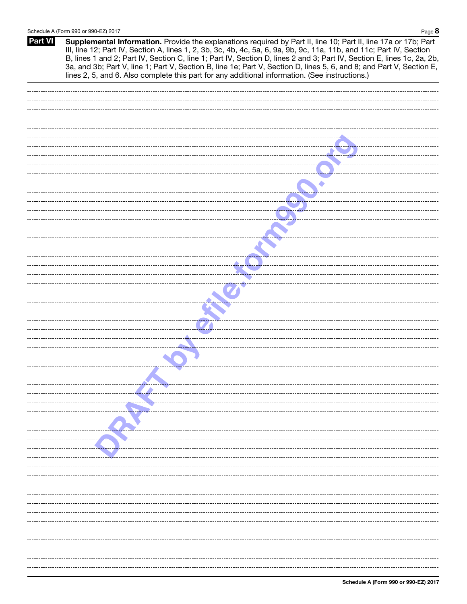Part VI Supplemental Information. Provide the explanations required by Part II, line 10; Part II, line 17a or 17b; Part III, line 12; Part IV, Section A, lines 1, 2, 3b, 3c, 4b, 4c, 5a, 6, 9a, 9b, 9c, 11a, 11b, and 11c; Part IV, Section B, lines 1 and 2; Part IV, Section C, line 1; Part IV, Section D, lines 2 and 3; Part IV, Section E, lines 1c, 2a, 2b, 3a, and 3b; Part V, line 1; Part V, Section B, line 1e; Part V, Section D, lines 5, 6, and 8; and Part V, Section E, lines 2, 5, and 6. Also complete this part for any additional information. (See instructions.)

| <u>a substitution de la construction de la construction de la construction de la construction de la construction de la construction de la construction de la construction de la construction de la construction de la constructi</u>                                                                                                            |
|-------------------------------------------------------------------------------------------------------------------------------------------------------------------------------------------------------------------------------------------------------------------------------------------------------------------------------------------------|
|                                                                                                                                                                                                                                                                                                                                                 |
|                                                                                                                                                                                                                                                                                                                                                 |
|                                                                                                                                                                                                                                                                                                                                                 |
|                                                                                                                                                                                                                                                                                                                                                 |
|                                                                                                                                                                                                                                                                                                                                                 |
|                                                                                                                                                                                                                                                                                                                                                 |
|                                                                                                                                                                                                                                                                                                                                                 |
|                                                                                                                                                                                                                                                                                                                                                 |
|                                                                                                                                                                                                                                                                                                                                                 |
|                                                                                                                                                                                                                                                                                                                                                 |
|                                                                                                                                                                                                                                                                                                                                                 |
|                                                                                                                                                                                                                                                                                                                                                 |
|                                                                                                                                                                                                                                                                                                                                                 |
|                                                                                                                                                                                                                                                                                                                                                 |
|                                                                                                                                                                                                                                                                                                                                                 |
|                                                                                                                                                                                                                                                                                                                                                 |
|                                                                                                                                                                                                                                                                                                                                                 |
|                                                                                                                                                                                                                                                                                                                                                 |
|                                                                                                                                                                                                                                                                                                                                                 |
|                                                                                                                                                                                                                                                                                                                                                 |
|                                                                                                                                                                                                                                                                                                                                                 |
|                                                                                                                                                                                                                                                                                                                                                 |
|                                                                                                                                                                                                                                                                                                                                                 |
|                                                                                                                                                                                                                                                                                                                                                 |
|                                                                                                                                                                                                                                                                                                                                                 |
|                                                                                                                                                                                                                                                                                                                                                 |
|                                                                                                                                                                                                                                                                                                                                                 |
|                                                                                                                                                                                                                                                                                                                                                 |
|                                                                                                                                                                                                                                                                                                                                                 |
|                                                                                                                                                                                                                                                                                                                                                 |
|                                                                                                                                                                                                                                                                                                                                                 |
| <u>a series de la companya de la companya de la companya de la companya de la companya de la companya de la compa</u>                                                                                                                                                                                                                           |
|                                                                                                                                                                                                                                                                                                                                                 |
|                                                                                                                                                                                                                                                                                                                                                 |
|                                                                                                                                                                                                                                                                                                                                                 |
| $\bullet$ . The contract of $\bullet$ and $\bullet$ and $\bullet$ and $\bullet$ and $\bullet$ and $\bullet$ and $\bullet$ and $\bullet$ and $\bullet$ and $\bullet$ and $\bullet$ and $\bullet$ and $\bullet$ and $\bullet$ and $\bullet$ and $\bullet$ and $\bullet$ and $\bullet$ and $\bullet$ and $\bullet$ and $\bullet$ and $\bullet$ and |
|                                                                                                                                                                                                                                                                                                                                                 |
|                                                                                                                                                                                                                                                                                                                                                 |
|                                                                                                                                                                                                                                                                                                                                                 |
|                                                                                                                                                                                                                                                                                                                                                 |
|                                                                                                                                                                                                                                                                                                                                                 |
|                                                                                                                                                                                                                                                                                                                                                 |
|                                                                                                                                                                                                                                                                                                                                                 |
|                                                                                                                                                                                                                                                                                                                                                 |
|                                                                                                                                                                                                                                                                                                                                                 |
|                                                                                                                                                                                                                                                                                                                                                 |
|                                                                                                                                                                                                                                                                                                                                                 |
|                                                                                                                                                                                                                                                                                                                                                 |
|                                                                                                                                                                                                                                                                                                                                                 |
|                                                                                                                                                                                                                                                                                                                                                 |
|                                                                                                                                                                                                                                                                                                                                                 |
|                                                                                                                                                                                                                                                                                                                                                 |
|                                                                                                                                                                                                                                                                                                                                                 |
| ----- <del>--------------</del> ------                                                                                                                                                                                                                                                                                                          |
|                                                                                                                                                                                                                                                                                                                                                 |
|                                                                                                                                                                                                                                                                                                                                                 |
|                                                                                                                                                                                                                                                                                                                                                 |
|                                                                                                                                                                                                                                                                                                                                                 |
|                                                                                                                                                                                                                                                                                                                                                 |
|                                                                                                                                                                                                                                                                                                                                                 |
|                                                                                                                                                                                                                                                                                                                                                 |
|                                                                                                                                                                                                                                                                                                                                                 |
|                                                                                                                                                                                                                                                                                                                                                 |
|                                                                                                                                                                                                                                                                                                                                                 |
|                                                                                                                                                                                                                                                                                                                                                 |
|                                                                                                                                                                                                                                                                                                                                                 |
|                                                                                                                                                                                                                                                                                                                                                 |
|                                                                                                                                                                                                                                                                                                                                                 |
|                                                                                                                                                                                                                                                                                                                                                 |
|                                                                                                                                                                                                                                                                                                                                                 |
|                                                                                                                                                                                                                                                                                                                                                 |
|                                                                                                                                                                                                                                                                                                                                                 |
|                                                                                                                                                                                                                                                                                                                                                 |
|                                                                                                                                                                                                                                                                                                                                                 |
|                                                                                                                                                                                                                                                                                                                                                 |
|                                                                                                                                                                                                                                                                                                                                                 |
|                                                                                                                                                                                                                                                                                                                                                 |
|                                                                                                                                                                                                                                                                                                                                                 |
|                                                                                                                                                                                                                                                                                                                                                 |
|                                                                                                                                                                                                                                                                                                                                                 |
|                                                                                                                                                                                                                                                                                                                                                 |
|                                                                                                                                                                                                                                                                                                                                                 |
|                                                                                                                                                                                                                                                                                                                                                 |
|                                                                                                                                                                                                                                                                                                                                                 |
|                                                                                                                                                                                                                                                                                                                                                 |
|                                                                                                                                                                                                                                                                                                                                                 |
|                                                                                                                                                                                                                                                                                                                                                 |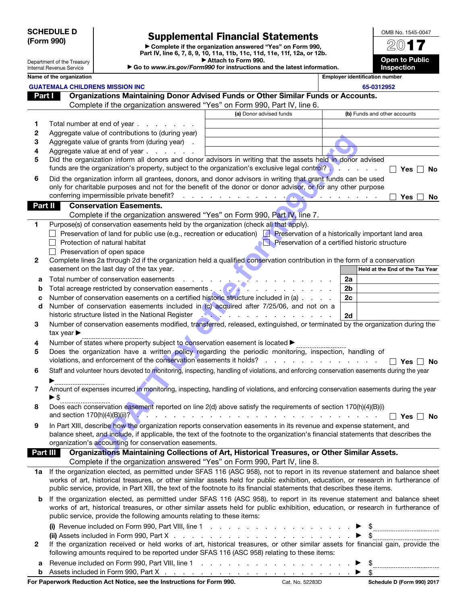| <b>SCHEDULE D</b> |
|-------------------|
| (Form 990)        |

# Supplemental Financial Statements

▶ Complete if the organization answered "Yes" on Form 990, Part IV, line 6, 7, 8, 9, 10, 11a, 11b, 11c, 11d, 11e, 11f, 12a, or 12b. ▶ Attach to Form 990.

2017 Open to Public

OMB No. 1545-0047

| Internal Revenue Service<br>Name of the organization<br><b>Employer identification number</b><br><b>GUATEMALA CHILDRENS MISSION INC</b><br>65-0312952<br>Organizations Maintaining Donor Advised Funds or Other Similar Funds or Accounts.<br>Part I<br>Complete if the organization answered "Yes" on Form 990, Part IV, line 6.<br>(a) Donor advised funds<br>(b) Funds and other accounts<br>Total number at end of year.<br>1.<br>the contract of the contract of<br>2<br>Aggregate value of contributions to (during year)<br>Aggregate value of grants from (during year)<br>3<br>Aggregate value at end of year<br>4<br>Did the organization inform all donors and donor advisors in writing that the assets held in donor advised<br>5<br>funds are the organization's property, subject to the organization's exclusive legal control?<br>the contract of the con-<br>Yes $\Box$<br><b>No</b><br>Did the organization inform all grantees, donors, and donor advisors in writing that grant funds can be used<br>6<br>only for charitable purposes and not for the benefit of the donor or donor advisor, or for any other purpose<br>conferring impermissible private benefit?<br>a construction of the construction of<br>Yes<br><b>No</b><br>the contract of the contract of<br><u> Transformation and the second second second and the second second second and second second second second second second second second second second second second second second second second second second second second sec</u><br><b>Conservation Easements.</b><br>Part II<br>Complete if the organization answered "Yes" on Form 990, Part IV, line 7.<br>Purpose(s) of conservation easements held by the organization (check all that apply).<br>1<br>Preservation of land for public use (e.g., recreation or education) <b>Preservation of a historically important land area</b><br>Protection of natural habitat<br>Preservation of a certified historic structure<br>Preservation of open space<br>Complete lines 2a through 2d if the organization held a qualified conservation contribution in the form of a conservation<br>2<br>easement on the last day of the tax year.<br>Held at the End of the Tax Year<br>Total number of conservation easements<br>2a<br>а<br>Total acreage restricted by conservation easements <b>CONTING CONTINUES</b><br>2b<br>b<br>Number of conservation easements on a certified historic structure included in (a)<br>2c<br>c<br>Number of conservation easements included in (c) acquired after 7/25/06, and not on a<br>d<br>historic structure listed in the National Register<br>2d<br>Number of conservation easements modified, transferred, released, extinguished, or terminated by the organization during the<br>3<br>tax year $\blacktriangleright$<br>Number of states where property subject to conservation easement is located ▶<br>4<br>Does the organization have a written policy regarding the periodic monitoring, inspection, handling of<br>5<br>violations, and enforcement of the conservation easements it holds?<br>∣ Yes I I<br>- No<br>Staff and volunteer hours devoted to monitoring, inspecting, handling of violations, and enforcing conservation easements during the year<br>6<br>Amount of expenses incurred in monitoring, inspecting, handling of violations, and enforcing conservation easements during the year<br>7<br>▶\$<br>Does each conservation easement reported on line 2(d) above satisfy the requirements of section 170(h)(4)(B)(i)<br>8<br>and section 170(h)(4)(B)(ii)?<br>$  $ Yes $  $ No<br>In Part XIII, describe how the organization reports conservation easements in its revenue and expense statement, and<br>9<br>balance sheet, and include, if applicable, the text of the footnote to the organization's financial statements that describes the<br>organization's accounting for conservation easements.<br>Organizations Maintaining Collections of Art, Historical Treasures, or Other Similar Assets.<br>Part III<br>Complete if the organization answered "Yes" on Form 990, Part IV, line 8.<br>1a<br>public service, provide, in Part XIII, the text of the footnote to its financial statements that describes these items.<br>b<br>public service, provide the following amounts relating to these items:<br>(i) Revenue included on Form 990, Part VIII, line 1 $\ldots$ $\ldots$ $\ldots$ $\ldots$ $\ldots$ $\ldots$ $\blacktriangleright$ \$<br>2<br>following amounts required to be reported under SFAS 116 (ASC 958) relating to these items:<br>а<br>Assets included in Form 990, Part X $\ldots$ $\ldots$ $\ldots$ $\ldots$ $\ldots$ $\ldots$ $\ldots$ $\ldots$ $\blacktriangleright$ \$<br>b | Department of the Treasury | Attach to Form 990.<br>Go to www.irs.gov/Form990 for instructions and the latest information. | <b>Open to Public</b><br>Inspection |
|----------------------------------------------------------------------------------------------------------------------------------------------------------------------------------------------------------------------------------------------------------------------------------------------------------------------------------------------------------------------------------------------------------------------------------------------------------------------------------------------------------------------------------------------------------------------------------------------------------------------------------------------------------------------------------------------------------------------------------------------------------------------------------------------------------------------------------------------------------------------------------------------------------------------------------------------------------------------------------------------------------------------------------------------------------------------------------------------------------------------------------------------------------------------------------------------------------------------------------------------------------------------------------------------------------------------------------------------------------------------------------------------------------------------------------------------------------------------------------------------------------------------------------------------------------------------------------------------------------------------------------------------------------------------------------------------------------------------------------------------------------------------------------------------------------------------------------------------------------------------------------------------------------------------------------------------------------------------------------------------------------------------------------------------------------------------------------------------------------------------------------------------------------------------------------------------------------------------------------------------------------------------------------------------------------------------------------------------------------------------------------------------------------------------------------------------------------------------------------------------------------------------------------------------------------------------------------------------------------------------------------------------------------------------------------------------------------------------------------------------------------------------------------------------------------------------------------------------------------------------------------------------------------------------------------------------------------------------------------------------------------------------------------------------------------------------------------------------------------------------------------------------------------------------------------------------------------------------------------------------------------------------------------------------------------------------------------------------------------------------------------------------------------------------------------------------------------------------------------------------------------------------------------------------------------------------------------------------------------------------------------------------------------------------------------------------------------------------------------------------------------------------------------------------------------------------------------------------------------------------------------------------------------------------------------------------------------------------------------------------------------------------------------------------------------------------------------------------------------------------------------------------------------------------------------------------------------------------------------------------------------------------------------------------------------------------------------------------------------------------------------------------------------------------------------------------------------------------------------------------------------------------------------------------------------------------------------------------------------------------------------------------------------------------------------------------------------------------------------|----------------------------|-----------------------------------------------------------------------------------------------|-------------------------------------|
|                                                                                                                                                                                                                                                                                                                                                                                                                                                                                                                                                                                                                                                                                                                                                                                                                                                                                                                                                                                                                                                                                                                                                                                                                                                                                                                                                                                                                                                                                                                                                                                                                                                                                                                                                                                                                                                                                                                                                                                                                                                                                                                                                                                                                                                                                                                                                                                                                                                                                                                                                                                                                                                                                                                                                                                                                                                                                                                                                                                                                                                                                                                                                                                                                                                                                                                                                                                                                                                                                                                                                                                                                                                                                                                                                                                                                                                                                                                                                                                                                                                                                                                                                                                                                                                                                                                                                                                                                                                                                                                                                                                                                                                                                                                                  |                            |                                                                                               |                                     |
|                                                                                                                                                                                                                                                                                                                                                                                                                                                                                                                                                                                                                                                                                                                                                                                                                                                                                                                                                                                                                                                                                                                                                                                                                                                                                                                                                                                                                                                                                                                                                                                                                                                                                                                                                                                                                                                                                                                                                                                                                                                                                                                                                                                                                                                                                                                                                                                                                                                                                                                                                                                                                                                                                                                                                                                                                                                                                                                                                                                                                                                                                                                                                                                                                                                                                                                                                                                                                                                                                                                                                                                                                                                                                                                                                                                                                                                                                                                                                                                                                                                                                                                                                                                                                                                                                                                                                                                                                                                                                                                                                                                                                                                                                                                                  |                            |                                                                                               |                                     |
|                                                                                                                                                                                                                                                                                                                                                                                                                                                                                                                                                                                                                                                                                                                                                                                                                                                                                                                                                                                                                                                                                                                                                                                                                                                                                                                                                                                                                                                                                                                                                                                                                                                                                                                                                                                                                                                                                                                                                                                                                                                                                                                                                                                                                                                                                                                                                                                                                                                                                                                                                                                                                                                                                                                                                                                                                                                                                                                                                                                                                                                                                                                                                                                                                                                                                                                                                                                                                                                                                                                                                                                                                                                                                                                                                                                                                                                                                                                                                                                                                                                                                                                                                                                                                                                                                                                                                                                                                                                                                                                                                                                                                                                                                                                                  |                            |                                                                                               |                                     |
| works of art, historical treasures, or other similar assets held for public exhibition, education, or research in furtherance of<br>If the organization received or held works of art, historical treasures, or other similar assets for financial gain, provide the                                                                                                                                                                                                                                                                                                                                                                                                                                                                                                                                                                                                                                                                                                                                                                                                                                                                                                                                                                                                                                                                                                                                                                                                                                                                                                                                                                                                                                                                                                                                                                                                                                                                                                                                                                                                                                                                                                                                                                                                                                                                                                                                                                                                                                                                                                                                                                                                                                                                                                                                                                                                                                                                                                                                                                                                                                                                                                                                                                                                                                                                                                                                                                                                                                                                                                                                                                                                                                                                                                                                                                                                                                                                                                                                                                                                                                                                                                                                                                                                                                                                                                                                                                                                                                                                                                                                                                                                                                                             |                            |                                                                                               |                                     |
| If the organization elected, as permitted under SFAS 116 (ASC 958), not to report in its revenue statement and balance sheet<br>If the organization elected, as permitted under SFAS 116 (ASC 958), to report in its revenue statement and balance sheet<br>works of art, historical treasures, or other similar assets held for public exhibition, education, or research in furtherance of                                                                                                                                                                                                                                                                                                                                                                                                                                                                                                                                                                                                                                                                                                                                                                                                                                                                                                                                                                                                                                                                                                                                                                                                                                                                                                                                                                                                                                                                                                                                                                                                                                                                                                                                                                                                                                                                                                                                                                                                                                                                                                                                                                                                                                                                                                                                                                                                                                                                                                                                                                                                                                                                                                                                                                                                                                                                                                                                                                                                                                                                                                                                                                                                                                                                                                                                                                                                                                                                                                                                                                                                                                                                                                                                                                                                                                                                                                                                                                                                                                                                                                                                                                                                                                                                                                                                     |                            |                                                                                               |                                     |
|                                                                                                                                                                                                                                                                                                                                                                                                                                                                                                                                                                                                                                                                                                                                                                                                                                                                                                                                                                                                                                                                                                                                                                                                                                                                                                                                                                                                                                                                                                                                                                                                                                                                                                                                                                                                                                                                                                                                                                                                                                                                                                                                                                                                                                                                                                                                                                                                                                                                                                                                                                                                                                                                                                                                                                                                                                                                                                                                                                                                                                                                                                                                                                                                                                                                                                                                                                                                                                                                                                                                                                                                                                                                                                                                                                                                                                                                                                                                                                                                                                                                                                                                                                                                                                                                                                                                                                                                                                                                                                                                                                                                                                                                                                                                  |                            |                                                                                               |                                     |
|                                                                                                                                                                                                                                                                                                                                                                                                                                                                                                                                                                                                                                                                                                                                                                                                                                                                                                                                                                                                                                                                                                                                                                                                                                                                                                                                                                                                                                                                                                                                                                                                                                                                                                                                                                                                                                                                                                                                                                                                                                                                                                                                                                                                                                                                                                                                                                                                                                                                                                                                                                                                                                                                                                                                                                                                                                                                                                                                                                                                                                                                                                                                                                                                                                                                                                                                                                                                                                                                                                                                                                                                                                                                                                                                                                                                                                                                                                                                                                                                                                                                                                                                                                                                                                                                                                                                                                                                                                                                                                                                                                                                                                                                                                                                  |                            |                                                                                               |                                     |
|                                                                                                                                                                                                                                                                                                                                                                                                                                                                                                                                                                                                                                                                                                                                                                                                                                                                                                                                                                                                                                                                                                                                                                                                                                                                                                                                                                                                                                                                                                                                                                                                                                                                                                                                                                                                                                                                                                                                                                                                                                                                                                                                                                                                                                                                                                                                                                                                                                                                                                                                                                                                                                                                                                                                                                                                                                                                                                                                                                                                                                                                                                                                                                                                                                                                                                                                                                                                                                                                                                                                                                                                                                                                                                                                                                                                                                                                                                                                                                                                                                                                                                                                                                                                                                                                                                                                                                                                                                                                                                                                                                                                                                                                                                                                  |                            |                                                                                               |                                     |
|                                                                                                                                                                                                                                                                                                                                                                                                                                                                                                                                                                                                                                                                                                                                                                                                                                                                                                                                                                                                                                                                                                                                                                                                                                                                                                                                                                                                                                                                                                                                                                                                                                                                                                                                                                                                                                                                                                                                                                                                                                                                                                                                                                                                                                                                                                                                                                                                                                                                                                                                                                                                                                                                                                                                                                                                                                                                                                                                                                                                                                                                                                                                                                                                                                                                                                                                                                                                                                                                                                                                                                                                                                                                                                                                                                                                                                                                                                                                                                                                                                                                                                                                                                                                                                                                                                                                                                                                                                                                                                                                                                                                                                                                                                                                  |                            |                                                                                               |                                     |
|                                                                                                                                                                                                                                                                                                                                                                                                                                                                                                                                                                                                                                                                                                                                                                                                                                                                                                                                                                                                                                                                                                                                                                                                                                                                                                                                                                                                                                                                                                                                                                                                                                                                                                                                                                                                                                                                                                                                                                                                                                                                                                                                                                                                                                                                                                                                                                                                                                                                                                                                                                                                                                                                                                                                                                                                                                                                                                                                                                                                                                                                                                                                                                                                                                                                                                                                                                                                                                                                                                                                                                                                                                                                                                                                                                                                                                                                                                                                                                                                                                                                                                                                                                                                                                                                                                                                                                                                                                                                                                                                                                                                                                                                                                                                  |                            |                                                                                               |                                     |
|                                                                                                                                                                                                                                                                                                                                                                                                                                                                                                                                                                                                                                                                                                                                                                                                                                                                                                                                                                                                                                                                                                                                                                                                                                                                                                                                                                                                                                                                                                                                                                                                                                                                                                                                                                                                                                                                                                                                                                                                                                                                                                                                                                                                                                                                                                                                                                                                                                                                                                                                                                                                                                                                                                                                                                                                                                                                                                                                                                                                                                                                                                                                                                                                                                                                                                                                                                                                                                                                                                                                                                                                                                                                                                                                                                                                                                                                                                                                                                                                                                                                                                                                                                                                                                                                                                                                                                                                                                                                                                                                                                                                                                                                                                                                  |                            |                                                                                               |                                     |
|                                                                                                                                                                                                                                                                                                                                                                                                                                                                                                                                                                                                                                                                                                                                                                                                                                                                                                                                                                                                                                                                                                                                                                                                                                                                                                                                                                                                                                                                                                                                                                                                                                                                                                                                                                                                                                                                                                                                                                                                                                                                                                                                                                                                                                                                                                                                                                                                                                                                                                                                                                                                                                                                                                                                                                                                                                                                                                                                                                                                                                                                                                                                                                                                                                                                                                                                                                                                                                                                                                                                                                                                                                                                                                                                                                                                                                                                                                                                                                                                                                                                                                                                                                                                                                                                                                                                                                                                                                                                                                                                                                                                                                                                                                                                  |                            |                                                                                               |                                     |
|                                                                                                                                                                                                                                                                                                                                                                                                                                                                                                                                                                                                                                                                                                                                                                                                                                                                                                                                                                                                                                                                                                                                                                                                                                                                                                                                                                                                                                                                                                                                                                                                                                                                                                                                                                                                                                                                                                                                                                                                                                                                                                                                                                                                                                                                                                                                                                                                                                                                                                                                                                                                                                                                                                                                                                                                                                                                                                                                                                                                                                                                                                                                                                                                                                                                                                                                                                                                                                                                                                                                                                                                                                                                                                                                                                                                                                                                                                                                                                                                                                                                                                                                                                                                                                                                                                                                                                                                                                                                                                                                                                                                                                                                                                                                  |                            |                                                                                               |                                     |
|                                                                                                                                                                                                                                                                                                                                                                                                                                                                                                                                                                                                                                                                                                                                                                                                                                                                                                                                                                                                                                                                                                                                                                                                                                                                                                                                                                                                                                                                                                                                                                                                                                                                                                                                                                                                                                                                                                                                                                                                                                                                                                                                                                                                                                                                                                                                                                                                                                                                                                                                                                                                                                                                                                                                                                                                                                                                                                                                                                                                                                                                                                                                                                                                                                                                                                                                                                                                                                                                                                                                                                                                                                                                                                                                                                                                                                                                                                                                                                                                                                                                                                                                                                                                                                                                                                                                                                                                                                                                                                                                                                                                                                                                                                                                  |                            |                                                                                               |                                     |
|                                                                                                                                                                                                                                                                                                                                                                                                                                                                                                                                                                                                                                                                                                                                                                                                                                                                                                                                                                                                                                                                                                                                                                                                                                                                                                                                                                                                                                                                                                                                                                                                                                                                                                                                                                                                                                                                                                                                                                                                                                                                                                                                                                                                                                                                                                                                                                                                                                                                                                                                                                                                                                                                                                                                                                                                                                                                                                                                                                                                                                                                                                                                                                                                                                                                                                                                                                                                                                                                                                                                                                                                                                                                                                                                                                                                                                                                                                                                                                                                                                                                                                                                                                                                                                                                                                                                                                                                                                                                                                                                                                                                                                                                                                                                  |                            |                                                                                               |                                     |
|                                                                                                                                                                                                                                                                                                                                                                                                                                                                                                                                                                                                                                                                                                                                                                                                                                                                                                                                                                                                                                                                                                                                                                                                                                                                                                                                                                                                                                                                                                                                                                                                                                                                                                                                                                                                                                                                                                                                                                                                                                                                                                                                                                                                                                                                                                                                                                                                                                                                                                                                                                                                                                                                                                                                                                                                                                                                                                                                                                                                                                                                                                                                                                                                                                                                                                                                                                                                                                                                                                                                                                                                                                                                                                                                                                                                                                                                                                                                                                                                                                                                                                                                                                                                                                                                                                                                                                                                                                                                                                                                                                                                                                                                                                                                  |                            |                                                                                               |                                     |
|                                                                                                                                                                                                                                                                                                                                                                                                                                                                                                                                                                                                                                                                                                                                                                                                                                                                                                                                                                                                                                                                                                                                                                                                                                                                                                                                                                                                                                                                                                                                                                                                                                                                                                                                                                                                                                                                                                                                                                                                                                                                                                                                                                                                                                                                                                                                                                                                                                                                                                                                                                                                                                                                                                                                                                                                                                                                                                                                                                                                                                                                                                                                                                                                                                                                                                                                                                                                                                                                                                                                                                                                                                                                                                                                                                                                                                                                                                                                                                                                                                                                                                                                                                                                                                                                                                                                                                                                                                                                                                                                                                                                                                                                                                                                  |                            |                                                                                               |                                     |
|                                                                                                                                                                                                                                                                                                                                                                                                                                                                                                                                                                                                                                                                                                                                                                                                                                                                                                                                                                                                                                                                                                                                                                                                                                                                                                                                                                                                                                                                                                                                                                                                                                                                                                                                                                                                                                                                                                                                                                                                                                                                                                                                                                                                                                                                                                                                                                                                                                                                                                                                                                                                                                                                                                                                                                                                                                                                                                                                                                                                                                                                                                                                                                                                                                                                                                                                                                                                                                                                                                                                                                                                                                                                                                                                                                                                                                                                                                                                                                                                                                                                                                                                                                                                                                                                                                                                                                                                                                                                                                                                                                                                                                                                                                                                  |                            |                                                                                               |                                     |
|                                                                                                                                                                                                                                                                                                                                                                                                                                                                                                                                                                                                                                                                                                                                                                                                                                                                                                                                                                                                                                                                                                                                                                                                                                                                                                                                                                                                                                                                                                                                                                                                                                                                                                                                                                                                                                                                                                                                                                                                                                                                                                                                                                                                                                                                                                                                                                                                                                                                                                                                                                                                                                                                                                                                                                                                                                                                                                                                                                                                                                                                                                                                                                                                                                                                                                                                                                                                                                                                                                                                                                                                                                                                                                                                                                                                                                                                                                                                                                                                                                                                                                                                                                                                                                                                                                                                                                                                                                                                                                                                                                                                                                                                                                                                  |                            |                                                                                               |                                     |
|                                                                                                                                                                                                                                                                                                                                                                                                                                                                                                                                                                                                                                                                                                                                                                                                                                                                                                                                                                                                                                                                                                                                                                                                                                                                                                                                                                                                                                                                                                                                                                                                                                                                                                                                                                                                                                                                                                                                                                                                                                                                                                                                                                                                                                                                                                                                                                                                                                                                                                                                                                                                                                                                                                                                                                                                                                                                                                                                                                                                                                                                                                                                                                                                                                                                                                                                                                                                                                                                                                                                                                                                                                                                                                                                                                                                                                                                                                                                                                                                                                                                                                                                                                                                                                                                                                                                                                                                                                                                                                                                                                                                                                                                                                                                  |                            |                                                                                               |                                     |
|                                                                                                                                                                                                                                                                                                                                                                                                                                                                                                                                                                                                                                                                                                                                                                                                                                                                                                                                                                                                                                                                                                                                                                                                                                                                                                                                                                                                                                                                                                                                                                                                                                                                                                                                                                                                                                                                                                                                                                                                                                                                                                                                                                                                                                                                                                                                                                                                                                                                                                                                                                                                                                                                                                                                                                                                                                                                                                                                                                                                                                                                                                                                                                                                                                                                                                                                                                                                                                                                                                                                                                                                                                                                                                                                                                                                                                                                                                                                                                                                                                                                                                                                                                                                                                                                                                                                                                                                                                                                                                                                                                                                                                                                                                                                  |                            |                                                                                               |                                     |
|                                                                                                                                                                                                                                                                                                                                                                                                                                                                                                                                                                                                                                                                                                                                                                                                                                                                                                                                                                                                                                                                                                                                                                                                                                                                                                                                                                                                                                                                                                                                                                                                                                                                                                                                                                                                                                                                                                                                                                                                                                                                                                                                                                                                                                                                                                                                                                                                                                                                                                                                                                                                                                                                                                                                                                                                                                                                                                                                                                                                                                                                                                                                                                                                                                                                                                                                                                                                                                                                                                                                                                                                                                                                                                                                                                                                                                                                                                                                                                                                                                                                                                                                                                                                                                                                                                                                                                                                                                                                                                                                                                                                                                                                                                                                  |                            |                                                                                               |                                     |
|                                                                                                                                                                                                                                                                                                                                                                                                                                                                                                                                                                                                                                                                                                                                                                                                                                                                                                                                                                                                                                                                                                                                                                                                                                                                                                                                                                                                                                                                                                                                                                                                                                                                                                                                                                                                                                                                                                                                                                                                                                                                                                                                                                                                                                                                                                                                                                                                                                                                                                                                                                                                                                                                                                                                                                                                                                                                                                                                                                                                                                                                                                                                                                                                                                                                                                                                                                                                                                                                                                                                                                                                                                                                                                                                                                                                                                                                                                                                                                                                                                                                                                                                                                                                                                                                                                                                                                                                                                                                                                                                                                                                                                                                                                                                  |                            |                                                                                               |                                     |
|                                                                                                                                                                                                                                                                                                                                                                                                                                                                                                                                                                                                                                                                                                                                                                                                                                                                                                                                                                                                                                                                                                                                                                                                                                                                                                                                                                                                                                                                                                                                                                                                                                                                                                                                                                                                                                                                                                                                                                                                                                                                                                                                                                                                                                                                                                                                                                                                                                                                                                                                                                                                                                                                                                                                                                                                                                                                                                                                                                                                                                                                                                                                                                                                                                                                                                                                                                                                                                                                                                                                                                                                                                                                                                                                                                                                                                                                                                                                                                                                                                                                                                                                                                                                                                                                                                                                                                                                                                                                                                                                                                                                                                                                                                                                  |                            |                                                                                               |                                     |
|                                                                                                                                                                                                                                                                                                                                                                                                                                                                                                                                                                                                                                                                                                                                                                                                                                                                                                                                                                                                                                                                                                                                                                                                                                                                                                                                                                                                                                                                                                                                                                                                                                                                                                                                                                                                                                                                                                                                                                                                                                                                                                                                                                                                                                                                                                                                                                                                                                                                                                                                                                                                                                                                                                                                                                                                                                                                                                                                                                                                                                                                                                                                                                                                                                                                                                                                                                                                                                                                                                                                                                                                                                                                                                                                                                                                                                                                                                                                                                                                                                                                                                                                                                                                                                                                                                                                                                                                                                                                                                                                                                                                                                                                                                                                  |                            |                                                                                               |                                     |
|                                                                                                                                                                                                                                                                                                                                                                                                                                                                                                                                                                                                                                                                                                                                                                                                                                                                                                                                                                                                                                                                                                                                                                                                                                                                                                                                                                                                                                                                                                                                                                                                                                                                                                                                                                                                                                                                                                                                                                                                                                                                                                                                                                                                                                                                                                                                                                                                                                                                                                                                                                                                                                                                                                                                                                                                                                                                                                                                                                                                                                                                                                                                                                                                                                                                                                                                                                                                                                                                                                                                                                                                                                                                                                                                                                                                                                                                                                                                                                                                                                                                                                                                                                                                                                                                                                                                                                                                                                                                                                                                                                                                                                                                                                                                  |                            |                                                                                               |                                     |
|                                                                                                                                                                                                                                                                                                                                                                                                                                                                                                                                                                                                                                                                                                                                                                                                                                                                                                                                                                                                                                                                                                                                                                                                                                                                                                                                                                                                                                                                                                                                                                                                                                                                                                                                                                                                                                                                                                                                                                                                                                                                                                                                                                                                                                                                                                                                                                                                                                                                                                                                                                                                                                                                                                                                                                                                                                                                                                                                                                                                                                                                                                                                                                                                                                                                                                                                                                                                                                                                                                                                                                                                                                                                                                                                                                                                                                                                                                                                                                                                                                                                                                                                                                                                                                                                                                                                                                                                                                                                                                                                                                                                                                                                                                                                  |                            |                                                                                               |                                     |
|                                                                                                                                                                                                                                                                                                                                                                                                                                                                                                                                                                                                                                                                                                                                                                                                                                                                                                                                                                                                                                                                                                                                                                                                                                                                                                                                                                                                                                                                                                                                                                                                                                                                                                                                                                                                                                                                                                                                                                                                                                                                                                                                                                                                                                                                                                                                                                                                                                                                                                                                                                                                                                                                                                                                                                                                                                                                                                                                                                                                                                                                                                                                                                                                                                                                                                                                                                                                                                                                                                                                                                                                                                                                                                                                                                                                                                                                                                                                                                                                                                                                                                                                                                                                                                                                                                                                                                                                                                                                                                                                                                                                                                                                                                                                  |                            |                                                                                               |                                     |
|                                                                                                                                                                                                                                                                                                                                                                                                                                                                                                                                                                                                                                                                                                                                                                                                                                                                                                                                                                                                                                                                                                                                                                                                                                                                                                                                                                                                                                                                                                                                                                                                                                                                                                                                                                                                                                                                                                                                                                                                                                                                                                                                                                                                                                                                                                                                                                                                                                                                                                                                                                                                                                                                                                                                                                                                                                                                                                                                                                                                                                                                                                                                                                                                                                                                                                                                                                                                                                                                                                                                                                                                                                                                                                                                                                                                                                                                                                                                                                                                                                                                                                                                                                                                                                                                                                                                                                                                                                                                                                                                                                                                                                                                                                                                  |                            |                                                                                               |                                     |
|                                                                                                                                                                                                                                                                                                                                                                                                                                                                                                                                                                                                                                                                                                                                                                                                                                                                                                                                                                                                                                                                                                                                                                                                                                                                                                                                                                                                                                                                                                                                                                                                                                                                                                                                                                                                                                                                                                                                                                                                                                                                                                                                                                                                                                                                                                                                                                                                                                                                                                                                                                                                                                                                                                                                                                                                                                                                                                                                                                                                                                                                                                                                                                                                                                                                                                                                                                                                                                                                                                                                                                                                                                                                                                                                                                                                                                                                                                                                                                                                                                                                                                                                                                                                                                                                                                                                                                                                                                                                                                                                                                                                                                                                                                                                  |                            |                                                                                               |                                     |
|                                                                                                                                                                                                                                                                                                                                                                                                                                                                                                                                                                                                                                                                                                                                                                                                                                                                                                                                                                                                                                                                                                                                                                                                                                                                                                                                                                                                                                                                                                                                                                                                                                                                                                                                                                                                                                                                                                                                                                                                                                                                                                                                                                                                                                                                                                                                                                                                                                                                                                                                                                                                                                                                                                                                                                                                                                                                                                                                                                                                                                                                                                                                                                                                                                                                                                                                                                                                                                                                                                                                                                                                                                                                                                                                                                                                                                                                                                                                                                                                                                                                                                                                                                                                                                                                                                                                                                                                                                                                                                                                                                                                                                                                                                                                  |                            |                                                                                               |                                     |
|                                                                                                                                                                                                                                                                                                                                                                                                                                                                                                                                                                                                                                                                                                                                                                                                                                                                                                                                                                                                                                                                                                                                                                                                                                                                                                                                                                                                                                                                                                                                                                                                                                                                                                                                                                                                                                                                                                                                                                                                                                                                                                                                                                                                                                                                                                                                                                                                                                                                                                                                                                                                                                                                                                                                                                                                                                                                                                                                                                                                                                                                                                                                                                                                                                                                                                                                                                                                                                                                                                                                                                                                                                                                                                                                                                                                                                                                                                                                                                                                                                                                                                                                                                                                                                                                                                                                                                                                                                                                                                                                                                                                                                                                                                                                  |                            |                                                                                               |                                     |
|                                                                                                                                                                                                                                                                                                                                                                                                                                                                                                                                                                                                                                                                                                                                                                                                                                                                                                                                                                                                                                                                                                                                                                                                                                                                                                                                                                                                                                                                                                                                                                                                                                                                                                                                                                                                                                                                                                                                                                                                                                                                                                                                                                                                                                                                                                                                                                                                                                                                                                                                                                                                                                                                                                                                                                                                                                                                                                                                                                                                                                                                                                                                                                                                                                                                                                                                                                                                                                                                                                                                                                                                                                                                                                                                                                                                                                                                                                                                                                                                                                                                                                                                                                                                                                                                                                                                                                                                                                                                                                                                                                                                                                                                                                                                  |                            |                                                                                               |                                     |
|                                                                                                                                                                                                                                                                                                                                                                                                                                                                                                                                                                                                                                                                                                                                                                                                                                                                                                                                                                                                                                                                                                                                                                                                                                                                                                                                                                                                                                                                                                                                                                                                                                                                                                                                                                                                                                                                                                                                                                                                                                                                                                                                                                                                                                                                                                                                                                                                                                                                                                                                                                                                                                                                                                                                                                                                                                                                                                                                                                                                                                                                                                                                                                                                                                                                                                                                                                                                                                                                                                                                                                                                                                                                                                                                                                                                                                                                                                                                                                                                                                                                                                                                                                                                                                                                                                                                                                                                                                                                                                                                                                                                                                                                                                                                  |                            |                                                                                               |                                     |
|                                                                                                                                                                                                                                                                                                                                                                                                                                                                                                                                                                                                                                                                                                                                                                                                                                                                                                                                                                                                                                                                                                                                                                                                                                                                                                                                                                                                                                                                                                                                                                                                                                                                                                                                                                                                                                                                                                                                                                                                                                                                                                                                                                                                                                                                                                                                                                                                                                                                                                                                                                                                                                                                                                                                                                                                                                                                                                                                                                                                                                                                                                                                                                                                                                                                                                                                                                                                                                                                                                                                                                                                                                                                                                                                                                                                                                                                                                                                                                                                                                                                                                                                                                                                                                                                                                                                                                                                                                                                                                                                                                                                                                                                                                                                  |                            |                                                                                               |                                     |
|                                                                                                                                                                                                                                                                                                                                                                                                                                                                                                                                                                                                                                                                                                                                                                                                                                                                                                                                                                                                                                                                                                                                                                                                                                                                                                                                                                                                                                                                                                                                                                                                                                                                                                                                                                                                                                                                                                                                                                                                                                                                                                                                                                                                                                                                                                                                                                                                                                                                                                                                                                                                                                                                                                                                                                                                                                                                                                                                                                                                                                                                                                                                                                                                                                                                                                                                                                                                                                                                                                                                                                                                                                                                                                                                                                                                                                                                                                                                                                                                                                                                                                                                                                                                                                                                                                                                                                                                                                                                                                                                                                                                                                                                                                                                  |                            |                                                                                               |                                     |
|                                                                                                                                                                                                                                                                                                                                                                                                                                                                                                                                                                                                                                                                                                                                                                                                                                                                                                                                                                                                                                                                                                                                                                                                                                                                                                                                                                                                                                                                                                                                                                                                                                                                                                                                                                                                                                                                                                                                                                                                                                                                                                                                                                                                                                                                                                                                                                                                                                                                                                                                                                                                                                                                                                                                                                                                                                                                                                                                                                                                                                                                                                                                                                                                                                                                                                                                                                                                                                                                                                                                                                                                                                                                                                                                                                                                                                                                                                                                                                                                                                                                                                                                                                                                                                                                                                                                                                                                                                                                                                                                                                                                                                                                                                                                  |                            |                                                                                               |                                     |
|                                                                                                                                                                                                                                                                                                                                                                                                                                                                                                                                                                                                                                                                                                                                                                                                                                                                                                                                                                                                                                                                                                                                                                                                                                                                                                                                                                                                                                                                                                                                                                                                                                                                                                                                                                                                                                                                                                                                                                                                                                                                                                                                                                                                                                                                                                                                                                                                                                                                                                                                                                                                                                                                                                                                                                                                                                                                                                                                                                                                                                                                                                                                                                                                                                                                                                                                                                                                                                                                                                                                                                                                                                                                                                                                                                                                                                                                                                                                                                                                                                                                                                                                                                                                                                                                                                                                                                                                                                                                                                                                                                                                                                                                                                                                  |                            |                                                                                               |                                     |
|                                                                                                                                                                                                                                                                                                                                                                                                                                                                                                                                                                                                                                                                                                                                                                                                                                                                                                                                                                                                                                                                                                                                                                                                                                                                                                                                                                                                                                                                                                                                                                                                                                                                                                                                                                                                                                                                                                                                                                                                                                                                                                                                                                                                                                                                                                                                                                                                                                                                                                                                                                                                                                                                                                                                                                                                                                                                                                                                                                                                                                                                                                                                                                                                                                                                                                                                                                                                                                                                                                                                                                                                                                                                                                                                                                                                                                                                                                                                                                                                                                                                                                                                                                                                                                                                                                                                                                                                                                                                                                                                                                                                                                                                                                                                  |                            |                                                                                               |                                     |
|                                                                                                                                                                                                                                                                                                                                                                                                                                                                                                                                                                                                                                                                                                                                                                                                                                                                                                                                                                                                                                                                                                                                                                                                                                                                                                                                                                                                                                                                                                                                                                                                                                                                                                                                                                                                                                                                                                                                                                                                                                                                                                                                                                                                                                                                                                                                                                                                                                                                                                                                                                                                                                                                                                                                                                                                                                                                                                                                                                                                                                                                                                                                                                                                                                                                                                                                                                                                                                                                                                                                                                                                                                                                                                                                                                                                                                                                                                                                                                                                                                                                                                                                                                                                                                                                                                                                                                                                                                                                                                                                                                                                                                                                                                                                  |                            |                                                                                               |                                     |
|                                                                                                                                                                                                                                                                                                                                                                                                                                                                                                                                                                                                                                                                                                                                                                                                                                                                                                                                                                                                                                                                                                                                                                                                                                                                                                                                                                                                                                                                                                                                                                                                                                                                                                                                                                                                                                                                                                                                                                                                                                                                                                                                                                                                                                                                                                                                                                                                                                                                                                                                                                                                                                                                                                                                                                                                                                                                                                                                                                                                                                                                                                                                                                                                                                                                                                                                                                                                                                                                                                                                                                                                                                                                                                                                                                                                                                                                                                                                                                                                                                                                                                                                                                                                                                                                                                                                                                                                                                                                                                                                                                                                                                                                                                                                  |                            |                                                                                               |                                     |
|                                                                                                                                                                                                                                                                                                                                                                                                                                                                                                                                                                                                                                                                                                                                                                                                                                                                                                                                                                                                                                                                                                                                                                                                                                                                                                                                                                                                                                                                                                                                                                                                                                                                                                                                                                                                                                                                                                                                                                                                                                                                                                                                                                                                                                                                                                                                                                                                                                                                                                                                                                                                                                                                                                                                                                                                                                                                                                                                                                                                                                                                                                                                                                                                                                                                                                                                                                                                                                                                                                                                                                                                                                                                                                                                                                                                                                                                                                                                                                                                                                                                                                                                                                                                                                                                                                                                                                                                                                                                                                                                                                                                                                                                                                                                  |                            |                                                                                               |                                     |
|                                                                                                                                                                                                                                                                                                                                                                                                                                                                                                                                                                                                                                                                                                                                                                                                                                                                                                                                                                                                                                                                                                                                                                                                                                                                                                                                                                                                                                                                                                                                                                                                                                                                                                                                                                                                                                                                                                                                                                                                                                                                                                                                                                                                                                                                                                                                                                                                                                                                                                                                                                                                                                                                                                                                                                                                                                                                                                                                                                                                                                                                                                                                                                                                                                                                                                                                                                                                                                                                                                                                                                                                                                                                                                                                                                                                                                                                                                                                                                                                                                                                                                                                                                                                                                                                                                                                                                                                                                                                                                                                                                                                                                                                                                                                  |                            |                                                                                               |                                     |
|                                                                                                                                                                                                                                                                                                                                                                                                                                                                                                                                                                                                                                                                                                                                                                                                                                                                                                                                                                                                                                                                                                                                                                                                                                                                                                                                                                                                                                                                                                                                                                                                                                                                                                                                                                                                                                                                                                                                                                                                                                                                                                                                                                                                                                                                                                                                                                                                                                                                                                                                                                                                                                                                                                                                                                                                                                                                                                                                                                                                                                                                                                                                                                                                                                                                                                                                                                                                                                                                                                                                                                                                                                                                                                                                                                                                                                                                                                                                                                                                                                                                                                                                                                                                                                                                                                                                                                                                                                                                                                                                                                                                                                                                                                                                  |                            |                                                                                               |                                     |
|                                                                                                                                                                                                                                                                                                                                                                                                                                                                                                                                                                                                                                                                                                                                                                                                                                                                                                                                                                                                                                                                                                                                                                                                                                                                                                                                                                                                                                                                                                                                                                                                                                                                                                                                                                                                                                                                                                                                                                                                                                                                                                                                                                                                                                                                                                                                                                                                                                                                                                                                                                                                                                                                                                                                                                                                                                                                                                                                                                                                                                                                                                                                                                                                                                                                                                                                                                                                                                                                                                                                                                                                                                                                                                                                                                                                                                                                                                                                                                                                                                                                                                                                                                                                                                                                                                                                                                                                                                                                                                                                                                                                                                                                                                                                  |                            |                                                                                               |                                     |
|                                                                                                                                                                                                                                                                                                                                                                                                                                                                                                                                                                                                                                                                                                                                                                                                                                                                                                                                                                                                                                                                                                                                                                                                                                                                                                                                                                                                                                                                                                                                                                                                                                                                                                                                                                                                                                                                                                                                                                                                                                                                                                                                                                                                                                                                                                                                                                                                                                                                                                                                                                                                                                                                                                                                                                                                                                                                                                                                                                                                                                                                                                                                                                                                                                                                                                                                                                                                                                                                                                                                                                                                                                                                                                                                                                                                                                                                                                                                                                                                                                                                                                                                                                                                                                                                                                                                                                                                                                                                                                                                                                                                                                                                                                                                  |                            |                                                                                               |                                     |
|                                                                                                                                                                                                                                                                                                                                                                                                                                                                                                                                                                                                                                                                                                                                                                                                                                                                                                                                                                                                                                                                                                                                                                                                                                                                                                                                                                                                                                                                                                                                                                                                                                                                                                                                                                                                                                                                                                                                                                                                                                                                                                                                                                                                                                                                                                                                                                                                                                                                                                                                                                                                                                                                                                                                                                                                                                                                                                                                                                                                                                                                                                                                                                                                                                                                                                                                                                                                                                                                                                                                                                                                                                                                                                                                                                                                                                                                                                                                                                                                                                                                                                                                                                                                                                                                                                                                                                                                                                                                                                                                                                                                                                                                                                                                  |                            |                                                                                               |                                     |
|                                                                                                                                                                                                                                                                                                                                                                                                                                                                                                                                                                                                                                                                                                                                                                                                                                                                                                                                                                                                                                                                                                                                                                                                                                                                                                                                                                                                                                                                                                                                                                                                                                                                                                                                                                                                                                                                                                                                                                                                                                                                                                                                                                                                                                                                                                                                                                                                                                                                                                                                                                                                                                                                                                                                                                                                                                                                                                                                                                                                                                                                                                                                                                                                                                                                                                                                                                                                                                                                                                                                                                                                                                                                                                                                                                                                                                                                                                                                                                                                                                                                                                                                                                                                                                                                                                                                                                                                                                                                                                                                                                                                                                                                                                                                  |                            |                                                                                               |                                     |
|                                                                                                                                                                                                                                                                                                                                                                                                                                                                                                                                                                                                                                                                                                                                                                                                                                                                                                                                                                                                                                                                                                                                                                                                                                                                                                                                                                                                                                                                                                                                                                                                                                                                                                                                                                                                                                                                                                                                                                                                                                                                                                                                                                                                                                                                                                                                                                                                                                                                                                                                                                                                                                                                                                                                                                                                                                                                                                                                                                                                                                                                                                                                                                                                                                                                                                                                                                                                                                                                                                                                                                                                                                                                                                                                                                                                                                                                                                                                                                                                                                                                                                                                                                                                                                                                                                                                                                                                                                                                                                                                                                                                                                                                                                                                  |                            |                                                                                               |                                     |
|                                                                                                                                                                                                                                                                                                                                                                                                                                                                                                                                                                                                                                                                                                                                                                                                                                                                                                                                                                                                                                                                                                                                                                                                                                                                                                                                                                                                                                                                                                                                                                                                                                                                                                                                                                                                                                                                                                                                                                                                                                                                                                                                                                                                                                                                                                                                                                                                                                                                                                                                                                                                                                                                                                                                                                                                                                                                                                                                                                                                                                                                                                                                                                                                                                                                                                                                                                                                                                                                                                                                                                                                                                                                                                                                                                                                                                                                                                                                                                                                                                                                                                                                                                                                                                                                                                                                                                                                                                                                                                                                                                                                                                                                                                                                  |                            |                                                                                               |                                     |
|                                                                                                                                                                                                                                                                                                                                                                                                                                                                                                                                                                                                                                                                                                                                                                                                                                                                                                                                                                                                                                                                                                                                                                                                                                                                                                                                                                                                                                                                                                                                                                                                                                                                                                                                                                                                                                                                                                                                                                                                                                                                                                                                                                                                                                                                                                                                                                                                                                                                                                                                                                                                                                                                                                                                                                                                                                                                                                                                                                                                                                                                                                                                                                                                                                                                                                                                                                                                                                                                                                                                                                                                                                                                                                                                                                                                                                                                                                                                                                                                                                                                                                                                                                                                                                                                                                                                                                                                                                                                                                                                                                                                                                                                                                                                  |                            |                                                                                               |                                     |
|                                                                                                                                                                                                                                                                                                                                                                                                                                                                                                                                                                                                                                                                                                                                                                                                                                                                                                                                                                                                                                                                                                                                                                                                                                                                                                                                                                                                                                                                                                                                                                                                                                                                                                                                                                                                                                                                                                                                                                                                                                                                                                                                                                                                                                                                                                                                                                                                                                                                                                                                                                                                                                                                                                                                                                                                                                                                                                                                                                                                                                                                                                                                                                                                                                                                                                                                                                                                                                                                                                                                                                                                                                                                                                                                                                                                                                                                                                                                                                                                                                                                                                                                                                                                                                                                                                                                                                                                                                                                                                                                                                                                                                                                                                                                  |                            |                                                                                               |                                     |
|                                                                                                                                                                                                                                                                                                                                                                                                                                                                                                                                                                                                                                                                                                                                                                                                                                                                                                                                                                                                                                                                                                                                                                                                                                                                                                                                                                                                                                                                                                                                                                                                                                                                                                                                                                                                                                                                                                                                                                                                                                                                                                                                                                                                                                                                                                                                                                                                                                                                                                                                                                                                                                                                                                                                                                                                                                                                                                                                                                                                                                                                                                                                                                                                                                                                                                                                                                                                                                                                                                                                                                                                                                                                                                                                                                                                                                                                                                                                                                                                                                                                                                                                                                                                                                                                                                                                                                                                                                                                                                                                                                                                                                                                                                                                  |                            |                                                                                               |                                     |

For Paperwork Reduction Act Notice, see the Instructions for Form 990. Cat. No. 52283D Schedule D (Form 990) 2017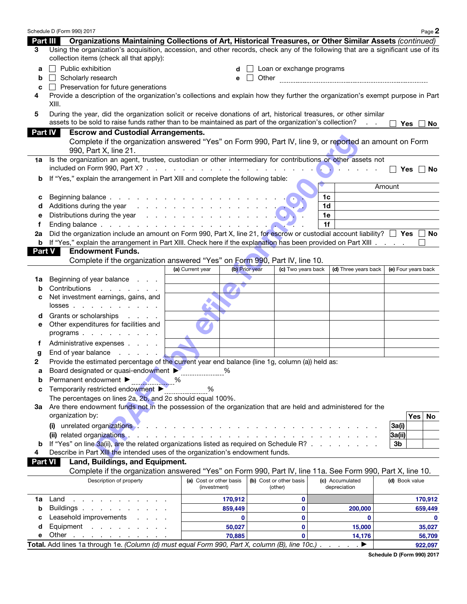|                | Schedule D (Form 990) 2017                                                                                                                                                                                                     |                         |                |                           |                |                               |                     | Page 2            |
|----------------|--------------------------------------------------------------------------------------------------------------------------------------------------------------------------------------------------------------------------------|-------------------------|----------------|---------------------------|----------------|-------------------------------|---------------------|-------------------|
| Part III       | Organizations Maintaining Collections of Art, Historical Treasures, or Other Similar Assets (continued)                                                                                                                        |                         |                |                           |                |                               |                     |                   |
| 3              | Using the organization's acquisition, accession, and other records, check any of the following that are a significant use of its<br>collection items (check all that apply):                                                   |                         |                |                           |                |                               |                     |                   |
| а              | Public exhibition                                                                                                                                                                                                              |                         |                | Loan or exchange programs |                |                               |                     |                   |
| b              | Scholarly research                                                                                                                                                                                                             |                         | e              |                           |                |                               |                     |                   |
| C              | Preservation for future generations                                                                                                                                                                                            |                         |                |                           |                |                               |                     |                   |
| 4              | Provide a description of the organization's collections and explain how they further the organization's exempt purpose in Part<br>XIII.                                                                                        |                         |                |                           |                |                               |                     |                   |
| 5              | During the year, did the organization solicit or receive donations of art, historical treasures, or other similar<br>assets to be sold to raise funds rather than to be maintained as part of the organization's collection?   |                         |                |                           |                |                               | <b>Yes</b>          | No.               |
| <b>Part IV</b> | <b>Escrow and Custodial Arrangements.</b>                                                                                                                                                                                      |                         |                |                           |                |                               |                     |                   |
|                | Complete if the organization answered "Yes" on Form 990, Part IV, line 9, or reported an amount on Form<br>990, Part X, line 21.                                                                                               |                         |                |                           |                |                               |                     |                   |
| 1a             | Is the organization an agent, trustee, custodian or other intermediary for contributions or other assets not<br>included on Form 990, Part $X$ ? $\ldots$ $\ldots$ $\ldots$ $\ldots$ $\ldots$ $\ldots$ $\ldots$                |                         |                |                           |                |                               |                     | $Yes \mid No$     |
| b              | If "Yes," explain the arrangement in Part XIII and complete the following table:                                                                                                                                               |                         |                |                           |                |                               |                     |                   |
|                |                                                                                                                                                                                                                                |                         |                |                           |                |                               | Amount              |                   |
| с              |                                                                                                                                                                                                                                |                         |                |                           | 1 <sub>c</sub> |                               |                     |                   |
| d              | Additions during the year response to the contract of the set of the set of the set of the set of the set of the set of the set of the set of the set of the set of the set of the set of the set of the set of the set of the |                         |                |                           | 1 <sub>d</sub> |                               |                     |                   |
| е              | Distributions during the year                                                                                                                                                                                                  |                         |                |                           | 1e             |                               |                     |                   |
| f              |                                                                                                                                                                                                                                |                         |                |                           | 1f             |                               |                     |                   |
| 2а             | Did the organization include an amount on Form 990, Part X, line 21, for escrow or custodial account liability? $\square$ Yes $\square$                                                                                        |                         |                |                           |                |                               |                     | No                |
| b<br>Part V    | If "Yes," explain the arrangement in Part XIII. Check here if the explanation has been provided on Part XIII.<br><b>Endowment Funds.</b>                                                                                       |                         |                |                           |                |                               |                     |                   |
|                | Complete if the organization answered "Yes" on Form 990, Part IV, line 10.                                                                                                                                                     |                         |                |                           |                |                               |                     |                   |
|                |                                                                                                                                                                                                                                | (a) Current year        | (b) Prior year | (c) Two years back        |                | (d) Three years back          | (e) Four years back |                   |
| ٦а             | Beginning of year balance<br><b>Contract Contract</b>                                                                                                                                                                          |                         |                |                           |                |                               |                     |                   |
| b              | Contributions<br>and the company of the company                                                                                                                                                                                |                         |                |                           |                |                               |                     |                   |
| с              | Net investment earnings, gains, and<br>$losses$                                                                                                                                                                                |                         |                |                           |                |                               |                     |                   |
| d              | Grants or scholarships<br>and the control of                                                                                                                                                                                   |                         |                |                           |                |                               |                     |                   |
| е              | Other expenditures for facilities and<br>programs                                                                                                                                                                              |                         |                |                           |                |                               |                     |                   |
| f              | Administrative expenses                                                                                                                                                                                                        |                         |                |                           |                |                               |                     |                   |
| g              | End of year balance<br>$\sim$ $\sim$ $\sim$                                                                                                                                                                                    |                         |                |                           |                |                               |                     |                   |
| 2              | Provide the estimated percentage of the current year end balance (line 1g, column (a)) held as:                                                                                                                                |                         |                |                           |                |                               |                     |                   |
| а              | Board designated or quasi-endowment                                                                                                                                                                                            |                         | %              |                           |                |                               |                     |                   |
| b              | Permanent endowment ▶                                                                                                                                                                                                          | ℅                       |                |                           |                |                               |                     |                   |
| C              | Temporarily restricted endowment ▶                                                                                                                                                                                             | %                       |                |                           |                |                               |                     |                   |
|                | The percentages on lines 2a, 2b, and 2c should equal 100%.                                                                                                                                                                     |                         |                |                           |                |                               |                     |                   |
|                | 3a Are there endowment funds not in the possession of the organization that are held and administered for the                                                                                                                  |                         |                |                           |                |                               |                     |                   |
|                | organization by:                                                                                                                                                                                                               |                         |                |                           |                |                               | Yes                 | No                |
|                | (i)                                                                                                                                                                                                                            |                         |                |                           |                |                               | 3a(i)               |                   |
|                | (ii) related organizations.                                                                                                                                                                                                    |                         |                |                           |                |                               | 3a(ii)              |                   |
| b<br>4         | If "Yes" on line 3a(ii), are the related organizations listed as required on Schedule R?<br>Describe in Part XIII the intended uses of the organization's endowment funds.                                                     |                         |                |                           |                |                               | 3 <sub>b</sub>      |                   |
| Part VI        | Land, Buildings, and Equipment.                                                                                                                                                                                                |                         |                |                           |                |                               |                     |                   |
|                | Complete if the organization answered "Yes" on Form 990, Part IV, line 11a. See Form 990, Part X, line 10.                                                                                                                     |                         |                |                           |                |                               |                     |                   |
|                | Description of property                                                                                                                                                                                                        | (a) Cost or other basis |                | (b) Cost or other basis   |                | (c) Accumulated               | (d) Book value      |                   |
|                |                                                                                                                                                                                                                                | (investment)            |                | (other)                   |                | depreciation                  |                     |                   |
| 1a             | Land<br>and a state of the state of the                                                                                                                                                                                        |                         | 170,912        | 0                         |                |                               |                     | 170,912           |
| b              | Buildings.<br>the contract of the contract of                                                                                                                                                                                  |                         | 859,449        | $\mathbf 0$               |                | 200,000                       |                     | 659,449           |
| c              | Leasehold improvements                                                                                                                                                                                                         |                         | 0              | $\mathbf 0$               |                | $\bf{0}$                      |                     | $\mathbf 0$       |
| d<br>е         | Equipment<br>Other                                                                                                                                                                                                             |                         | 50,027         | $\mathbf{0}$              |                | 15,000                        |                     | 35,027            |
|                | and a series of the contract of the<br>Total. Add lines 1a through 1e. (Column (d) must equal Form 990, Part X, column (B), line 10c.).                                                                                        |                         | 70,885         | $\mathbf{0}$              |                | 14,176<br>▶<br>$\overline{a}$ |                     | 56,709<br>922,097 |
|                |                                                                                                                                                                                                                                |                         |                |                           |                |                               |                     |                   |

Schedule D (Form 990) 2017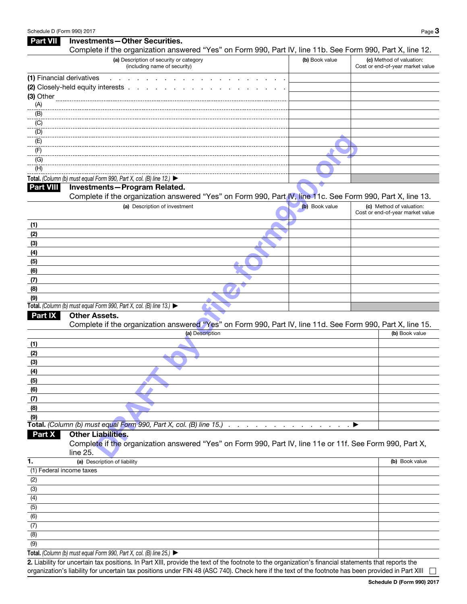| <b>Part VII</b>           | <b>Investments-Other Securities.</b>                                                                                                                                                  |                |                                                              |  |
|---------------------------|---------------------------------------------------------------------------------------------------------------------------------------------------------------------------------------|----------------|--------------------------------------------------------------|--|
|                           | Complete if the organization answered "Yes" on Form 990, Part IV, line 11b. See Form 990, Part X, line 12.<br>(a) Description of security or category<br>(including name of security) | (b) Book value | (c) Method of valuation:<br>Cost or end-of-year market value |  |
| (1) Financial derivatives |                                                                                                                                                                                       |                |                                                              |  |
|                           | (2) Closely-held equity interests .                                                                                                                                                   |                |                                                              |  |
| (3) Other                 |                                                                                                                                                                                       |                |                                                              |  |
| (A)                       |                                                                                                                                                                                       |                |                                                              |  |
| (B)                       |                                                                                                                                                                                       |                |                                                              |  |
| (C)                       |                                                                                                                                                                                       |                |                                                              |  |
| (D)                       |                                                                                                                                                                                       |                |                                                              |  |
| (E)                       |                                                                                                                                                                                       |                |                                                              |  |
| (F)                       |                                                                                                                                                                                       |                |                                                              |  |
| (G)                       |                                                                                                                                                                                       |                |                                                              |  |
| (H)                       |                                                                                                                                                                                       |                |                                                              |  |
|                           | Total. (Column (b) must equal Form 990, Part X, col. (B) line 12.) $\blacktriangleright$                                                                                              |                |                                                              |  |
| <b>Part VIII</b>          | Investments-Program Related.                                                                                                                                                          |                |                                                              |  |
|                           | Complete if the organization answered "Yes" on Form 990, Part IV, line 11c. See Form 990, Part X, line 13.                                                                            |                |                                                              |  |
|                           | (a) Description of investment                                                                                                                                                         | (b) Book value | (c) Method of valuation:<br>Cost or end-of-year market value |  |
|                           |                                                                                                                                                                                       |                |                                                              |  |
| (1)                       |                                                                                                                                                                                       |                |                                                              |  |
| (2)                       |                                                                                                                                                                                       |                |                                                              |  |
| (3)                       |                                                                                                                                                                                       |                |                                                              |  |
| (4)                       |                                                                                                                                                                                       |                |                                                              |  |
| (5)                       |                                                                                                                                                                                       |                |                                                              |  |
| (6)                       |                                                                                                                                                                                       |                |                                                              |  |
| (7)                       |                                                                                                                                                                                       |                |                                                              |  |
| (8)                       |                                                                                                                                                                                       |                |                                                              |  |
| (9)                       | Total. (Column (b) must equal Form 990, Part X, col. (B) line 13.) $\blacktriangleright$                                                                                              |                |                                                              |  |
| <b>Part IX</b>            | <b>Other Assets.</b>                                                                                                                                                                  |                |                                                              |  |
|                           | Complete if the organization answered "Yes" on Form 990, Part IV, line 11d. See Form 990, Part X, line 15.                                                                            |                |                                                              |  |
|                           | (a) Description                                                                                                                                                                       |                | (b) Book value                                               |  |
|                           |                                                                                                                                                                                       |                |                                                              |  |
| (1)                       |                                                                                                                                                                                       |                |                                                              |  |
| (2)                       |                                                                                                                                                                                       |                |                                                              |  |
| (3)<br>(4)                |                                                                                                                                                                                       |                |                                                              |  |
| (5)                       |                                                                                                                                                                                       |                |                                                              |  |
| (6)                       |                                                                                                                                                                                       |                |                                                              |  |
| (7)                       |                                                                                                                                                                                       |                |                                                              |  |
| (8)                       |                                                                                                                                                                                       |                |                                                              |  |
| (9)                       |                                                                                                                                                                                       |                |                                                              |  |
|                           | Total. (Column (b) must equal Form 990, Part X, col. (B) line 15.)                                                                                                                    |                | ▶                                                            |  |
| Part X                    | <b>Other Liabilities.</b>                                                                                                                                                             |                |                                                              |  |
|                           | Complete if the organization answered "Yes" on Form 990, Part IV, line 11e or 11f. See Form 990, Part X,                                                                              |                |                                                              |  |
|                           | line 25.                                                                                                                                                                              |                |                                                              |  |
| 1.                        | (a) Description of liability                                                                                                                                                          |                | (b) Book value                                               |  |
| (1) Federal income taxes  |                                                                                                                                                                                       |                |                                                              |  |
| (2)                       |                                                                                                                                                                                       |                |                                                              |  |
| (3)                       |                                                                                                                                                                                       |                |                                                              |  |
| (4)                       |                                                                                                                                                                                       |                |                                                              |  |
| (5)                       |                                                                                                                                                                                       |                |                                                              |  |
| (6)                       |                                                                                                                                                                                       |                |                                                              |  |
| (7)                       |                                                                                                                                                                                       |                |                                                              |  |
| (8)                       |                                                                                                                                                                                       |                |                                                              |  |
| (9)                       |                                                                                                                                                                                       |                |                                                              |  |
|                           | $Tath$ l (Column (b) must squal Form 000, Part Y, sol. (P) line $25$ )                                                                                                                |                |                                                              |  |

**Total.** *(Column (b) must equal Form 990, Part X, col. (B) line 25.)* ▶

2. Liability for uncertain tax positions. In Part XIII, provide the text of the footnote to the organization's financial statements that reports the organization's liability for uncertain tax positions under FIN 48 (ASC 740). Check here if the text of the footnote has been provided in Part XIII  $\Box$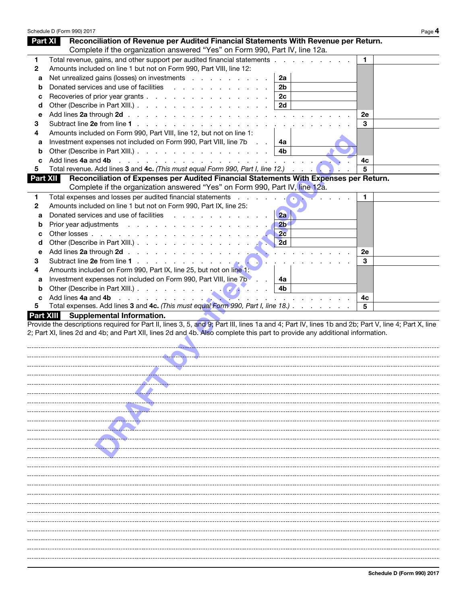|                  | Schedule D (Form 990) 2017                                                                                                                         | Page 4 |
|------------------|----------------------------------------------------------------------------------------------------------------------------------------------------|--------|
| Part XI          | Reconciliation of Revenue per Audited Financial Statements With Revenue per Return.                                                                |        |
|                  | Complete if the organization answered "Yes" on Form 990, Part IV, line 12a.                                                                        |        |
| 1                | Total revenue, gains, and other support per audited financial statements                                                                           | 1.     |
| $\mathbf{2}$     | Amounts included on line 1 but not on Form 990, Part VIII, line 12:                                                                                |        |
| а                | Net unrealized gains (losses) on investments<br>2a                                                                                                 |        |
| b                | Donated services and use of facilities<br>2 <sub>b</sub>                                                                                           |        |
| с                | 2c<br>Recoveries of prior year grants                                                                                                              |        |
| d                | Other (Describe in Part XIII.)<br>2d                                                                                                               |        |
| е                |                                                                                                                                                    | 2e     |
| 3                |                                                                                                                                                    | 3      |
| 4                | Amounts included on Form 990, Part VIII, line 12, but not on line 1:                                                                               |        |
| а                | Investment expenses not included on Form 990, Part VIII, line 7b<br>4a<br>$\sim$                                                                   |        |
| b                | Other (Describe in Part XIII.)<br>4b                                                                                                               |        |
| c                | Add lines 4a and 4b                                                                                                                                | 4c     |
| 5                | Total revenue. Add lines 3 and 4c. (This must equal Form 990, Part I, line 12.)                                                                    | 5      |
| Part XII         | Reconciliation of Expenses per Audited Financial Statements With Expenses per Return.                                                              |        |
|                  | Complete if the organization answered "Yes" on Form 990, Part IV, line 12a.                                                                        |        |
| 1                | Total expenses and losses per audited financial statements                                                                                         | 1      |
| 2                | Amounts included on line 1 but not on Form 990, Part IX, line 25:                                                                                  |        |
| а                | Donated services and use of facilities<br>2a                                                                                                       |        |
| b                | Prior year adjustments<br>2 <sub>b</sub>                                                                                                           |        |
| с                | 2c                                                                                                                                                 |        |
| d                | 2d<br>Other (Describe in Part XIII.)                                                                                                               |        |
| е                | Add lines 2a through 2d                                                                                                                            | 2e     |
| 3                | Subtract line 2e from line 1                                                                                                                       | 3      |
| 4                | Amounts included on Form 990, Part IX, line 25, but not on line 1:                                                                                 |        |
| а                | Investment expenses not included on Form 990, Part VIII, line 7b<br>4a                                                                             |        |
| b                | 4b                                                                                                                                                 |        |
| c                | Add lines 4a and 4b<br>the contract of the contract of the contract of                                                                             | 4с     |
| 5                | Total expenses. Add lines 3 and 4c. (This must equal Form 990, Part I, line 18.)                                                                   | 5      |
| <b>Part XIII</b> | <b>Supplemental Information.</b>                                                                                                                   |        |
|                  | Provide the descriptions required for Part II, lines 3, 5, and 9; Part III, lines 1a and 4; Part IV, lines 1b and 2b; Part V, line 4; Part X, line |        |
|                  | 2; Part XI, lines 2d and 4b; and Part XII, lines 2d and 4b. Also complete this part to provide any additional information.                         |        |
|                  |                                                                                                                                                    |        |
|                  |                                                                                                                                                    |        |
|                  |                                                                                                                                                    |        |
|                  |                                                                                                                                                    |        |
|                  |                                                                                                                                                    |        |
|                  |                                                                                                                                                    |        |
|                  |                                                                                                                                                    |        |
|                  |                                                                                                                                                    |        |
|                  |                                                                                                                                                    |        |
|                  |                                                                                                                                                    |        |
|                  |                                                                                                                                                    |        |
|                  |                                                                                                                                                    |        |
|                  |                                                                                                                                                    |        |
|                  |                                                                                                                                                    |        |
|                  |                                                                                                                                                    |        |
|                  |                                                                                                                                                    |        |
|                  |                                                                                                                                                    |        |
|                  |                                                                                                                                                    |        |
|                  |                                                                                                                                                    |        |
|                  |                                                                                                                                                    |        |
|                  |                                                                                                                                                    |        |
|                  |                                                                                                                                                    |        |
|                  |                                                                                                                                                    |        |
|                  |                                                                                                                                                    |        |
|                  |                                                                                                                                                    |        |
|                  |                                                                                                                                                    |        |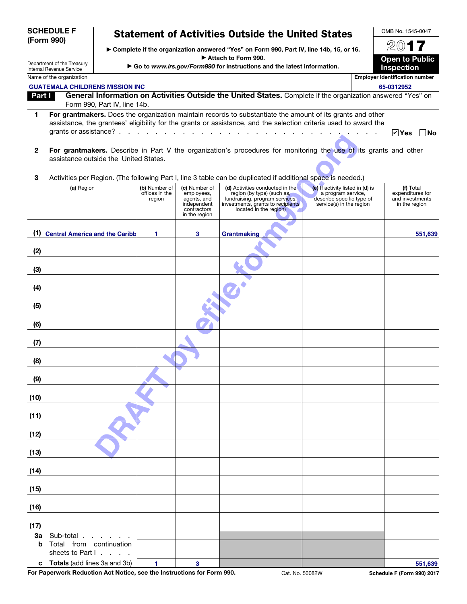|                | <b>SCHEDULE F</b>                                                                                                                                                                                                                                                                                    |                                           |                                                                                           | <b>Statement of Activities Outside the United States</b>                                                                                                       |                                                                                                                 | OMB No. 1545-0047                                                 |
|----------------|------------------------------------------------------------------------------------------------------------------------------------------------------------------------------------------------------------------------------------------------------------------------------------------------------|-------------------------------------------|-------------------------------------------------------------------------------------------|----------------------------------------------------------------------------------------------------------------------------------------------------------------|-----------------------------------------------------------------------------------------------------------------|-------------------------------------------------------------------|
|                | (Form 990)                                                                                                                                                                                                                                                                                           |                                           |                                                                                           | ► Complete if the organization answered "Yes" on Form 990, Part IV, line 14b, 15, or 16.                                                                       |                                                                                                                 | 2017                                                              |
|                |                                                                                                                                                                                                                                                                                                      |                                           |                                                                                           | Attach to Form 990.                                                                                                                                            |                                                                                                                 | <b>Open to Public</b>                                             |
|                | Department of the Treasury<br>Internal Revenue Service                                                                                                                                                                                                                                               |                                           |                                                                                           | Go to www.irs.gov/Form990 for instructions and the latest information.                                                                                         |                                                                                                                 | <b>Inspection</b>                                                 |
|                | Name of the organization                                                                                                                                                                                                                                                                             |                                           |                                                                                           |                                                                                                                                                                |                                                                                                                 | <b>Employer identification number</b>                             |
| Part I         | <b>GUATEMALA CHILDRENS MISSION INC</b>                                                                                                                                                                                                                                                               |                                           |                                                                                           | General Information on Activities Outside the United States. Complete if the organization answered "Yes" on                                                    |                                                                                                                 | 65-0312952                                                        |
|                | Form 990, Part IV, line 14b.                                                                                                                                                                                                                                                                         |                                           |                                                                                           |                                                                                                                                                                |                                                                                                                 |                                                                   |
| 1              | For grantmakers. Does the organization maintain records to substantiate the amount of its grants and other<br>assistance, the grantees' eligibility for the grants or assistance, and the selection criteria used to award the<br>grants or assistance? $\ldots$ $\ldots$ $\ldots$ $\ldots$ $\ldots$ |                                           |                                                                                           |                                                                                                                                                                |                                                                                                                 | $ v $ Yes<br>∣No                                                  |
| $\overline{2}$ | For grantmakers. Describe in Part V the organization's procedures for monitoring the use of its grants and other                                                                                                                                                                                     |                                           |                                                                                           |                                                                                                                                                                |                                                                                                                 |                                                                   |
|                | assistance outside the United States.                                                                                                                                                                                                                                                                |                                           |                                                                                           |                                                                                                                                                                |                                                                                                                 |                                                                   |
| 3              | Activities per Region. (The following Part I, line 3 table can be duplicated if additional space is needed.)                                                                                                                                                                                         |                                           |                                                                                           |                                                                                                                                                                |                                                                                                                 |                                                                   |
|                | (a) Region                                                                                                                                                                                                                                                                                           | (b) Number of<br>offices in the<br>region | (c) Number of<br>employees,<br>agents, and<br>independent<br>contractors<br>in the region | (d) Activities conducted in the<br>region (by type) (such as,<br>fundraising, program services,<br>investments, grants to recipients<br>located in the region) | (e) If activity listed in (d) is<br>a program service,<br>describe specific type of<br>service(s) in the region | (f) Total<br>expenditures for<br>and investments<br>in the region |
|                | (1) Central America and the Caribb                                                                                                                                                                                                                                                                   | 1                                         | 3                                                                                         | Grantmaking                                                                                                                                                    |                                                                                                                 | 551,639                                                           |
| (2)            |                                                                                                                                                                                                                                                                                                      |                                           |                                                                                           |                                                                                                                                                                |                                                                                                                 |                                                                   |
| (3)            |                                                                                                                                                                                                                                                                                                      |                                           |                                                                                           |                                                                                                                                                                |                                                                                                                 |                                                                   |
| (4)            |                                                                                                                                                                                                                                                                                                      |                                           |                                                                                           |                                                                                                                                                                |                                                                                                                 |                                                                   |
| (5)            |                                                                                                                                                                                                                                                                                                      |                                           |                                                                                           |                                                                                                                                                                |                                                                                                                 |                                                                   |
| (6)            |                                                                                                                                                                                                                                                                                                      |                                           |                                                                                           |                                                                                                                                                                |                                                                                                                 |                                                                   |
| (7)            |                                                                                                                                                                                                                                                                                                      |                                           |                                                                                           |                                                                                                                                                                |                                                                                                                 |                                                                   |
| (8)            |                                                                                                                                                                                                                                                                                                      |                                           |                                                                                           |                                                                                                                                                                |                                                                                                                 |                                                                   |
| (9)            |                                                                                                                                                                                                                                                                                                      |                                           |                                                                                           |                                                                                                                                                                |                                                                                                                 |                                                                   |
| (10)           |                                                                                                                                                                                                                                                                                                      |                                           |                                                                                           |                                                                                                                                                                |                                                                                                                 |                                                                   |
| (11)           |                                                                                                                                                                                                                                                                                                      |                                           |                                                                                           |                                                                                                                                                                |                                                                                                                 |                                                                   |
| (12)           |                                                                                                                                                                                                                                                                                                      |                                           |                                                                                           |                                                                                                                                                                |                                                                                                                 |                                                                   |
| (13)           |                                                                                                                                                                                                                                                                                                      |                                           |                                                                                           |                                                                                                                                                                |                                                                                                                 |                                                                   |
| (14)           |                                                                                                                                                                                                                                                                                                      |                                           |                                                                                           |                                                                                                                                                                |                                                                                                                 |                                                                   |
| (15)           |                                                                                                                                                                                                                                                                                                      |                                           |                                                                                           |                                                                                                                                                                |                                                                                                                 |                                                                   |
| (16)           |                                                                                                                                                                                                                                                                                                      |                                           |                                                                                           |                                                                                                                                                                |                                                                                                                 |                                                                   |
| (17)           |                                                                                                                                                                                                                                                                                                      |                                           |                                                                                           |                                                                                                                                                                |                                                                                                                 |                                                                   |
| 3a<br>b        | Sub-total.<br>Total from continuation                                                                                                                                                                                                                                                                |                                           |                                                                                           |                                                                                                                                                                |                                                                                                                 |                                                                   |
| c              | sheets to Part I.<br>Totals (add lines 3a and 3b)                                                                                                                                                                                                                                                    | $\mathbf{1}$                              | 3                                                                                         |                                                                                                                                                                |                                                                                                                 | 551,639                                                           |
|                |                                                                                                                                                                                                                                                                                                      |                                           |                                                                                           |                                                                                                                                                                |                                                                                                                 |                                                                   |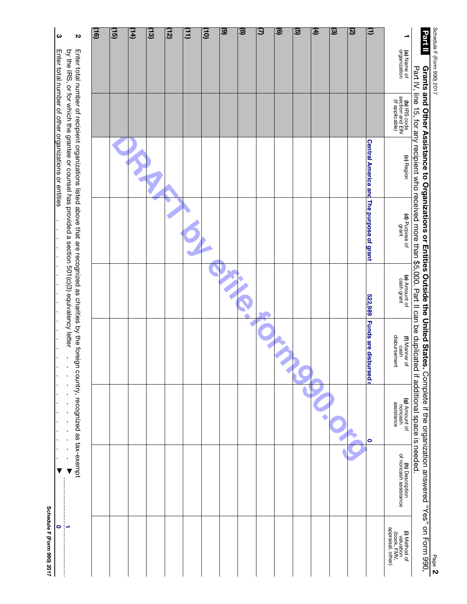| (a) Name of<br>organization<br>Grants and Other Assistance to Organizations or Entities Outside the United States.<br>(b) IRS code<br>section and EIN<br>(if applicable)<br>Central America and The purpose of grant<br>(c) Region<br>(d) Purpose of<br>grant<br>(e) Amount of<br>cash grant<br>522,989<br><b>Funds are disbursed I</b><br>(f) Manner of<br>cash<br>disbursement<br>(g) Amount of<br>moncash<br>assistance<br>$\bullet$ | Part IV, line 15, for any recipient who received more than \$5,000. Part II can be duplicated if additional space is needed.<br>Complete if the organization answered "Yes" on Form 990,<br><b>(h)</b> Description<br>of noncash assistance |
|-----------------------------------------------------------------------------------------------------------------------------------------------------------------------------------------------------------------------------------------------------------------------------------------------------------------------------------------------------------------------------------------------------------------------------------------|---------------------------------------------------------------------------------------------------------------------------------------------------------------------------------------------------------------------------------------------|
|                                                                                                                                                                                                                                                                                                                                                                                                                                         |                                                                                                                                                                                                                                             |
|                                                                                                                                                                                                                                                                                                                                                                                                                                         |                                                                                                                                                                                                                                             |
|                                                                                                                                                                                                                                                                                                                                                                                                                                         |                                                                                                                                                                                                                                             |
|                                                                                                                                                                                                                                                                                                                                                                                                                                         |                                                                                                                                                                                                                                             |
|                                                                                                                                                                                                                                                                                                                                                                                                                                         |                                                                                                                                                                                                                                             |
|                                                                                                                                                                                                                                                                                                                                                                                                                                         |                                                                                                                                                                                                                                             |
|                                                                                                                                                                                                                                                                                                                                                                                                                                         |                                                                                                                                                                                                                                             |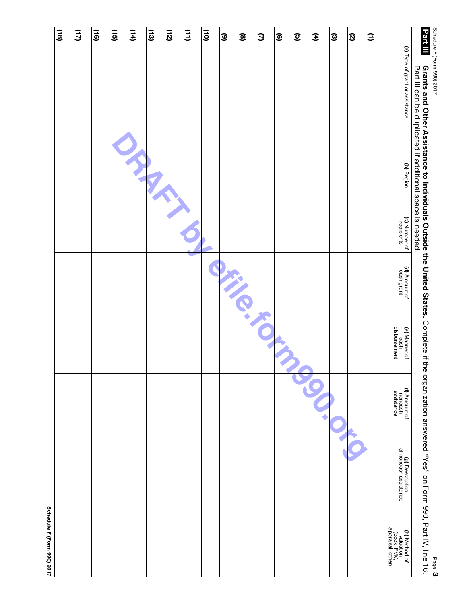| $\overline{a}$ | (11) | (16) | $\overline{15}$ | (14) | $\Xi$ | (12) | $\Xi$ | $\tilde{e}$ | $\widehat{\mathbf{e}}$ | ම | Э | ම | <u>ଡ</u> | E | $\widehat{\omega}$ | Ø | Ξ |                                                                       | Part III                                                                                                                                         |                            |
|----------------|------|------|-----------------|------|-------|------|-------|-------------|------------------------|---|---|---|----------|---|--------------------|---|---|-----------------------------------------------------------------------|--------------------------------------------------------------------------------------------------------------------------------------------------|----------------------------|
|                |      |      |                 |      |       |      |       |             |                        |   |   |   |          |   |                    |   |   | (a) Type of grant or assistance                                       |                                                                                                                                                  | Schedule H (horm 990) 2017 |
|                |      |      |                 |      |       |      |       |             |                        |   |   |   |          |   |                    |   |   | (b) Region                                                            | Part III can be duplicated if additional space is needed.                                                                                        |                            |
|                |      |      |                 |      |       |      |       |             |                        |   |   |   |          |   |                    |   |   | (c) Number of<br>recipients                                           |                                                                                                                                                  |                            |
|                |      |      |                 |      |       |      |       |             |                        |   |   |   |          |   |                    |   |   | (d) Amount of<br>cash grant                                           |                                                                                                                                                  |                            |
|                |      |      |                 |      |       |      |       |             |                        |   |   |   |          |   |                    |   |   | (e) Manner of<br>cash<br>disbursement                                 |                                                                                                                                                  |                            |
|                |      |      |                 |      |       |      |       |             |                        |   |   |   |          |   |                    |   |   | (f) Amount of<br>noncash<br>assistance                                |                                                                                                                                                  |                            |
|                |      |      |                 |      |       |      |       |             |                        |   |   |   |          |   |                    |   |   | (g) Description<br>of noncash assistance                              | Grants and Other Assistance to Individuals Outside the United States. Complete if the organization answered "Yes" on Form 990, Part IV, line 16. |                            |
|                |      |      |                 |      |       |      |       |             |                        |   |   |   |          |   |                    |   |   | <b>(h)</b> Method of<br>valuation<br>(book, FMV,<br>appraisal, other) |                                                                                                                                                  | Page 3                     |

Schedule F (Form 990) 2017 Schedule F (Form 990) 2017

 $\sim$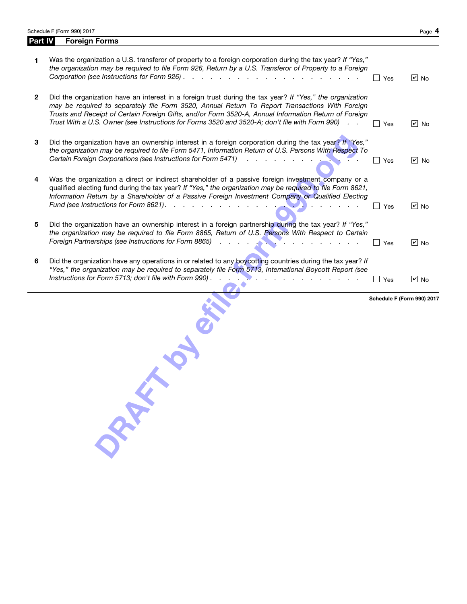Schedule F (Form 990) 2017

Part IV Foreign Forms

|--|--|

|              | ORTH                                                                                                                                                                                                                                                                                                                                                                                                                   |                                             |                         |
|--------------|------------------------------------------------------------------------------------------------------------------------------------------------------------------------------------------------------------------------------------------------------------------------------------------------------------------------------------------------------------------------------------------------------------------------|---------------------------------------------|-------------------------|
| 6            | Did the organization have any operations in or related to any boycotting countries during the tax year? If<br>"Yes," the organization may be required to separately file Form 5713, International Boycott Report (see                                                                                                                                                                                                  | $\exists$ Yes<br>Schedule F (Form 990) 2017 | $\boxed{\mathbf{v}}$ No |
| 5            | Did the organization have an ownership interest in a foreign partnership during the tax year? If "Yes,"<br>the organization may be required to file Form 8865, Return of U.S. Persons With Respect to Certain<br>Foreign Partnerships (see Instructions for Form 8865)<br><b>STATE</b>                                                                                                                                 | Yes                                         | $ v $ No                |
| 4            | Was the organization a direct or indirect shareholder of a passive foreign investment company or a<br>qualified electing fund during the tax year? If "Yes," the organization may be required to file Form 8621,<br>Information Return by a Shareholder of a Passive Foreign Investment Company or Qualified Electing<br>Fund (see Instructions for Form 8621).<br>and the company of the company of                   | Yes                                         | $ v $ No                |
| 3            | Did the organization have an ownership interest in a foreign corporation during the tax year? If "Yes,"<br>the organization may be required to file Form 5471, Information Return of U.S. Persons With Respect To<br>Certain Foreign Corporations (see Instructions for Form 5471)<br>$\mathbf{r}$ and $\mathbf{r}$                                                                                                    | Yes                                         | $\sqrt{2}$ No           |
| $\mathbf{2}$ | Did the organization have an interest in a foreign trust during the tax year? If "Yes," the organization<br>may be required to separately file Form 3520, Annual Return To Report Transactions With Foreign<br>Trusts and Receipt of Certain Foreign Gifts, and/or Form 3520-A, Annual Information Return of Foreign<br>Trust With a U.S. Owner (see Instructions for Forms 3520 and 3520-A; don't file with Form 990) | Yes                                         | $\boxed{\mathsf{v}}$ No |
| 1.           | Was the organization a U.S. transferor of property to a foreign corporation during the tax year? If "Yes,"<br>the organization may be required to file Form 926, Return by a U.S. Transferor of Property to a Foreign                                                                                                                                                                                                  | Yes                                         | $\vert$ Mo              |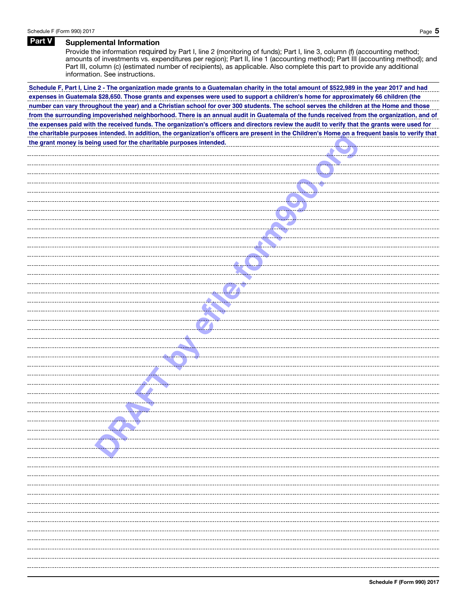## Part V Supplemental Information

Provide the information required by Part I, line 2 (monitoring of funds); Part I, line 3, column (f) (accounting method; amounts of investments vs. expenditures per region); Part II, line 1 (accounting method); Part III (accounting method); and Part III, column (c) (estimated number of recipients), as applicable. Also complete this part to provide any additional information. See instructions.

**from the surrounding impoverished neighborhood. There is an annual audit in Guatemala of the funds received from the organization, and of number can vary throughout the year) and a Christian school for over 300 students. The school serves the children at the Home and those the grant money is being used for the charitable purposes intended. the expenses paid with the received funds. The organization's officers and directors review the audit to verify that the grants were used for Schedule F, Part I, Line 2 - The organization made grants to a Guatemalan charity in the total amount of \$522,989 in the year 2017 and had the charitable purposes intended. In addition, the organization's officers are present in the Children's Home on a frequent basis to verify that expenses in Guatemala \$28,650. Those grants and expenses were used to support a children's home for approximately 66 children (the**

| the grant money is being used for the charitable purposes intended.                                                                                                                                                                  |                                                                                                                                                                                                                                      |
|--------------------------------------------------------------------------------------------------------------------------------------------------------------------------------------------------------------------------------------|--------------------------------------------------------------------------------------------------------------------------------------------------------------------------------------------------------------------------------------|
|                                                                                                                                                                                                                                      | <u>experience</u>                                                                                                                                                                                                                    |
|                                                                                                                                                                                                                                      |                                                                                                                                                                                                                                      |
|                                                                                                                                                                                                                                      | <u> Andrew Marian I</u>                                                                                                                                                                                                              |
|                                                                                                                                                                                                                                      |                                                                                                                                                                                                                                      |
|                                                                                                                                                                                                                                      | <u> Andrewski prest</u>                                                                                                                                                                                                              |
|                                                                                                                                                                                                                                      |                                                                                                                                                                                                                                      |
|                                                                                                                                                                                                                                      | <u> 1949 - Johann B</u>                                                                                                                                                                                                              |
|                                                                                                                                                                                                                                      |                                                                                                                                                                                                                                      |
|                                                                                                                                                                                                                                      |                                                                                                                                                                                                                                      |
|                                                                                                                                                                                                                                      |                                                                                                                                                                                                                                      |
|                                                                                                                                                                                                                                      | <u>and the second property of the second part of the second part of the second part of the second part of the second part of the second part of the second part of the second part of the second part of the second part of the </u> |
|                                                                                                                                                                                                                                      |                                                                                                                                                                                                                                      |
|                                                                                                                                                                                                                                      |                                                                                                                                                                                                                                      |
| -------------------------- <mark>--------</mark>                                                                                                                                                                                     |                                                                                                                                                                                                                                      |
|                                                                                                                                                                                                                                      |                                                                                                                                                                                                                                      |
|                                                                                                                                                                                                                                      |                                                                                                                                                                                                                                      |
|                                                                                                                                                                                                                                      |                                                                                                                                                                                                                                      |
|                                                                                                                                                                                                                                      |                                                                                                                                                                                                                                      |
| <u>and the set of the set of the set of the set of the set of the set of the set of the set of the set of the set of the set of the set of the set of the set of the set of the set of the set of the set of the set of the set </u> |                                                                                                                                                                                                                                      |
| <u> Andrews States and States and States and States and States and States and States and States and States and States and States and States and States and States and States and States and States and States and States and Sta</u> |                                                                                                                                                                                                                                      |
| <u> Estados de Santiagonas de la propincia de la propincia de la propincia de la propincia de la propincia de la </u>                                                                                                                |                                                                                                                                                                                                                                      |
|                                                                                                                                                                                                                                      |                                                                                                                                                                                                                                      |
| <b>Of the Community</b>                                                                                                                                                                                                              |                                                                                                                                                                                                                                      |
|                                                                                                                                                                                                                                      |                                                                                                                                                                                                                                      |
|                                                                                                                                                                                                                                      |                                                                                                                                                                                                                                      |
|                                                                                                                                                                                                                                      |                                                                                                                                                                                                                                      |
|                                                                                                                                                                                                                                      |                                                                                                                                                                                                                                      |
|                                                                                                                                                                                                                                      |                                                                                                                                                                                                                                      |
|                                                                                                                                                                                                                                      |                                                                                                                                                                                                                                      |
|                                                                                                                                                                                                                                      |                                                                                                                                                                                                                                      |
|                                                                                                                                                                                                                                      |                                                                                                                                                                                                                                      |
|                                                                                                                                                                                                                                      |                                                                                                                                                                                                                                      |
|                                                                                                                                                                                                                                      |                                                                                                                                                                                                                                      |
|                                                                                                                                                                                                                                      |                                                                                                                                                                                                                                      |
| -- <del>--------------</del> ----                                                                                                                                                                                                    |                                                                                                                                                                                                                                      |
|                                                                                                                                                                                                                                      |                                                                                                                                                                                                                                      |
|                                                                                                                                                                                                                                      |                                                                                                                                                                                                                                      |
|                                                                                                                                                                                                                                      |                                                                                                                                                                                                                                      |
|                                                                                                                                                                                                                                      |                                                                                                                                                                                                                                      |
|                                                                                                                                                                                                                                      |                                                                                                                                                                                                                                      |
|                                                                                                                                                                                                                                      |                                                                                                                                                                                                                                      |
|                                                                                                                                                                                                                                      |                                                                                                                                                                                                                                      |
|                                                                                                                                                                                                                                      |                                                                                                                                                                                                                                      |
|                                                                                                                                                                                                                                      |                                                                                                                                                                                                                                      |
|                                                                                                                                                                                                                                      |                                                                                                                                                                                                                                      |
|                                                                                                                                                                                                                                      |                                                                                                                                                                                                                                      |
|                                                                                                                                                                                                                                      |                                                                                                                                                                                                                                      |
|                                                                                                                                                                                                                                      |                                                                                                                                                                                                                                      |
|                                                                                                                                                                                                                                      |                                                                                                                                                                                                                                      |
|                                                                                                                                                                                                                                      |                                                                                                                                                                                                                                      |
|                                                                                                                                                                                                                                      |                                                                                                                                                                                                                                      |
|                                                                                                                                                                                                                                      |                                                                                                                                                                                                                                      |
|                                                                                                                                                                                                                                      |                                                                                                                                                                                                                                      |
|                                                                                                                                                                                                                                      |                                                                                                                                                                                                                                      |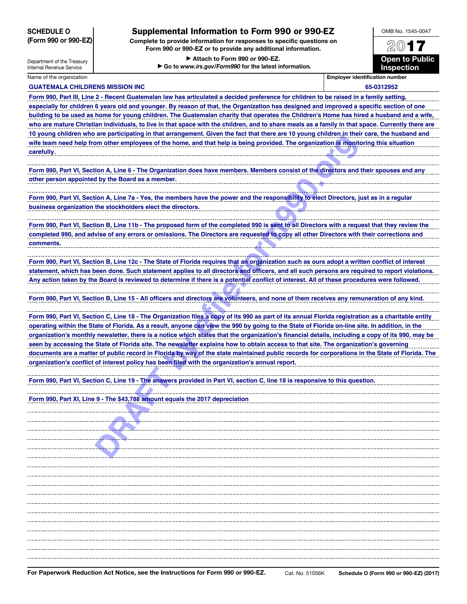|  | <b>SCHEDULE O</b> |                      |
|--|-------------------|----------------------|
|  |                   | (Form 990 or 990-EZ) |

## Supplemental Information to Form 990 or 990-EZ

Complete to provide information for responses to specific questions on Form 990 or 990-EZ or to provide any additional information.

> Attach to Form 990 or 990-EZ. ▶ Go to *www.irs.gov/Form990* for the latest information.



Department of the Treasury Internal Revenue Service

Name of the organization **Employer identification number** Employer identification number

| <b>GUATEMALA CHILDRENS MISSION INC</b>                                                                                                             | 65-0312952 |  |  |  |
|----------------------------------------------------------------------------------------------------------------------------------------------------|------------|--|--|--|
| Form 990, Part III, Line 2 - Recent Guatemalan law has articulated a decided preference for children to be raised in a family setting,             |            |  |  |  |
| especially for children 6 years old and younger. By reason of that, the Organization has designed and improved a specific section of one           |            |  |  |  |
| building to be used as home for young children. The Guatemalan charity that operates the Children's Home has hired a husband and a wife,           |            |  |  |  |
| who are mature Christian individuals, to live in that space with the children, and to share meals as a family in that space. Currently there are   |            |  |  |  |
| 10 young children who are participating in that arrangement. Given the fact that there are 10 young children in their care, the husband and        |            |  |  |  |
| wife team need help from other employees of the home, and that help is being provided. The organization is monitoring this situation               |            |  |  |  |
| carefully.                                                                                                                                         |            |  |  |  |
|                                                                                                                                                    |            |  |  |  |
| Form 990, Part VI, Section A, Line 6 - The Organization does have members. Members consist of the directors and their spouses and any              |            |  |  |  |
| other person appointed by the Board as a member.                                                                                                   |            |  |  |  |
|                                                                                                                                                    |            |  |  |  |
| Form 990, Part VI, Section A, Line 7a - Yes, the members have the power and the responsibility to elect Directors, just as in a regular            |            |  |  |  |
| business organization the stockholders elect the directors.                                                                                        |            |  |  |  |
|                                                                                                                                                    |            |  |  |  |
| Form 990, Part VI, Section B, Line 11b - The proposed form of the completed 990 is sent to all Directors with a request that they review the       |            |  |  |  |
|                                                                                                                                                    |            |  |  |  |
| completed 990, and advise of any errors or omissions. The Directors are requested to copy all other Directors with their corrections and           |            |  |  |  |
| comments.                                                                                                                                          |            |  |  |  |
|                                                                                                                                                    |            |  |  |  |
| Form 990, Part VI, Section B, Line 12c - The State of Florida requires that an organization such as ours adopt a written conflict of interest      |            |  |  |  |
| statement, which has been done. Such statement applies to all directors and officers, and all such persons are required to report violations.      |            |  |  |  |
| Any action taken by the Board is reviewed to determine if there is a potential conflict of interest. All of these procedures were followed.        |            |  |  |  |
| Form 990, Part VI, Section B, Line 15 - All officers and directors are volunteers, and none of them receives any remuneration of any kind.         |            |  |  |  |
|                                                                                                                                                    |            |  |  |  |
| Form 990, Part VI, Section C, Line 18 - The Organization files a copy of its 990 as part of its annual Florida registration as a charitable entity |            |  |  |  |
| operating within the State of Florida. As a result, anyone can view the 990 by going to the State of Florida on-line site. In addition, in the     |            |  |  |  |
| organization's monthly newsletter, there is a notice which states that the organization's financial details, including a copy of its 990, may be   |            |  |  |  |
| seen by accessing the State of Florida site. The newsletter explains how to obtain access to that site. The organization's governing               |            |  |  |  |
| documents are a matter of public record in Florida by way of the state maintained public records for corporations in the State of Florida. The     |            |  |  |  |
| organization's conflict of interest policy has been filed with the organization's annual report.                                                   |            |  |  |  |
|                                                                                                                                                    |            |  |  |  |
| Form 990, Part VI, Section C, Line 19 - The answers provided in Part VI, section C, line 18 is responsive to this question.                        |            |  |  |  |
|                                                                                                                                                    |            |  |  |  |
| Form 990, Part XI, Line 9 - The \$43,788 amount equals the 2017 depreciation                                                                       |            |  |  |  |
|                                                                                                                                                    |            |  |  |  |
|                                                                                                                                                    |            |  |  |  |
|                                                                                                                                                    |            |  |  |  |
|                                                                                                                                                    |            |  |  |  |
|                                                                                                                                                    |            |  |  |  |
|                                                                                                                                                    |            |  |  |  |
|                                                                                                                                                    |            |  |  |  |
|                                                                                                                                                    |            |  |  |  |
|                                                                                                                                                    |            |  |  |  |
|                                                                                                                                                    |            |  |  |  |
|                                                                                                                                                    |            |  |  |  |
|                                                                                                                                                    |            |  |  |  |
|                                                                                                                                                    |            |  |  |  |
|                                                                                                                                                    |            |  |  |  |
|                                                                                                                                                    |            |  |  |  |
|                                                                                                                                                    |            |  |  |  |
|                                                                                                                                                    |            |  |  |  |
|                                                                                                                                                    |            |  |  |  |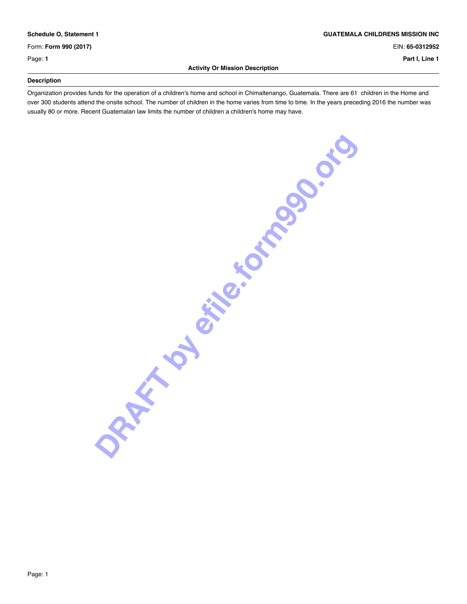Form: **Form 990 (2017)** EIN: **65-0312952**

\_

### **Activity Or Mission Description**

**Schedule O, Statement 1 GUATEMALA CHILDRENS MISSION INC**

Page: **1 Part I, Line 1**

### **Description** \_

Organization provides funds for the operation of a children's home and school in Chimaltenango, Guatemala. There are 61 children in the Home and over 300 students attend the onsite school. The number of children in the home varies from time to time. In the years preceding 2016 the number was usually 80 or more. Recent Guatemalan law limits the number of children a children's home may have.

**DRAFT BY EFFECTIONS OF BRAFT**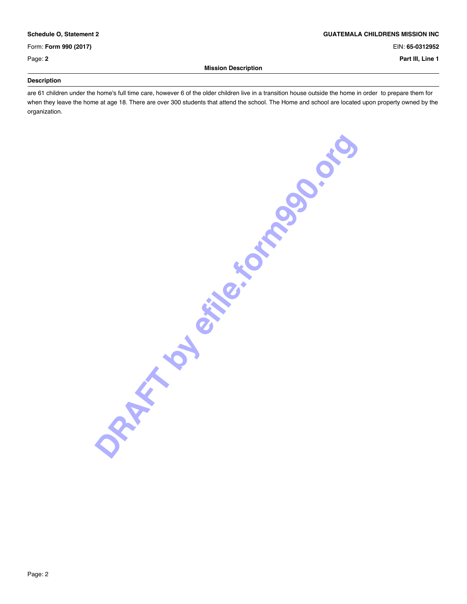Form: **Form 990 (2017)** EIN: **65-0312952**

\_

\_

### **Schedule O, Statement 2 GUATEMALA CHILDRENS MISSION INC**

Page: **2 Part III, Line 1**

### **Mission Description**

### **Description**

are 61 children under the home's full time care, however 6 of the older children live in a transition house outside the home in order to prepare them for when they leave the home at age 18. There are over 300 students that attend the school. The Home and school are located upon property owned by the organization.

**DRAFT BY EFFECT POOP OF BRAFT**